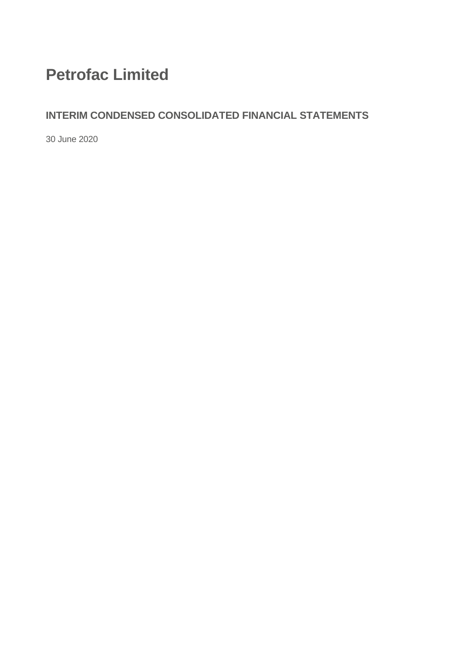# **Petrofac Limited**

## **INTERIM CONDENSED CONSOLIDATED FINANCIAL STATEMENTS**

30 June 2020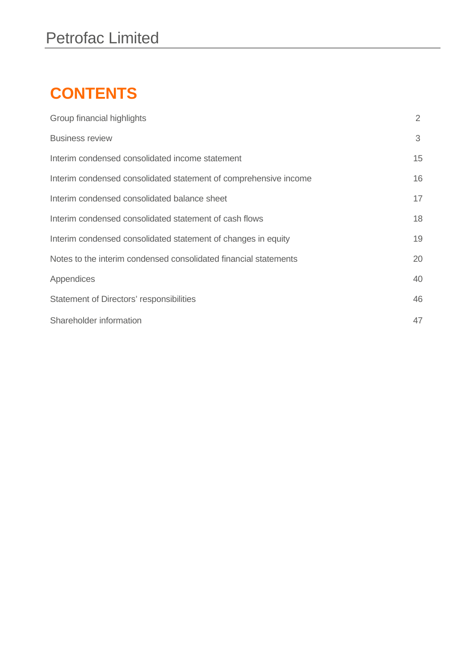# **CONTENTS**

| Group financial highlights                                       | 2  |
|------------------------------------------------------------------|----|
| <b>Business review</b>                                           | 3  |
| Interim condensed consolidated income statement                  | 15 |
| Interim condensed consolidated statement of comprehensive income | 16 |
| Interim condensed consolidated balance sheet                     | 17 |
| Interim condensed consolidated statement of cash flows           | 18 |
| Interim condensed consolidated statement of changes in equity    | 19 |
| Notes to the interim condensed consolidated financial statements | 20 |
| Appendices                                                       | 40 |
| Statement of Directors' responsibilities                         | 46 |
| Shareholder information                                          | 47 |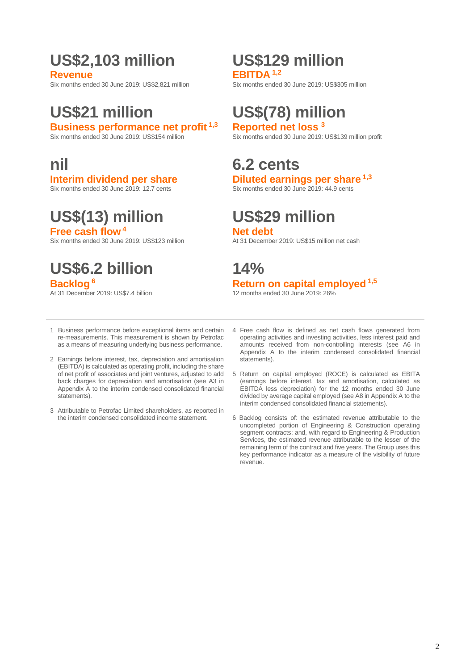# **US\$2,103 million US\$129 million**

Six months ended 30 June 2019: US\$2,821 million

## **Business performance net profit <sup>1,3</sup>** Six months ended 30 June 2019: US\$154 million

Six months ended 30 June 2019: 12.7 cents

# **US\$(13) million US\$29 million**

Six months ended 30 June 2019: US\$123 million

# **US\$6.2 billion 14%**

**EBITDA** <sup>1,2</sup><br>Six months ended 30 June 2019: US\$305 million

# **US\$21 million US\$(78) million**

Six months ended 30 June 2019: US\$139 million profit

# **nil 6.2 cents**

**Interim dividend per share Diluted earnings per share 1,3**<br>Six months ended 30 June 2019: 12.7 cents **1.3** Six months ended 30 June 2019: 44.9 cents

**Free cash flow<sup>4</sup><br>Six months ended 30 June 2019: US\$123 million and a state of the At 31 December 2019: US\$15 million net cash** 

# **Backlog** <sup>6</sup><br>At 31 December 2019: US\$7.4 billion **12 Return on capital employed**  $^{1,5}$

12 months ended 30 June 2019:  $26\%$ 

- 1 Business performance before exceptional items and certain re-measurements. This measurement is shown by Petrofac as a means of measuring underlying business performance.
- 2 Earnings before interest, tax, depreciation and amortisation (EBITDA) is calculated as operating profit, including the share of net profit of associates and joint ventures, adjusted to add back charges for depreciation and amortisation (see A3 in Appendix A to the interim condensed consolidated financial statements).
- 3 Attributable to Petrofac Limited shareholders, as reported in the interim condensed consolidated income statement.
- 4 Free cash flow is defined as net cash flows generated from operating activities and investing activities, less interest paid and amounts received from non-controlling interests (see A6 in Appendix A to the interim condensed consolidated financial statements).
- 5 Return on capital employed (ROCE) is calculated as EBITA (earnings before interest, tax and amortisation, calculated as EBITDA less depreciation) for the 12 months ended 30 June divided by average capital employed (see A8 in Appendix A to the interim condensed consolidated financial statements).
- 6 Backlog consists of: the estimated revenue attributable to the uncompleted portion of Engineering & Construction operating segment contracts; and, with regard to Engineering & Production Services, the estimated revenue attributable to the lesser of the remaining term of the contract and five years. The Group uses this key performance indicator as a measure of the visibility of future revenue.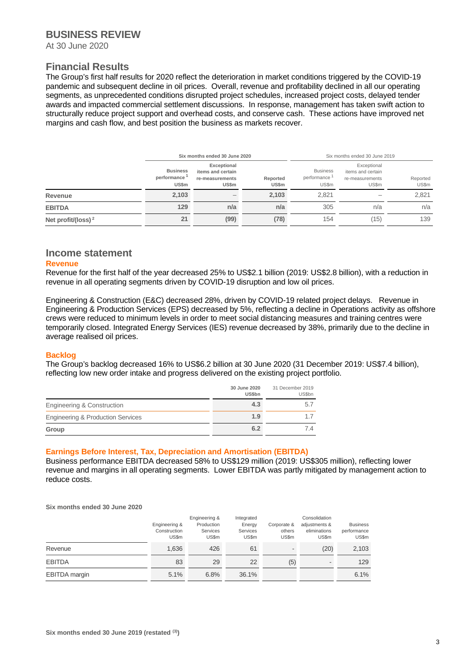#### **BUSINESS REVIEW**

At 30 June 2020

### **Financial Results**

The Group's first half results for 2020 reflect the deterioration in market conditions triggered by the COVID-19 pandemic and subsequent decline in oil prices. Overall, revenue and profitability declined in all our operating segments, as unprecedented conditions disrupted project schedules, increased project costs, delayed tender awards and impacted commercial settlement discussions. In response, management has taken swift action to structurally reduce project support and overhead costs, and conserve cash. These actions have improved net margins and cash flow, and best position the business as markets recover.

|                       |                                         | Six months ended 30 June 2020                                       |                   |                                                      | Six months ended 30 June 2019                                |                   |
|-----------------------|-----------------------------------------|---------------------------------------------------------------------|-------------------|------------------------------------------------------|--------------------------------------------------------------|-------------------|
|                       | <b>Business</b><br>performance<br>US\$m | Exceptional<br>items and certain<br>re-measurements<br><b>US\$m</b> | Reported<br>US\$m | <b>Business</b><br>performance <sup>1</sup><br>US\$m | Exceptional<br>items and certain<br>re-measurements<br>US\$m | Reported<br>US\$m |
| Revenue               | 2,103                                   | $\qquad \qquad$                                                     | 2,103             | 2.821                                                |                                                              | 2,821             |
| <b>EBITDA</b>         | 129                                     | n/a                                                                 | n/a               | 305                                                  | n/a                                                          | n/a               |
| Net profit/(loss) $2$ | 21                                      | (99)                                                                | (78)              | 154                                                  | (15)                                                         | 139               |

#### **Income statement**

#### **Revenue**

Revenue for the first half of the year decreased 25% to US\$2.1 billion (2019: US\$2.8 billion), with a reduction in revenue in all operating segments driven by COVID-19 disruption and low oil prices.

Engineering & Construction (E&C) decreased 28%, driven by COVID-19 related project delays. Revenue in Engineering & Production Services (EPS) decreased by 5%, reflecting a decline in Operations activity as offshore crews were reduced to minimum levels in order to meet social distancing measures and training centres were temporarily closed. Integrated Energy Services (IES) revenue decreased by 38%, primarily due to the decline in average realised oil prices.

#### **Backlog**

The Group's backlog decreased 16% to US\$6.2 billion at 30 June 2020 (31 December 2019: US\$7.4 billion), reflecting low new order intake and progress delivered on the existing project portfolio.

|                                              | 30 June 2020<br><b>US\$bn</b> | 31 December 2019<br>US\$bn |
|----------------------------------------------|-------------------------------|----------------------------|
| Engineering & Construction                   | 4.3                           | 5.7                        |
| <b>Engineering &amp; Production Services</b> | 1.9                           |                            |
| Group                                        | 6.2                           | 7 A                        |

#### **Earnings Before Interest, Tax, Depreciation and Amortisation (EBITDA)**

Business performance EBITDA decreased 58% to US\$129 million (2019: US\$305 million), reflecting lower revenue and margins in all operating segments. Lower EBITDA was partly mitigated by management action to reduce costs.

**Six months ended 30 June 2020**

|                      | Engineering &<br>Construction<br>US\$m | Engineering &<br>Production<br><b>Services</b><br>US\$m | Integrated<br>Energy<br>Services<br>US\$m | Corporate &<br>others<br>US\$m | Consolidation<br>adjustments &<br>eliminations<br>US\$m | <b>Business</b><br>performance<br>US\$m |
|----------------------|----------------------------------------|---------------------------------------------------------|-------------------------------------------|--------------------------------|---------------------------------------------------------|-----------------------------------------|
| Revenue              | 1,636                                  | 426                                                     | 61                                        | ۰.                             | (20)                                                    | 2,103                                   |
| <b>EBITDA</b>        | 83                                     | 29                                                      | 22                                        | (5)                            |                                                         | 129                                     |
| <b>EBITDA</b> margin | 5.1%                                   | 6.8%                                                    | 36.1%                                     |                                |                                                         | 6.1%                                    |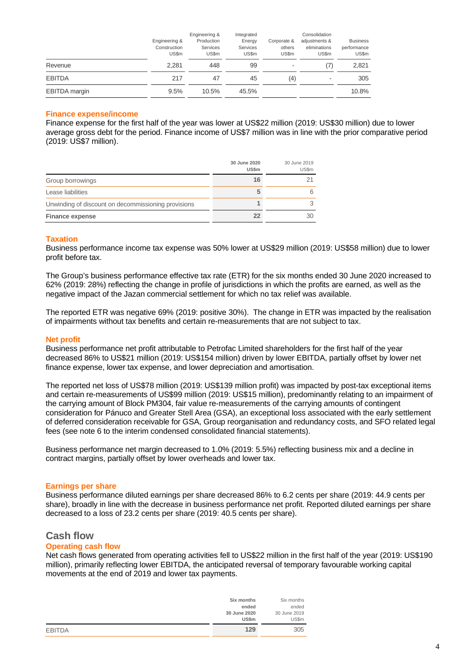|                      | Engineering &<br>Construction<br>US\$m | Engineering &<br>Production<br>Services<br>US\$m | Integrated<br>Energy<br>Services<br>US\$m | Corporate &<br>others<br>US\$m | Consolidation<br>adjustments &<br>eliminations<br>US\$m | <b>Business</b><br>performance<br>US\$m |
|----------------------|----------------------------------------|--------------------------------------------------|-------------------------------------------|--------------------------------|---------------------------------------------------------|-----------------------------------------|
| Revenue              | 2.281                                  | 448                                              | 99                                        |                                | (7)                                                     | 2,821                                   |
| <b>EBITDA</b>        | 217                                    | 47                                               | 45                                        | (4)                            | $\overline{\phantom{a}}$                                | 305                                     |
| <b>EBITDA</b> margin | 9.5%                                   | 10.5%                                            | 45.5%                                     |                                |                                                         | 10.8%                                   |

#### **Finance expense/income**

Finance expense for the first half of the year was lower at US\$22 million (2019: US\$30 million) due to lower average gross debt for the period. Finance income of US\$7 million was in line with the prior comparative period (2019: US\$7 million).

|                                                     | 30 June 2020<br>US\$m | 30 June 2019<br>US\$m |
|-----------------------------------------------------|-----------------------|-----------------------|
| Group borrowings                                    | 16                    |                       |
| Lease liabilities                                   | 5                     | 6                     |
| Unwinding of discount on decommissioning provisions |                       |                       |
| <b>Finance expense</b>                              | 22                    | 30                    |

#### **Taxation**

Business performance income tax expense was 50% lower at US\$29 million (2019: US\$58 million) due to lower profit before tax.

The Group's business performance effective tax rate (ETR) for the six months ended 30 June 2020 increased to 62% (2019: 28%) reflecting the change in profile of jurisdictions in which the profits are earned, as well as the negative impact of the Jazan commercial settlement for which no tax relief was available.

The reported ETR was negative 69% (2019: positive 30%). The change in ETR was impacted by the realisation of impairments without tax benefits and certain re-measurements that are not subject to tax.

#### **Net profit**

Business performance net profit attributable to Petrofac Limited shareholders for the first half of the year decreased 86% to US\$21 million (2019: US\$154 million) driven by lower EBITDA, partially offset by lower net finance expense, lower tax expense, and lower depreciation and amortisation.

The reported net loss of US\$78 million (2019: US\$139 million profit) was impacted by post-tax exceptional items and certain re-measurements of US\$99 million (2019: US\$15 million), predominantly relating to an impairment of the carrying amount of Block PM304, fair value re-measurements of the carrying amounts of contingent consideration for Pánuco and Greater Stell Area (GSA), an exceptional loss associated with the early settlement of deferred consideration receivable for GSA, Group reorganisation and redundancy costs, and SFO related legal fees (see note 6 to the interim condensed consolidated financial statements).

Business performance net margin decreased to 1.0% (2019: 5.5%) reflecting business mix and a decline in contract margins, partially offset by lower overheads and lower tax.

#### **Earnings per share**

Business performance diluted earnings per share decreased 86% to 6.2 cents per share (2019: 44.9 cents per share), broadly in line with the decrease in business performance net profit. Reported diluted earnings per share decreased to a loss of 23.2 cents per share (2019: 40.5 cents per share).

#### **Cash flow**

#### **Operating cash flow**

Net cash flows generated from operating activities fell to US\$22 million in the first half of the year (2019: US\$190 million), primarily reflecting lower EBITDA, the anticipated reversal of temporary favourable working capital movements at the end of 2019 and lower tax payments.

|               | Six months                            | Six months                            |
|---------------|---------------------------------------|---------------------------------------|
|               | ended<br>30 June 2020<br><b>US\$m</b> | ended<br>30 June 2019<br><b>US\$m</b> |
| <b>EBITDA</b> | 129                                   | 305                                   |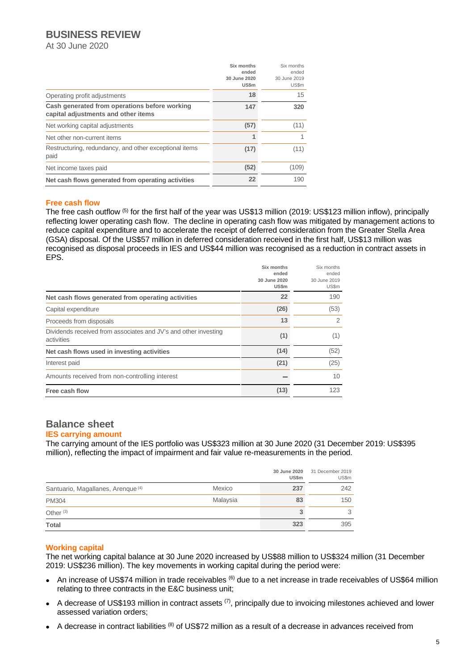## **BUSINESS REVIEW**

At 30 June 2020

|                                                                                      | Six months<br>ended          | Six months<br>ended   |
|--------------------------------------------------------------------------------------|------------------------------|-----------------------|
|                                                                                      | 30 June 2020<br><b>US\$m</b> | 30 June 2019<br>US\$m |
| Operating profit adjustments                                                         | 18                           | 15                    |
| Cash generated from operations before working<br>capital adjustments and other items | 147                          | 320                   |
| Net working capital adjustments                                                      | (57)                         | (11)                  |
| Net other non-current items                                                          |                              |                       |
| Restructuring, redundancy, and other exceptional items<br>paid                       | (17)                         | (11)                  |
| Net income taxes paid                                                                | (52)                         | (109)                 |
| Net cash flows generated from operating activities                                   | 22                           | 190                   |

#### **Free cash flow**

The free cash outflow (5) for the first half of the year was US\$13 million (2019: US\$123 million inflow), principally reflecting lower operating cash flow. The decline in operating cash flow was mitigated by management actions to reduce capital expenditure and to accelerate the receipt of deferred consideration from the Greater Stella Area (GSA) disposal. Of the US\$57 million in deferred consideration received in the first half, US\$13 million was recognised as disposal proceeds in IES and US\$44 million was recognised as a reduction in contract assets in EPS.

|                                                                               | Six months<br>ended<br>30 June 2020<br>US\$m | Six months<br>ended<br>30 June 2019<br>US\$m |
|-------------------------------------------------------------------------------|----------------------------------------------|----------------------------------------------|
| Net cash flows generated from operating activities                            | 22                                           | 190                                          |
| Capital expenditure                                                           | (26)                                         | (53)                                         |
| Proceeds from disposals                                                       | 13                                           | 2                                            |
| Dividends received from associates and JV's and other investing<br>activities | (1)                                          | (1)                                          |
| Net cash flows used in investing activities                                   | (14)                                         | (52)                                         |
| Interest paid                                                                 | (21)                                         | (25)                                         |
| Amounts received from non-controlling interest                                |                                              | 10                                           |
| Free cash flow                                                                | (13)                                         | 123                                          |

### **Balance sheet**

#### **IES carrying amount**

The carrying amount of the IES portfolio was US\$323 million at 30 June 2020 (31 December 2019: US\$395 million), reflecting the impact of impairment and fair value re-measurements in the period.

|                                               |          | 30 June 2020<br>US\$m | 31 December 2019<br>US\$m |
|-----------------------------------------------|----------|-----------------------|---------------------------|
| Santuario, Magallanes, Arenque <sup>(4)</sup> | Mexico   | 237                   | 242                       |
| <b>PM304</b>                                  | Malaysia | 83                    | 150                       |
| Other $(3)$                                   |          |                       |                           |
| <b>Total</b>                                  |          | 323                   | 395                       |

#### **Working capital**

The net working capital balance at 30 June 2020 increased by US\$88 million to US\$324 million (31 December 2019: US\$236 million). The key movements in working capital during the period were:

- An increase of US\$74 million in trade receivables <sup>(6)</sup> due to a net increase in trade receivables of US\$64 million relating to three contracts in the E&C business unit;
- A decrease of US\$193 million in contract assets  $(7)$ , principally due to invoicing milestones achieved and lower assessed variation orders;
- $\bullet$  A decrease in contract liabilities  $^{(8)}$  of US\$72 million as a result of a decrease in advances received from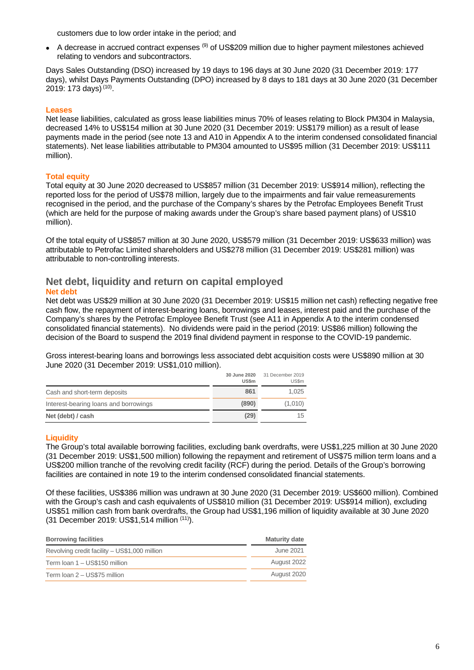customers due to low order intake in the period; and

 $\bullet$  A decrease in accrued contract expenses  $^{(9)}$  of US\$209 million due to higher payment milestones achieved relating to vendors and subcontractors.

Days Sales Outstanding (DSO) increased by 19 days to 196 days at 30 June 2020 (31 December 2019: 177 days), whilst Days Payments Outstanding (DPO) increased by 8 days to 181 days at 30 June 2020 (31 December 2019: 173 days) <sup>(10)</sup>.

#### **Leases**

Net lease liabilities, calculated as gross lease liabilities minus 70% of leases relating to Block PM304 in Malaysia, decreased 14% to US\$154 million at 30 June 2020 (31 December 2019: US\$179 million) as a result of lease payments made in the period (see note 13 and A10 in Appendix A to the interim condensed consolidated financial statements). Net lease liabilities attributable to PM304 amounted to US\$95 million (31 December 2019: US\$111 million).

#### **Total equity**

Total equity at 30 June 2020 decreased to US\$857 million (31 December 2019: US\$914 million), reflecting the reported loss for the period of US\$78 million, largely due to the impairments and fair value remeasurements recognised in the period, and the purchase of the Company's shares by the Petrofac Employees Benefit Trust (which are held for the purpose of making awards under the Group's share based payment plans) of US\$10 million).

Of the total equity of US\$857 million at 30 June 2020, US\$579 million (31 December 2019: US\$633 million) was attributable to Petrofac Limited shareholders and US\$278 million (31 December 2019: US\$281 million) was attributable to non-controlling interests.

#### **Net debt, liquidity and return on capital employed Net debt**

Net debt was US\$29 million at 30 June 2020 (31 December 2019: US\$15 million net cash) reflecting negative free cash flow, the repayment of interest-bearing loans, borrowings and leases, interest paid and the purchase of the Company's shares by the Petrofac Employee Benefit Trust (see A11 in Appendix A to the interim condensed consolidated financial statements). No dividends were paid in the period (2019: US\$86 million) following the decision of the Board to suspend the 2019 final dividend payment in response to the COVID-19 pandemic.

Gross interest-bearing loans and borrowings less associated debt acquisition costs were US\$890 million at 30 June 2020 (31 December 2019: US\$1,010 million).

|                                       | 30 June 2020<br><b>US\$m</b> | 31 December 2019<br><b>US\$m</b> |
|---------------------------------------|------------------------------|----------------------------------|
| Cash and short-term deposits          | 861                          | 1.025                            |
| Interest-bearing loans and borrowings | (890)                        | (1,010)                          |
| Net (debt) / cash                     | (29)                         | 15                               |

#### **Liquidity**

The Group's total available borrowing facilities, excluding bank overdrafts, were US\$1,225 million at 30 June 2020 (31 December 2019: US\$1,500 million) following the repayment and retirement of US\$75 million term loans and a US\$200 million tranche of the revolving credit facility (RCF) during the period. Details of the Group's borrowing facilities are contained in note 19 to the interim condensed consolidated financial statements.

Of these facilities, US\$386 million was undrawn at 30 June 2020 (31 December 2019: US\$600 million). Combined with the Group's cash and cash equivalents of US\$810 million (31 December 2019: US\$914 million), excluding US\$51 million cash from bank overdrafts, the Group had US\$1,196 million of liquidity available at 30 June 2020 (31 December 2019: US\$1,514 million (11).

| <b>Borrowing facilities</b>                   | <b>Maturity date</b> |
|-----------------------------------------------|----------------------|
| Revolving credit facility - US\$1,000 million | June 2021            |
| Term loan 1 - US\$150 million                 | August 2022          |
| Term loan 2 – US\$75 million                  | August 2020          |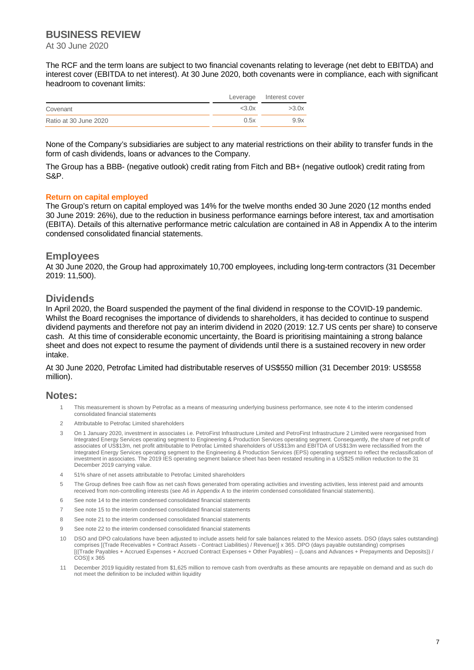### **BUSINESS REVIEW**

At 30 June 2020

The RCF and the term loans are subject to two financial covenants relating to leverage (net debt to EBITDA) and interest cover (EBITDA to net interest). At 30 June 2020, both covenants were in compliance, each with significant headroom to covenant limits:

|                       |       | Leverage Interest cover |
|-----------------------|-------|-------------------------|
| Covenant              | <3.0x | >3.0x                   |
| Ratio at 30 June 2020 | 0.5x  | 9.9x                    |

None of the Company's subsidiaries are subject to any material restrictions on their ability to transfer funds in the form of cash dividends, loans or advances to the Company.

The Group has a BBB- (negative outlook) credit rating from Fitch and BB+ (negative outlook) credit rating from S&P.

#### **Return on capital employed**

The Group's return on capital employed was 14% for the twelve months ended 30 June 2020 (12 months ended 30 June 2019: 26%), due to the reduction in business performance earnings before interest, tax and amortisation (EBITA). Details of this alternative performance metric calculation are contained in A8 in Appendix A to the interim condensed consolidated financial statements.

#### **Employees**

At 30 June 2020, the Group had approximately 10,700 employees, including long-term contractors (31 December 2019: 11,500).

#### **Dividends**

In April 2020, the Board suspended the payment of the final dividend in response to the COVID-19 pandemic. Whilst the Board recognises the importance of dividends to shareholders, it has decided to continue to suspend dividend payments and therefore not pay an interim dividend in 2020 (2019: 12.7 US cents per share) to conserve cash. At this time of considerable economic uncertainty, the Board is prioritising maintaining a strong balance sheet and does not expect to resume the payment of dividends until there is a sustained recovery in new order intake.

At 30 June 2020, Petrofac Limited had distributable reserves of US\$550 million (31 December 2019: US\$558 million).

### **Notes:**

- 1 This measurement is shown by Petrofac as a means of measuring underlying business performance, see note 4 to the interim condensed consolidated financial statements
- 2 Attributable to Petrofac Limited shareholders
- 3 On 1 January 2020, investment in associates i.e. PetroFirst Infrastructure Limited and PetroFirst Infrastructure 2 Limited were reorganised from Integrated Energy Services operating segment to Engineering & Production Services operating segment. Consequently, the share of net profit of associates of US\$13m, net profit attributable to Petrofac Limited shareholders of US\$13m and EBITDA of US\$13m were reclassified from the Integrated Energy Services operating segment to the Engineering & Production Services (EPS) operating segment to reflect the reclassification of investment in associates. The 2019 IES operating segment balance sheet has been restated resulting in a US\$25 million reduction to the 31 December 2019 carrying value.
- 4 51% share of net assets attributable to Petrofac Limited shareholders
- 5 The Group defines free cash flow as net cash flows generated from operating activities and investing activities, less interest paid and amounts received from non-controlling interests (see A6 in Appendix A to the interim condensed consolidated financial statements).
- 6 See note 14 to the interim condensed consolidated financial statements
- 7 See note 15 to the interim condensed consolidated financial statements
- 8 See note 21 to the interim condensed consolidated financial statements
- 9 See note 22 to the interim condensed consolidated financial statements
- 10 DSO and DPO calculations have been adjusted to include assets held for sale balances related to the Mexico assets. DSO (days sales outstanding) comprises [(Trade Receivables + Contract Assets - Contract Liabilities) / Revenue)] x 365. DPO (days payable outstanding) comprises [((Trade Payables + Accrued Expenses + Accrued Contract Expenses + Other Payables) – (Loans and Advances + Prepayments and Deposits)) / COS)] x 365
- 11 December 2019 liquidity restated from \$1,625 million to remove cash from overdrafts as these amounts are repayable on demand and as such do not meet the definition to be included within liquidity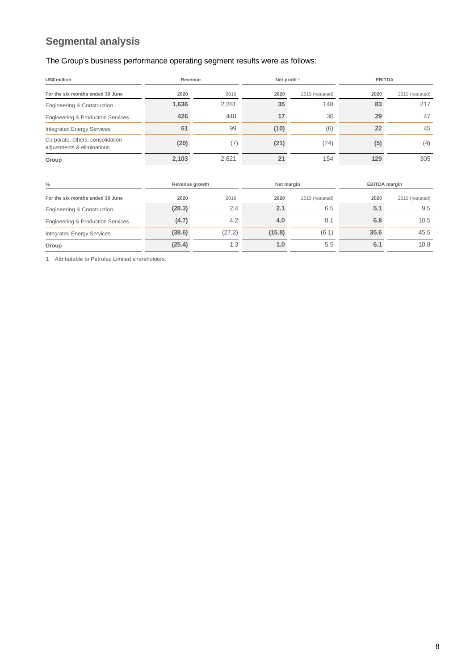## **Segmental analysis**

## The Group's business performance operating segment results were as follows:

| US\$ million                                                   | Revenue |       | Net profit <sup>1</sup> |                 |      | <b>EBITDA</b>   |
|----------------------------------------------------------------|---------|-------|-------------------------|-----------------|------|-----------------|
| For the six months ended 30 June                               | 2020    | 2019  | 2020                    | 2019 (restated) | 2020 | 2019 (restated) |
| Engineering & Construction                                     | 1,636   | 2.281 | 35                      | 148             | 83   | 217             |
| Engineering & Production Services                              | 426     | 448   | 17                      | 36              | 29   | 47              |
| <b>Integrated Energy Services</b>                              | 61      | 99    | (10)                    | (6)             | 22   | 45              |
| Corporate, others, consolidation<br>adjustments & eliminations | (20)    | (7)   | (21)                    | (24)            | (5)  | (4)             |
| Group                                                          | 2,103   | 2,821 | 21                      | 154             | 129  | 305             |
|                                                                |         |       |                         |                 |      |                 |

| %                                            | Revenue growth |        |        | Net margin      |      | <b>EBITDA margin</b> |
|----------------------------------------------|----------------|--------|--------|-----------------|------|----------------------|
| For the six months ended 30 June             | 2020           | 2019   | 2020   | 2019 (restated) | 2020 | 2019 (restated)      |
| Engineering & Construction                   | (28.3)         | 2.4    | 2.1    | 6.5             | 5.1  | 9.5                  |
| <b>Engineering &amp; Production Services</b> | (4.7)          | 4.2    | 4.0    | 8.1             | 6.8  | 10.5                 |
| <b>Integrated Energy Services</b>            | (38.6)         | (27.2) | (15.8) | (6.1)           | 35.6 | 45.5                 |
| Group                                        | (25.4)         | 1.3    | 1.0    | 5.5             | 6.1  | 10.8                 |

1 Attributable to Petrofac Limited shareholders.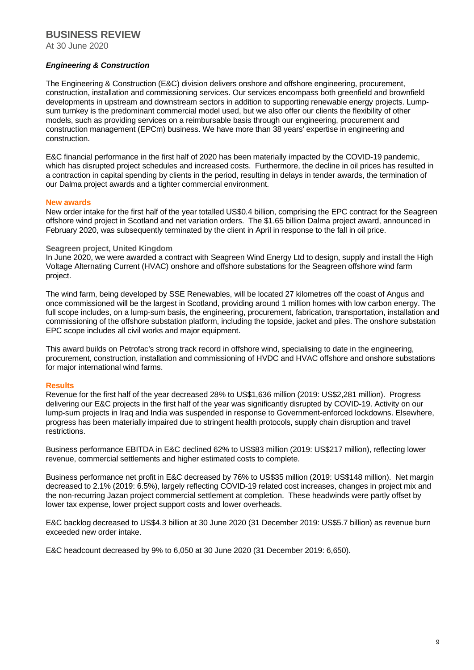### **BUSINESS REVIEW**

At 30 June 2020

#### *Engineering & Construction*

The Engineering & Construction (E&C) division delivers onshore and offshore engineering, procurement, construction, installation and commissioning services. Our services encompass both greenfield and brownfield developments in upstream and downstream sectors in addition to supporting renewable energy projects. Lumpsum turnkey is the predominant commercial model used, but we also offer our clients the flexibility of other models, such as providing services on a reimbursable basis through our engineering, procurement and construction management (EPCm) business. We have more than 38 years' expertise in engineering and construction.

E&C financial performance in the first half of 2020 has been materially impacted by the COVID-19 pandemic, which has disrupted project schedules and increased costs. Furthermore, the decline in oil prices has resulted in a contraction in capital spending by clients in the period, resulting in delays in tender awards, the termination of our Dalma project awards and a tighter commercial environment.

#### **New awards**

New order intake for the first half of the year totalled US\$0.4 billion, comprising the EPC contract for the Seagreen offshore wind project in Scotland and net variation orders. The \$1.65 billion Dalma project award, announced in February 2020, was subsequently terminated by the client in April in response to the fall in oil price.

#### **Seagreen project, United Kingdom**

In June 2020, we were awarded a contract with Seagreen Wind Energy Ltd to design, supply and install the High Voltage Alternating Current (HVAC) onshore and offshore substations for the Seagreen offshore wind farm project.

The wind farm, being developed by SSE Renewables, will be located 27 kilometres off the coast of Angus and once commissioned will be the largest in Scotland, providing around 1 million homes with low carbon energy. The full scope includes, on a lump-sum basis, the engineering, procurement, fabrication, transportation, installation and commissioning of the offshore substation platform, including the topside, jacket and piles. The onshore substation EPC scope includes all civil works and major equipment.

This award builds on Petrofac's strong track record in offshore wind, specialising to date in the engineering, procurement, construction, installation and commissioning of HVDC and HVAC offshore and onshore substations for major international wind farms.

#### **Results**

Revenue for the first half of the year decreased 28% to US\$1,636 million (2019: US\$2,281 million). Progress delivering our E&C projects in the first half of the year was significantly disrupted by COVID-19. Activity on our lump-sum projects in Iraq and India was suspended in response to Government-enforced lockdowns. Elsewhere, progress has been materially impaired due to stringent health protocols, supply chain disruption and travel restrictions.

Business performance EBITDA in E&C declined 62% to US\$83 million (2019: US\$217 million), reflecting lower revenue, commercial settlements and higher estimated costs to complete.

Business performance net profit in E&C decreased by 76% to US\$35 million (2019: US\$148 million). Net margin decreased to 2.1% (2019: 6.5%), largely reflecting COVID-19 related cost increases, changes in project mix and the non-recurring Jazan project commercial settlement at completion. These headwinds were partly offset by lower tax expense, lower project support costs and lower overheads.

E&C backlog decreased to US\$4.3 billion at 30 June 2020 (31 December 2019: US\$5.7 billion) as revenue burn exceeded new order intake.

E&C headcount decreased by 9% to 6,050 at 30 June 2020 (31 December 2019: 6,650).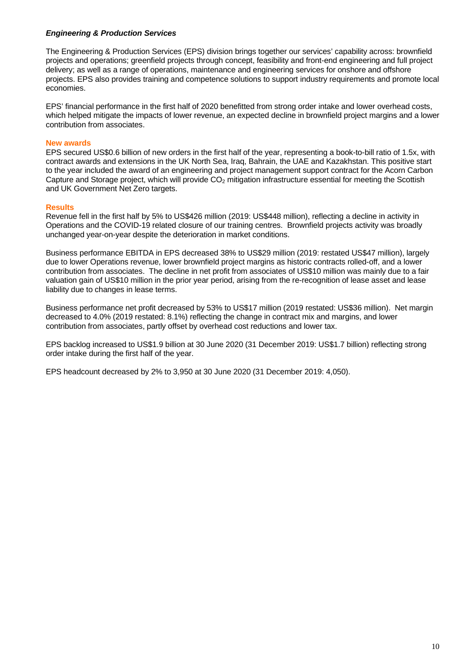#### *Engineering & Production Services*

The Engineering & Production Services (EPS) division brings together our services' capability across: brownfield projects and operations; greenfield projects through concept, feasibility and front-end engineering and full project delivery; as well as a range of operations, maintenance and engineering services for onshore and offshore projects. EPS also provides training and competence solutions to support industry requirements and promote local economies.

EPS' financial performance in the first half of 2020 benefitted from strong order intake and lower overhead costs, which helped mitigate the impacts of lower revenue, an expected decline in brownfield project margins and a lower contribution from associates.

#### **New awards**

EPS secured US\$0.6 billion of new orders in the first half of the year, representing a book-to-bill ratio of 1.5x, with contract awards and extensions in the UK North Sea, Iraq, Bahrain, the UAE and Kazakhstan. This positive start to the year included the award of an engineering and project management support contract for the Acorn Carbon Capture and Storage project, which will provide  $CO<sub>2</sub>$  mitigation infrastructure essential for meeting the Scottish and UK Government Net Zero targets.

#### **Results**

Revenue fell in the first half by 5% to US\$426 million (2019: US\$448 million), reflecting a decline in activity in Operations and the COVID-19 related closure of our training centres. Brownfield projects activity was broadly unchanged year-on-year despite the deterioration in market conditions.

Business performance EBITDA in EPS decreased 38% to US\$29 million (2019: restated US\$47 million), largely due to lower Operations revenue, lower brownfield project margins as historic contracts rolled-off, and a lower contribution from associates. The decline in net profit from associates of US\$10 million was mainly due to a fair valuation gain of US\$10 million in the prior year period, arising from the re-recognition of lease asset and lease liability due to changes in lease terms.

Business performance net profit decreased by 53% to US\$17 million (2019 restated: US\$36 million). Net margin decreased to 4.0% (2019 restated: 8.1%) reflecting the change in contract mix and margins, and lower contribution from associates, partly offset by overhead cost reductions and lower tax.

EPS backlog increased to US\$1.9 billion at 30 June 2020 (31 December 2019: US\$1.7 billion) reflecting strong order intake during the first half of the year.

EPS headcount decreased by 2% to 3,950 at 30 June 2020 (31 December 2019: 4,050).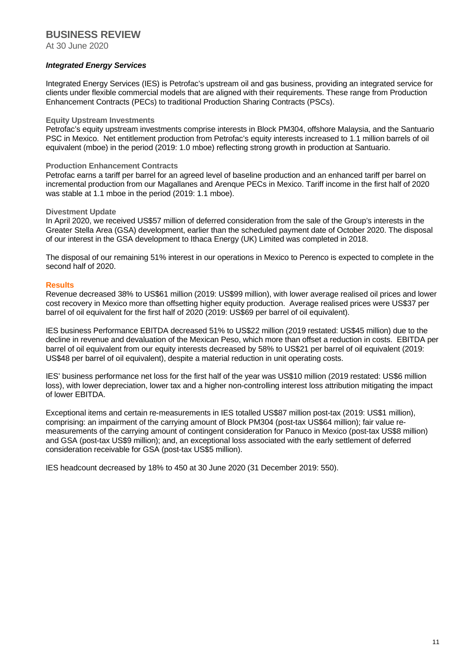### **BUSINESS REVIEW**

At 30 June 2020

#### *Integrated Energy Services*

Integrated Energy Services (IES) is Petrofac's upstream oil and gas business, providing an integrated service for clients under flexible commercial models that are aligned with their requirements. These range from Production Enhancement Contracts (PECs) to traditional Production Sharing Contracts (PSCs).

#### **Equity Upstream Investments**

Petrofac's equity upstream investments comprise interests in Block PM304, offshore Malaysia, and the Santuario PSC in Mexico. Net entitlement production from Petrofac's equity interests increased to 1.1 million barrels of oil equivalent (mboe) in the period (2019: 1.0 mboe) reflecting strong growth in production at Santuario.

#### **Production Enhancement Contracts**

Petrofac earns a tariff per barrel for an agreed level of baseline production and an enhanced tariff per barrel on incremental production from our Magallanes and Arenque PECs in Mexico. Tariff income in the first half of 2020 was stable at 1.1 mboe in the period (2019: 1.1 mboe).

#### **Divestment Update**

In April 2020, we received US\$57 million of deferred consideration from the sale of the Group's interests in the Greater Stella Area (GSA) development, earlier than the scheduled payment date of October 2020. The disposal of our interest in the GSA development to Ithaca Energy (UK) Limited was completed in 2018.

The disposal of our remaining 51% interest in our operations in Mexico to Perenco is expected to complete in the second half of 2020.

#### **Results**

Revenue decreased 38% to US\$61 million (2019: US\$99 million), with lower average realised oil prices and lower cost recovery in Mexico more than offsetting higher equity production. Average realised prices were US\$37 per barrel of oil equivalent for the first half of 2020 (2019: US\$69 per barrel of oil equivalent).

IES business Performance EBITDA decreased 51% to US\$22 million (2019 restated: US\$45 million) due to the decline in revenue and devaluation of the Mexican Peso, which more than offset a reduction in costs. EBITDA per barrel of oil equivalent from our equity interests decreased by 58% to US\$21 per barrel of oil equivalent (2019: US\$48 per barrel of oil equivalent), despite a material reduction in unit operating costs.

IES' business performance net loss for the first half of the year was US\$10 million (2019 restated: US\$6 million loss), with lower depreciation, lower tax and a higher non-controlling interest loss attribution mitigating the impact of lower EBITDA.

Exceptional items and certain re-measurements in IES totalled US\$87 million post-tax (2019: US\$1 million), comprising: an impairment of the carrying amount of Block PM304 (post-tax US\$64 million); fair value remeasurements of the carrying amount of contingent consideration for Panuco in Mexico (post-tax US\$8 million) and GSA (post-tax US\$9 million); and, an exceptional loss associated with the early settlement of deferred consideration receivable for GSA (post-tax US\$5 million).

IES headcount decreased by 18% to 450 at 30 June 2020 (31 December 2019: 550).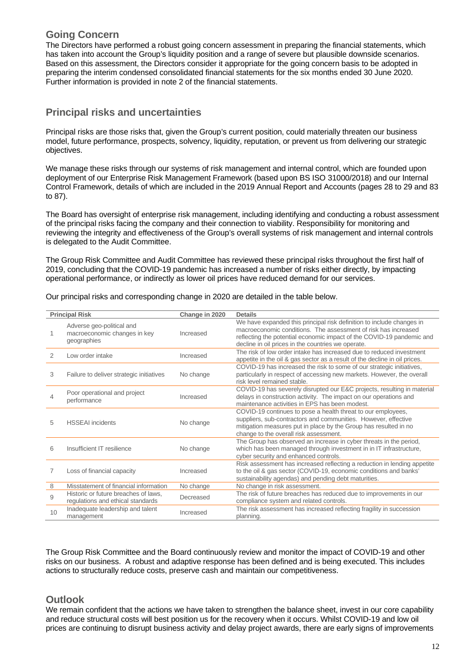### **Going Concern**

The Directors have performed a robust going concern assessment in preparing the financial statements, which has taken into account the Group's liquidity position and a range of severe but plausible downside scenarios. Based on this assessment, the Directors consider it appropriate for the going concern basis to be adopted in preparing the interim condensed consolidated financial statements for the six months ended 30 June 2020. Further information is provided in note 2 of the financial statements.

## **Principal risks and uncertainties**

Principal risks are those risks that, given the Group's current position, could materially threaten our business model, future performance, prospects, solvency, liquidity, reputation, or prevent us from delivering our strategic objectives.

We manage these risks through our systems of risk management and internal control, which are founded upon deployment of our Enterprise Risk Management Framework (based upon BS ISO 31000/2018) and our Internal Control Framework, details of which are included in the 2019 Annual Report and Accounts (pages 28 to 29 and 83 to 87).

The Board has oversight of enterprise risk management, including identifying and conducting a robust assessment of the principal risks facing the company and their connection to viability. Responsibility for monitoring and reviewing the integrity and effectiveness of the Group's overall systems of risk management and internal controls is delegated to the Audit Committee.

The Group Risk Committee and Audit Committee has reviewed these principal risks throughout the first half of 2019, concluding that the COVID-19 pandemic has increased a number of risks either directly, by impacting operational performance, or indirectly as lower oil prices have reduced demand for our services.

|    | <b>Principal Risk</b>                                                     | Change in 2020 | <b>Details</b>                                                                                                                                                                                                                                                         |
|----|---------------------------------------------------------------------------|----------------|------------------------------------------------------------------------------------------------------------------------------------------------------------------------------------------------------------------------------------------------------------------------|
|    | Adverse geo-political and<br>macroeconomic changes in key<br>geographies  | Increased      | We have expanded this principal risk definition to include changes in<br>macroeconomic conditions. The assessment of risk has increased<br>reflecting the potential economic impact of the COVID-19 pandemic and<br>decline in oil prices in the countries we operate. |
| 2  | Low order intake                                                          | Increased      | The risk of low order intake has increased due to reduced investment<br>appetite in the oil & gas sector as a result of the decline in oil prices.                                                                                                                     |
| 3  | Failure to deliver strategic initiatives                                  | No change      | COVID-19 has increased the risk to some of our strategic initiatives,<br>particularly in respect of accessing new markets. However, the overall<br>risk level remained stable.                                                                                         |
| 4  | Poor operational and project<br>performance                               | Increased      | COVID-19 has severely disrupted our E&C projects, resulting in material<br>delays in construction activity. The impact on our operations and<br>maintenance activities in EPS has been modest.                                                                         |
| 5  | <b>HSSEAI</b> incidents                                                   | No change      | COVID-19 continues to pose a health threat to our employees,<br>suppliers, sub-contractors and communities. However, effective<br>mitigation measures put in place by the Group has resulted in no<br>change to the overall risk assessment.                           |
| 6  | Insufficient IT resilience                                                | No change      | The Group has observed an increase in cyber threats in the period,<br>which has been managed through investment in in IT infrastructure,<br>cyber security and enhanced controls.                                                                                      |
| 7  | Loss of financial capacity                                                | Increased      | Risk assessment has increased reflecting a reduction in lending appetite<br>to the oil & gas sector (COVID-19, economic conditions and banks'<br>sustainability agendas) and pending debt maturities.                                                                  |
| 8  | Misstatement of financial information                                     | No change      | No change in risk assessment.                                                                                                                                                                                                                                          |
| 9  | Historic or future breaches of laws,<br>regulations and ethical standards | Decreased      | The risk of future breaches has reduced due to improvements in our<br>compliance system and related controls.                                                                                                                                                          |
| 10 | Inadequate leadership and talent<br>management                            | Increased      | The risk assessment has increased reflecting fragility in succession<br>planning.                                                                                                                                                                                      |

Our principal risks and corresponding change in 2020 are detailed in the table below.

The Group Risk Committee and the Board continuously review and monitor the impact of COVID-19 and other risks on our business. A robust and adaptive response has been defined and is being executed. This includes actions to structurally reduce costs, preserve cash and maintain our competitiveness.

## **Outlook**

We remain confident that the actions we have taken to strengthen the balance sheet, invest in our core capability and reduce structural costs will best position us for the recovery when it occurs. Whilst COVID-19 and low oil prices are continuing to disrupt business activity and delay project awards, there are early signs of improvements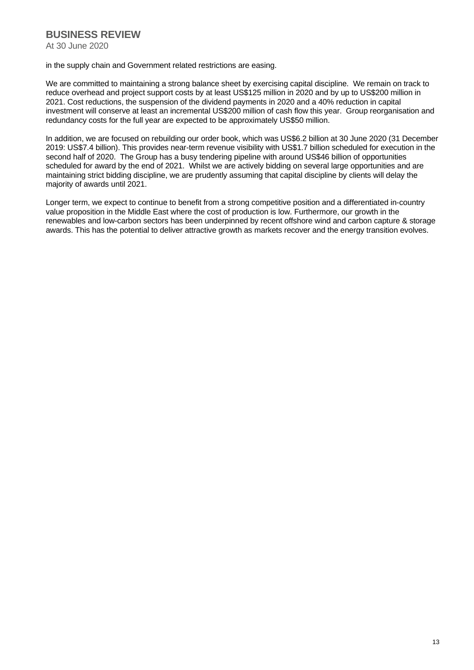## **BUSINESS REVIEW**

At 30 June 2020

#### in the supply chain and Government related restrictions are easing.

We are committed to maintaining a strong balance sheet by exercising capital discipline. We remain on track to reduce overhead and project support costs by at least US\$125 million in 2020 and by up to US\$200 million in 2021. Cost reductions, the suspension of the dividend payments in 2020 and a 40% reduction in capital investment will conserve at least an incremental US\$200 million of cash flow this year. Group reorganisation and redundancy costs for the full year are expected to be approximately US\$50 million.

In addition, we are focused on rebuilding our order book, which was US\$6.2 billion at 30 June 2020 (31 December 2019: US\$7.4 billion). This provides near-term revenue visibility with US\$1.7 billion scheduled for execution in the second half of 2020. The Group has a busy tendering pipeline with around US\$46 billion of opportunities scheduled for award by the end of 2021. Whilst we are actively bidding on several large opportunities and are maintaining strict bidding discipline, we are prudently assuming that capital discipline by clients will delay the majority of awards until 2021.

Longer term, we expect to continue to benefit from a strong competitive position and a differentiated in-country value proposition in the Middle East where the cost of production is low. Furthermore, our growth in the renewables and low-carbon sectors has been underpinned by recent offshore wind and carbon capture & storage awards. This has the potential to deliver attractive growth as markets recover and the energy transition evolves.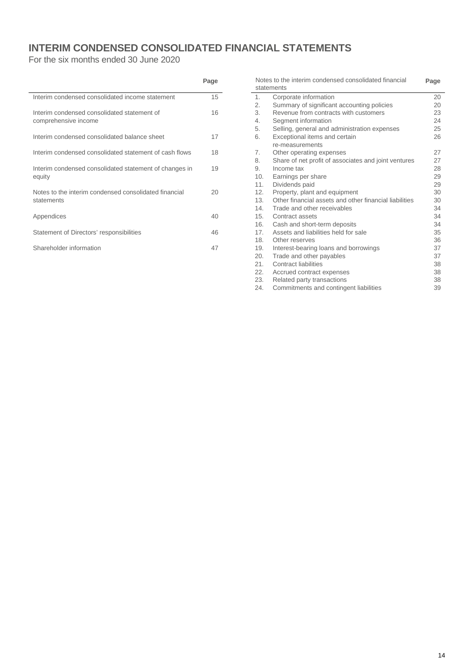## **INTERIM CONDENSED CONSOLIDATED FINANCIAL STATEMENTS**

For the six months ended 30 June 2020

|                                                                     | Page |
|---------------------------------------------------------------------|------|
| Interim condensed consolidated income statement                     | 15   |
| Interim condensed consolidated statement of<br>comprehensive income | 16   |
| Interim condensed consolidated balance sheet                        | 17   |
| Interim condensed consolidated statement of cash flows              | 18   |
| Interim condensed consolidated statement of changes in<br>equity    | 19   |
| Notes to the interim condensed consolidated financial<br>statements | 20   |
| Appendices                                                          | 40   |
| Statement of Directors' responsibilities                            | 46   |
| Shareholder information                                             | 47   |
|                                                                     |      |

|     | Notes to the interim condensed consolidated financial<br>statements | Page |
|-----|---------------------------------------------------------------------|------|
| 1.  | Corporate information                                               | 20   |
| 2.  | Summary of significant accounting policies                          | 20   |
| 3.  | Revenue from contracts with customers                               | 23   |
| 4.  | Segment information                                                 | 24   |
| 5.  | Selling, general and administration expenses                        | 25   |
| 6.  | Exceptional items and certain                                       | 26   |
|     | re-measurements                                                     |      |
| 7.  | Other operating expenses                                            | 27   |
| 8.  | Share of net profit of associates and joint ventures                | 27   |
| 9.  | Income tax                                                          | 28   |
| 10. | Earnings per share                                                  | 29   |
| 11. | Dividends paid                                                      | 29   |
| 12. | Property, plant and equipment                                       | 30   |
| 13. | Other financial assets and other financial liabilities              | 30   |
| 14. | Trade and other receivables                                         | 34   |
| 15. | Contract assets                                                     | 34   |
| 16. | Cash and short-term deposits                                        | 34   |
| 17. | Assets and liabilities held for sale                                | 35   |
| 18. | Other reserves                                                      | 36   |
| 19. | Interest-bearing loans and borrowings                               | 37   |
| 20. | Trade and other payables                                            | 37   |
| 21. | Contract liabilities                                                | 38   |
| 22. | Accrued contract expenses                                           | 38   |
| 23. | Related party transactions                                          | 38   |
| 24. | Commitments and contingent liabilities                              | 39   |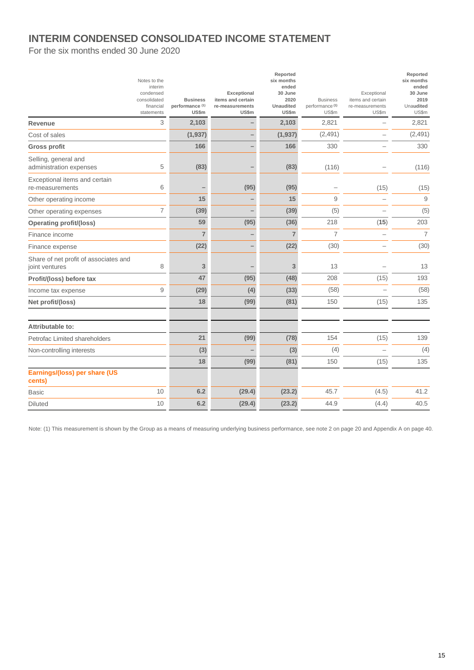## **INTERIM CONDENSED CONSOLIDATED INCOME STATEMENT**

For the six months ended 30 June 2020

| Notes to the<br>interim<br>condensed<br>consolidated<br>financial<br>statements | <b>Business</b><br>performance (1)<br>US\$m | Exceptional<br>items and certain<br>re-measurements<br>US\$m | Reported<br>six months<br>ended<br>30 June<br>2020<br>Unaudited<br>US\$m | <b>Business</b><br>performance <sup>(1)</sup><br>US\$m | Exceptional<br>items and certain<br>re-measurements<br>US\$m | Reported<br>six months<br>ended<br>30 June<br>2019<br>Unaudited<br>US\$m |
|---------------------------------------------------------------------------------|---------------------------------------------|--------------------------------------------------------------|--------------------------------------------------------------------------|--------------------------------------------------------|--------------------------------------------------------------|--------------------------------------------------------------------------|
| 3<br>Revenue                                                                    | 2,103                                       |                                                              | 2,103                                                                    | 2,821                                                  |                                                              | 2,821                                                                    |
| Cost of sales                                                                   | (1, 937)                                    |                                                              | (1, 937)                                                                 | (2, 491)                                               | $\overline{\phantom{a}}$                                     | (2,491)                                                                  |
| <b>Gross profit</b>                                                             | 166                                         |                                                              | 166                                                                      | 330                                                    |                                                              | 330                                                                      |
| Selling, general and<br>5<br>administration expenses                            | (83)                                        |                                                              | (83)                                                                     | (116)                                                  |                                                              | (116)                                                                    |
| Exceptional items and certain<br>6<br>re-measurements                           |                                             | (95)                                                         | (95)                                                                     |                                                        | (15)                                                         | (15)                                                                     |
| Other operating income                                                          | 15                                          |                                                              | 15                                                                       | 9                                                      | L.                                                           | 9                                                                        |
| $\overline{7}$<br>Other operating expenses                                      | (39)                                        |                                                              | (39)                                                                     | (5)                                                    |                                                              | (5)                                                                      |
| <b>Operating profit/(loss)</b>                                                  | 59                                          | (95)                                                         | (36)                                                                     | 218                                                    | (15)                                                         | 203                                                                      |
| Finance income                                                                  | $\overline{7}$                              |                                                              | $\overline{7}$                                                           | $\overline{7}$                                         |                                                              | $\overline{7}$                                                           |
| Finance expense                                                                 | (22)                                        |                                                              | (22)                                                                     | (30)                                                   |                                                              | (30)                                                                     |
| Share of net profit of associates and<br>8<br>joint ventures                    | 3                                           |                                                              | 3                                                                        | 13                                                     |                                                              | 13                                                                       |
| Profit/(loss) before tax                                                        | 47                                          | (95)                                                         | (48)                                                                     | 208                                                    | (15)                                                         | 193                                                                      |
| 9<br>Income tax expense                                                         | (29)                                        | (4)                                                          | (33)                                                                     | (58)                                                   |                                                              | (58)                                                                     |
| Net profit/(loss)                                                               | 18                                          | (99)                                                         | (81)                                                                     | 150                                                    | (15)                                                         | 135                                                                      |
| Attributable to:                                                                |                                             |                                                              |                                                                          |                                                        |                                                              |                                                                          |
| Petrofac Limited shareholders                                                   | 21                                          | (99)                                                         | (78)                                                                     | 154                                                    | (15)                                                         | 139                                                                      |
| Non-controlling interests                                                       | (3)                                         |                                                              | (3)                                                                      | (4)                                                    | $\overline{\phantom{a}}$                                     | (4)                                                                      |
|                                                                                 | 18                                          | (99)                                                         | (81)                                                                     | 150                                                    | (15)                                                         | 135                                                                      |
| Earnings/(loss) per share (US<br>cents)                                         |                                             |                                                              |                                                                          |                                                        |                                                              |                                                                          |
| 10<br><b>Basic</b>                                                              | 6.2                                         | (29.4)                                                       | (23.2)                                                                   | 45.7                                                   | (4.5)                                                        | 41.2                                                                     |
| 10<br><b>Diluted</b>                                                            | 6.2                                         | (29.4)                                                       | (23.2)                                                                   | 44.9                                                   | (4.4)                                                        | 40.5                                                                     |

Note: (1) This measurement is shown by the Group as a means of measuring underlying business performance, see note 2 on page 20 and Appendix A on page 40.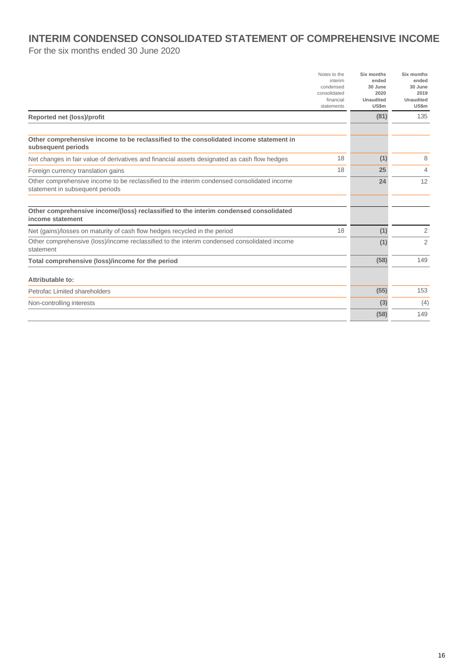## **INTERIM CONDENSED CONSOLIDATED STATEMENT OF COMPREHENSIVE INCOME**

For the six months ended 30 June 2020

|                                                                                                                               | Notes to the<br>interim<br>condensed<br>consolidated<br>financial<br>statements | Six months<br>ended<br>30 June<br>2020<br>Unaudited<br>US\$m | Six months<br>ended<br>30 June<br>2019<br>Unaudited<br>US\$m |
|-------------------------------------------------------------------------------------------------------------------------------|---------------------------------------------------------------------------------|--------------------------------------------------------------|--------------------------------------------------------------|
| Reported net (loss)/profit                                                                                                    |                                                                                 | (81)                                                         | 135                                                          |
|                                                                                                                               |                                                                                 |                                                              |                                                              |
| Other comprehensive income to be reclassified to the consolidated income statement in<br>subsequent periods                   |                                                                                 |                                                              |                                                              |
| Net changes in fair value of derivatives and financial assets designated as cash flow hedges                                  | 18                                                                              | (1)                                                          | 8                                                            |
| Foreign currency translation gains                                                                                            | 18                                                                              | 25                                                           | 4                                                            |
| Other comprehensive income to be reclassified to the interim condensed consolidated income<br>statement in subsequent periods |                                                                                 | 24                                                           | 12                                                           |
| Other comprehensive income/(loss) reclassified to the interim condensed consolidated<br>income statement                      |                                                                                 |                                                              |                                                              |
| Net (gains)/losses on maturity of cash flow hedges recycled in the period                                                     | 18                                                                              | (1)                                                          | 2                                                            |
| Other comprehensive (loss)/income reclassified to the interim condensed consolidated income<br>statement                      |                                                                                 | (1)                                                          | 2                                                            |
| Total comprehensive (loss)/income for the period                                                                              |                                                                                 | (58)                                                         | 149                                                          |
| Attributable to:                                                                                                              |                                                                                 |                                                              |                                                              |
| Petrofac Limited shareholders                                                                                                 |                                                                                 | (55)                                                         | 153                                                          |
| Non-controlling interests                                                                                                     |                                                                                 | (3)                                                          | (4)                                                          |
|                                                                                                                               |                                                                                 | (58)                                                         | 149                                                          |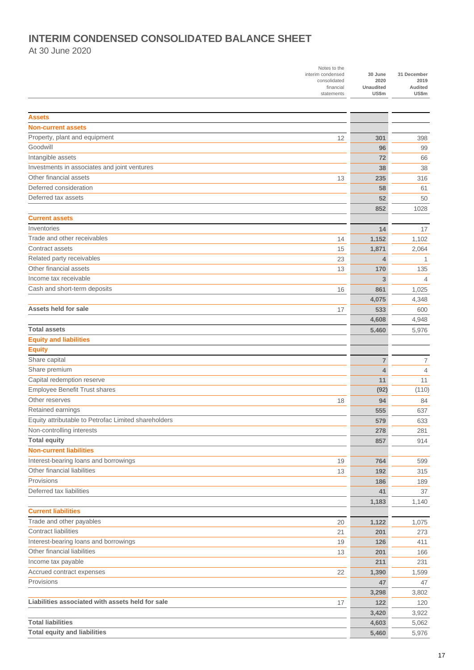## **INTERIM CONDENSED CONSOLIDATED BALANCE SHEET**

At 30 June 2020

|                                                                      | Notes to the<br>interim condensed<br>consolidated<br>financial<br>statements | 30 June<br>2020<br><b>Unaudited</b><br>US\$m | 31 December<br>2019<br>Audited<br>US\$m |
|----------------------------------------------------------------------|------------------------------------------------------------------------------|----------------------------------------------|-----------------------------------------|
| <b>Assets</b>                                                        |                                                                              |                                              |                                         |
| <b>Non-current assets</b>                                            |                                                                              |                                              |                                         |
| Property, plant and equipment                                        | 12                                                                           | 301                                          | 398                                     |
| Goodwill                                                             |                                                                              | 96                                           | 99                                      |
| Intangible assets                                                    |                                                                              | 72                                           | 66                                      |
| Investments in associates and joint ventures                         |                                                                              | 38                                           | 38                                      |
| Other financial assets                                               | 13                                                                           | 235                                          | 316                                     |
| Deferred consideration                                               |                                                                              | 58                                           | 61                                      |
| Deferred tax assets                                                  |                                                                              | 52                                           | 50                                      |
|                                                                      |                                                                              | 852                                          | 1028                                    |
| <b>Current assets</b>                                                |                                                                              |                                              |                                         |
| Inventories                                                          |                                                                              | 14                                           | 17                                      |
| Trade and other receivables                                          | 14                                                                           | 1,152                                        | 1,102                                   |
| Contract assets                                                      | 15                                                                           | 1,871                                        | 2,064                                   |
| Related party receivables                                            | 23                                                                           | 4                                            | 1                                       |
| Other financial assets                                               | 13                                                                           | 170                                          | 135                                     |
| Income tax receivable                                                |                                                                              | 3                                            | 4                                       |
| Cash and short-term deposits                                         |                                                                              |                                              |                                         |
|                                                                      | 16                                                                           | 861                                          | 1,025                                   |
| Assets held for sale                                                 |                                                                              | 4,075<br>533                                 | 4,348                                   |
|                                                                      | 17                                                                           |                                              | 600                                     |
| <b>Total assets</b>                                                  |                                                                              | 4,608                                        | 4,948                                   |
| <b>Equity and liabilities</b>                                        |                                                                              | 5.460                                        | 5,976                                   |
|                                                                      |                                                                              |                                              |                                         |
| <b>Equity</b>                                                        |                                                                              |                                              |                                         |
| Share capital                                                        |                                                                              | 7                                            | 7                                       |
| Share premium                                                        |                                                                              | $\overline{4}$                               | 4                                       |
| Capital redemption reserve                                           |                                                                              | 11                                           | 11                                      |
| Employee Benefit Trust shares                                        |                                                                              | (92)                                         | (110)                                   |
| Other reserves                                                       | 18                                                                           | 94                                           | 84                                      |
| Retained earnings                                                    |                                                                              | 555                                          | 637                                     |
| Equity attributable to Petrofac Limited shareholders                 |                                                                              | 579                                          | 633                                     |
| Non-controlling interests                                            |                                                                              | 278                                          | 281                                     |
| <b>Total equity</b>                                                  |                                                                              | 857                                          | 914                                     |
| <b>Non-current liabilities</b>                                       |                                                                              |                                              |                                         |
| Interest-bearing loans and borrowings<br>Other financial liabilities | 19                                                                           | 764                                          | 599                                     |
|                                                                      | 13                                                                           | 192                                          | 315                                     |
| Provisions<br>Deferred tax liabilities                               |                                                                              | 186                                          | 189                                     |
|                                                                      |                                                                              | 41                                           | 37                                      |
|                                                                      |                                                                              | 1,183                                        | 1,140                                   |
| <b>Current liabilities</b>                                           |                                                                              |                                              |                                         |
| Trade and other payables                                             | 20                                                                           | 1,122                                        | 1,075                                   |
| <b>Contract liabilities</b>                                          | 21                                                                           | 201                                          | 273                                     |
| Interest-bearing loans and borrowings                                | 19                                                                           | 126                                          | 411                                     |
| Other financial liabilities                                          | 13                                                                           | 201                                          | 166                                     |
| Income tax payable                                                   |                                                                              | 211                                          | 231                                     |
| Accrued contract expenses                                            | 22                                                                           | 1,390                                        | 1,599                                   |
| Provisions                                                           |                                                                              | 47                                           | 47                                      |
|                                                                      |                                                                              | 3,298                                        | 3,802                                   |
| Liabilities associated with assets held for sale                     | 17                                                                           | 122                                          | 120                                     |
|                                                                      |                                                                              | 3,420                                        | 3,922                                   |
| <b>Total liabilities</b>                                             |                                                                              | 4,603                                        | 5,062                                   |
| <b>Total equity and liabilities</b>                                  |                                                                              | 5,460                                        | 5,976                                   |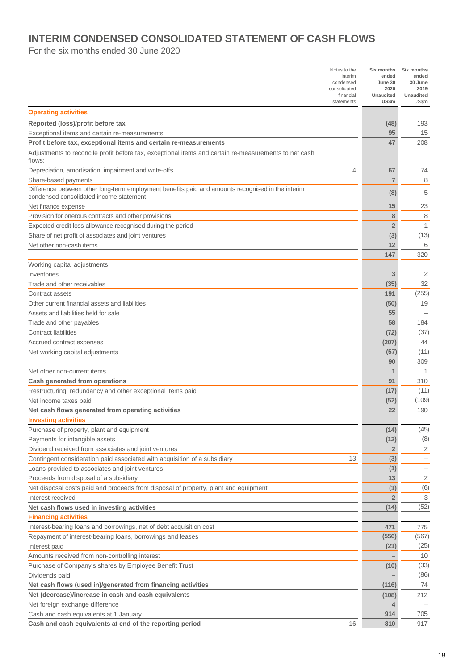## **INTERIM CONDENSED CONSOLIDATED STATEMENT OF CASH FLOWS**

For the six months ended 30 June 2020

|                                                                                                                                              | Notes to the<br>interim | Six months<br>ended      | Six months<br>ended      |
|----------------------------------------------------------------------------------------------------------------------------------------------|-------------------------|--------------------------|--------------------------|
|                                                                                                                                              | condensed               | June 30                  | 30 June                  |
|                                                                                                                                              | consolidated            | 2020<br><b>Unaudited</b> | 2019                     |
|                                                                                                                                              | financial<br>statements | US\$m                    | Unaudited<br>US\$m       |
| <b>Operating activities</b>                                                                                                                  |                         |                          |                          |
| Reported (loss)/profit before tax                                                                                                            |                         | (48)                     | 193                      |
| Exceptional items and certain re-measurements                                                                                                |                         | 95                       | 15                       |
| Profit before tax, exceptional items and certain re-measurements                                                                             |                         | 47                       | 208                      |
| Adjustments to reconcile profit before tax, exceptional items and certain re-measurements to net cash<br>flows:                              |                         |                          |                          |
| Depreciation, amortisation, impairment and write-offs                                                                                        | 4                       | 67                       | 74                       |
| Share-based payments                                                                                                                         |                         | $\overline{7}$           | 8                        |
| Difference between other long-term employment benefits paid and amounts recognised in the interim<br>condensed consolidated income statement |                         | (8)                      | 5                        |
| Net finance expense                                                                                                                          |                         | 15                       | 23                       |
| Provision for onerous contracts and other provisions                                                                                         |                         | 8                        | 8                        |
| Expected credit loss allowance recognised during the period                                                                                  |                         | $\overline{2}$           | 1                        |
| Share of net profit of associates and joint ventures                                                                                         |                         | (3)                      | (13)                     |
| Net other non-cash items                                                                                                                     |                         | 12                       | 6                        |
|                                                                                                                                              |                         | 147                      | 320                      |
| Working capital adjustments:                                                                                                                 |                         |                          |                          |
| Inventories                                                                                                                                  |                         | 3                        | 2                        |
| Trade and other receivables                                                                                                                  |                         | (35)                     | 32                       |
| Contract assets                                                                                                                              |                         | 191                      | (255)                    |
| Other current financial assets and liabilities                                                                                               |                         | (50)                     | 19                       |
| Assets and liabilities held for sale                                                                                                         |                         | 55                       |                          |
| Trade and other payables                                                                                                                     |                         | 58                       | 184                      |
| <b>Contract liabilities</b>                                                                                                                  |                         | (72)                     | (37)                     |
| Accrued contract expenses                                                                                                                    |                         | (207)                    | 44                       |
| Net working capital adjustments                                                                                                              |                         | (57)                     | (11)                     |
|                                                                                                                                              |                         | 90                       | 309                      |
| Net other non-current items                                                                                                                  |                         | $\mathbf 1$              | 1                        |
| Cash generated from operations                                                                                                               |                         | 91                       | 310                      |
| Restructuring, redundancy and other exceptional items paid                                                                                   |                         | (17)                     | (11)                     |
| Net income taxes paid                                                                                                                        |                         | (52)                     | (109)                    |
| Net cash flows generated from operating activities                                                                                           |                         | 22                       | 190                      |
| <b>Investing activities</b>                                                                                                                  |                         |                          |                          |
| Purchase of property, plant and equipment                                                                                                    |                         | (14)                     | (45)                     |
| Payments for intangible assets                                                                                                               |                         | (12)                     | (8)                      |
| Dividend received from associates and joint ventures                                                                                         |                         | $\overline{2}$           | 2                        |
| Contingent consideration paid associated with acquisition of a subsidiary                                                                    | 13                      | (3)                      | $\overline{\phantom{0}}$ |
| Loans provided to associates and joint ventures                                                                                              |                         | (1)                      | -                        |
| Proceeds from disposal of a subsidiary                                                                                                       |                         | 13                       | 2                        |
| Net disposal costs paid and proceeds from disposal of property, plant and equipment                                                          |                         | (1)                      | (6)                      |
| Interest received                                                                                                                            |                         | $\overline{2}$           | 3                        |
| Net cash flows used in investing activities                                                                                                  |                         | (14)                     | (52)                     |
| <b>Financing activities</b>                                                                                                                  |                         |                          |                          |
| Interest-bearing loans and borrowings, net of debt acquisition cost                                                                          |                         | 471                      | 775                      |
| Repayment of interest-bearing loans, borrowings and leases                                                                                   |                         | (556)                    | (567)                    |
| Interest paid                                                                                                                                |                         | (21)                     | (25)                     |
| Amounts received from non-controlling interest                                                                                               |                         |                          | 10                       |
| Purchase of Company's shares by Employee Benefit Trust                                                                                       |                         | (10)                     | (33)                     |
| Dividends paid                                                                                                                               |                         |                          | (86)                     |
| Net cash flows (used in)/generated from financing activities                                                                                 |                         | (116)                    | 74                       |
| Net (decrease)/increase in cash and cash equivalents                                                                                         |                         | (108)                    | 212                      |
| Net foreign exchange difference                                                                                                              |                         |                          |                          |
| Cash and cash equivalents at 1 January                                                                                                       |                         | 914<br>810               | 705<br>917               |
| Cash and cash equivalents at end of the reporting period                                                                                     | 16                      |                          |                          |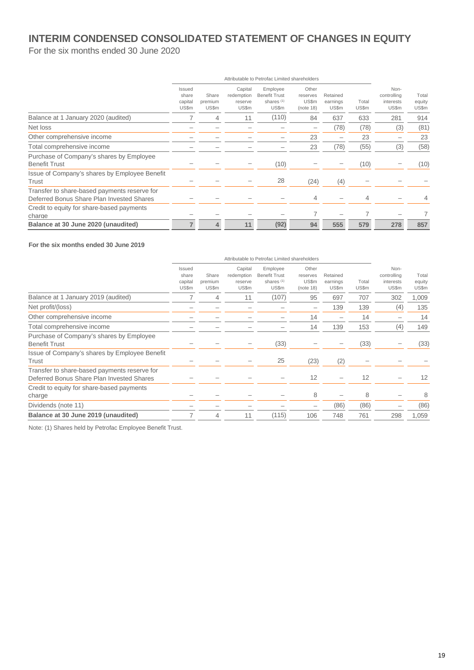## **INTERIM CONDENSED CONSOLIDATED STATEMENT OF CHANGES IN EQUITY**

For the six months ended 30 June 2020

|                                                                                           | Attributable to Petrofac Limited shareholders |                           |                                           |                                                                    |                                         |                               |                |                                           |                          |
|-------------------------------------------------------------------------------------------|-----------------------------------------------|---------------------------|-------------------------------------------|--------------------------------------------------------------------|-----------------------------------------|-------------------------------|----------------|-------------------------------------------|--------------------------|
|                                                                                           | Issued<br>share<br>capital<br>US\$m           | Share<br>premium<br>US\$m | Capital<br>redemption<br>reserve<br>US\$m | Employee<br><b>Benefit Trust</b><br>shares <sup>(1)</sup><br>US\$m | Other<br>reserves<br>US\$m<br>(note 18) | Retained<br>earnings<br>US\$m | Total<br>US\$m | Non-<br>controlling<br>interests<br>US\$m | Total<br>equity<br>US\$m |
| Balance at 1 January 2020 (audited)                                                       |                                               | 4                         | 11                                        | (110)                                                              | 84                                      | 637                           | 633            | 281                                       | 914                      |
| Net loss                                                                                  |                                               |                           |                                           |                                                                    | -                                       | (78)                          | (78)           | (3)                                       | (81)                     |
| Other comprehensive income                                                                |                                               |                           |                                           |                                                                    | 23                                      |                               | 23             |                                           | 23                       |
| Total comprehensive income                                                                |                                               |                           |                                           |                                                                    | 23                                      | (78)                          | (55)           | (3)                                       | (58)                     |
| Purchase of Company's shares by Employee<br><b>Benefit Trust</b>                          |                                               |                           |                                           | (10)                                                               |                                         |                               | (10)           |                                           | (10)                     |
| Issue of Company's shares by Employee Benefit<br>Trust                                    |                                               |                           |                                           | 28                                                                 | (24)                                    | (4)                           |                |                                           |                          |
| Transfer to share-based payments reserve for<br>Deferred Bonus Share Plan Invested Shares |                                               |                           |                                           |                                                                    | 4                                       |                               |                |                                           |                          |
| Credit to equity for share-based payments<br>charge                                       |                                               |                           |                                           |                                                                    | 7                                       |                               |                |                                           |                          |
| Balance at 30 June 2020 (unaudited)                                                       | 7                                             | 4                         | 11                                        | (92)                                                               | 94                                      | 555                           | 579            | 278                                       | 857                      |

#### **For the six months ended 30 June 2019**

|                                                                                           | Attributable to Petrofac Limited shareholders |                           |                                           |                                                                    |                                         |                               |                |                                           |                          |
|-------------------------------------------------------------------------------------------|-----------------------------------------------|---------------------------|-------------------------------------------|--------------------------------------------------------------------|-----------------------------------------|-------------------------------|----------------|-------------------------------------------|--------------------------|
|                                                                                           | Issued<br>share<br>capital<br>US\$m           | Share<br>premium<br>US\$m | Capital<br>redemption<br>reserve<br>US\$m | Employee<br><b>Benefit Trust</b><br>shares <sup>(1)</sup><br>US\$m | Other<br>reserves<br>US\$m<br>(note 18) | Retained<br>earnings<br>US\$m | Total<br>US\$m | Non-<br>controlling<br>interests<br>US\$m | Total<br>equity<br>US\$m |
| Balance at 1 January 2019 (audited)                                                       |                                               | 4                         | 11                                        | (107)                                                              | 95                                      | 697                           | 707            | 302                                       | 1,009                    |
| Net profit/(loss)                                                                         |                                               |                           |                                           |                                                                    | -                                       | 139                           | 139            | (4)                                       | 135                      |
| Other comprehensive income                                                                |                                               |                           |                                           |                                                                    | 14                                      |                               | 14             |                                           | 14                       |
| Total comprehensive income                                                                |                                               |                           |                                           |                                                                    | 14                                      | 139                           | 153            | (4)                                       | 149                      |
| Purchase of Company's shares by Employee<br><b>Benefit Trust</b>                          |                                               |                           |                                           | (33)                                                               |                                         |                               | (33)           |                                           | (33)                     |
| Issue of Company's shares by Employee Benefit<br>Trust                                    |                                               |                           |                                           | 25                                                                 | (23)                                    | (2)                           |                |                                           |                          |
| Transfer to share-based payments reserve for<br>Deferred Bonus Share Plan Invested Shares |                                               |                           |                                           |                                                                    | 12                                      |                               | 12             |                                           | 12                       |
| Credit to equity for share-based payments<br>charge                                       |                                               |                           |                                           |                                                                    | 8                                       |                               | 8              |                                           | 8                        |
| Dividends (note 11)                                                                       |                                               |                           |                                           |                                                                    | -                                       | (86)                          | (86)           |                                           | (86)                     |
| Balance at 30 June 2019 (unaudited)                                                       | 7                                             | 4                         | 11                                        | (115)                                                              | 106                                     | 748                           | 761            | 298                                       | 1,059                    |
|                                                                                           |                                               |                           |                                           |                                                                    |                                         |                               |                |                                           |                          |

Note: (1) Shares held by Petrofac Employee Benefit Trust.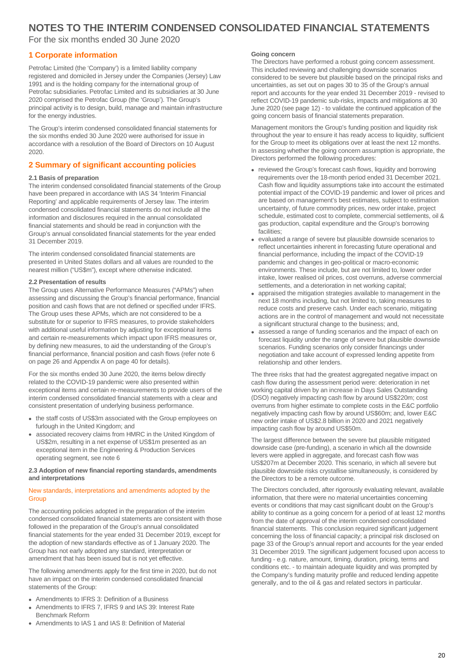For the six months ended 30 June 2020

#### **1 Corporate information**

Petrofac Limited (the 'Company') is a limited liability company registered and domiciled in Jersey under the Companies (Jersey) Law 1991 and is the holding company for the international group of Petrofac subsidiaries. Petrofac Limited and its subsidiaries at 30 June 2020 comprised the Petrofac Group (the 'Group'). The Group's principal activity is to design, build, manage and maintain infrastructure for the energy industries.

The Group's interim condensed consolidated financial statements for the six months ended 30 June 2020 were authorised for issue in accordance with a resolution of the Board of Directors on 10 August 2020.

#### **2 Summary of significant accounting policies**

#### **2.1 Basis of preparation**

The interim condensed consolidated financial statements of the Group have been prepared in accordance with IAS 34 'Interim Financial Reporting' and applicable requirements of Jersey law. The interim condensed consolidated financial statements do not include all the information and disclosures required in the annual consolidated financial statements and should be read in conjunction with the Group's annual consolidated financial statements for the year ended 31 December 2019.

The interim condensed consolidated financial statements are presented in United States dollars and all values are rounded to the nearest million ("US\$m"), except where otherwise indicated.

#### **2.2 Presentation of results**

The Group uses Alternative Performance Measures ("APMs") when assessing and discussing the Group's financial performance, financial position and cash flows that are not defined or specified under IFRS. The Group uses these APMs, which are not considered to be a substitute for or superior to IFRS measures, to provide stakeholders with additional useful information by adjusting for exceptional items and certain re-measurements which impact upon IFRS measures or, by defining new measures, to aid the understanding of the Group's financial performance, financial position and cash flows (refer note 6 on page 26 and Appendix A on page 40 for details).

For the six months ended 30 June 2020, the items below directly related to the COVID-19 pandemic were also presented within exceptional items and certain re-measurements to provide users of the interim condensed consolidated financial statements with a clear and consistent presentation of underlying business performance.

- the staff costs of US\$3m associated with the Group employees on furlough in the United Kingdom; and
- associated recovery claims from HMRC in the United Kingdom of US\$2m, resulting in a net expense of US\$1m presented as an exceptional item in the Engineering & Production Services operating segment, see note 6

#### **2.3 Adoption of new financial reporting standards, amendments and interpretations**

#### New standards, interpretations and amendments adopted by the **Group**

The accounting policies adopted in the preparation of the interim condensed consolidated financial statements are consistent with those followed in the preparation of the Group's annual consolidated financial statements for the year ended 31 December 2019, except for the adoption of new standards effective as of 1 January 2020. The Group has not early adopted any standard, interpretation or amendment that has been issued but is not yet effective.

The following amendments apply for the first time in 2020, but do not have an impact on the interim condensed consolidated financial statements of the Group:

- Amendments to IFRS 3: Definition of a Business
- Amendments to IFRS 7, IFRS 9 and IAS 39: Interest Rate Benchmark Reform
- Amendments to IAS 1 and IAS 8: Definition of Material

#### **Going concern**

The Directors have performed a robust going concern assessment. This included reviewing and challenging downside scenarios considered to be severe but plausible based on the principal risks and uncertainties, as set out on pages 30 to 35 of the Group's annual report and accounts for the year ended 31 December 2019 - revised to reflect COVID-19 pandemic sub-risks, impacts and mitigations at 30 June 2020 (see page 12) - to validate the continued application of the going concern basis of financial statements preparation.

Management monitors the Group's funding position and liquidity risk throughout the year to ensure it has ready access to liquidity, sufficient for the Group to meet its obligations over at least the next 12 months. In assessing whether the going concern assumption is appropriate, the Directors performed the following procedures:

- reviewed the Group's forecast cash flows, liquidity and borrowing requirements over the 18-month period ended 31 December 2021. Cash flow and liquidity assumptions take into account the estimated potential impact of the COVID-19 pandemic and lower oil prices and are based on management's best estimates, subject to estimation uncertainty, of future commodity prices, new order intake, project schedule, estimated cost to complete, commercial settlements, oil & gas production, capital expenditure and the Group's borrowing **facilities**
- evaluated a range of severe but plausible downside scenarios to reflect uncertainties inherent in forecasting future operational and financial performance, including the impact of the COVID-19 pandemic and changes in geo-political or macro-economic environments. These include, but are not limited to, lower order intake, lower realised oil prices, cost overruns, adverse commercial settlements, and a deterioration in net working capital;
- appraised the mitigation strategies available to management in the next 18 months including, but not limited to, taking measures to reduce costs and preserve cash. Under each scenario, mitigating actions are in the control of management and would not necessitate a significant structural change to the business; and,
- assessed a range of funding scenarios and the impact of each on forecast liquidity under the range of severe but plausible downside scenarios. Funding scenarios only consider financings under negotiation and take account of expressed lending appetite from relationship and other lenders.

The three risks that had the greatest aggregated negative impact on cash flow during the assessment period were: deterioration in net working capital driven by an increase in Days Sales Outstanding (DSO) negatively impacting cash flow by around US\$220m; cost overruns from higher estimate to complete costs in the E&C portfolio negatively impacting cash flow by around US\$60m; and, lower E&C new order intake of US\$2.8 billion in 2020 and 2021 negatively impacting cash flow by around US\$50m.

The largest difference between the severe but plausible mitigated downside case (pre-funding), a scenario in which all the downside levers were applied in aggregate, and forecast cash flow was US\$207m at December 2020. This scenario, in which all severe but plausible downside risks crystallise simultaneously, is considered by the Directors to be a remote outcome.

The Directors concluded, after rigorously evaluating relevant, available information, that there were no material uncertainties concerning events or conditions that may cast significant doubt on the Group's ability to continue as a going concern for a period of at least 12 months from the date of approval of the interim condensed consolidated financial statements. This conclusion required significant judgement concerning the loss of financial capacity; a principal risk disclosed on page 33 of the Group's annual report and accounts for the year ended 31 December 2019. The significant judgement focused upon access to funding - e.g. nature, amount, timing, duration, pricing, terms and conditions etc. - to maintain adequate liquidity and was prompted by the Company's funding maturity profile and reduced lending appetite generally, and to the oil & gas and related sectors in particular.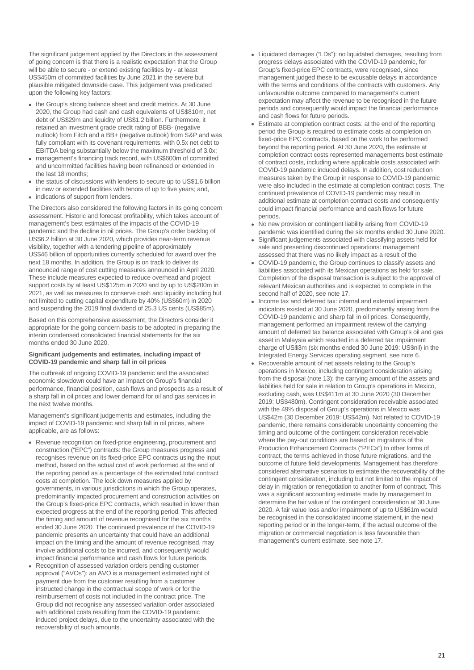The significant judgement applied by the Directors in the assessment of going concern is that there is a realistic expectation that the Group will be able to secure - or extend existing facilities by - at least US\$450m of committed facilities by June 2021 in the severe but plausible mitigated downside case. This judgement was predicated upon the following key factors:

- the Group's strong balance sheet and credit metrics. At 30 June 2020, the Group had cash and cash equivalents of US\$810m, net debt of US\$29m and liquidity of US\$1.2 billion. Furthermore, it retained an investment grade credit rating of BBB- (negative outlook) from Fitch and a BB+ (negative outlook) from S&P and was fully compliant with its covenant requirements, with 0.5x net debt to EBITDA being substantially below the maximum threshold of 3.0x;
- management's financing track record, with US\$600m of committed and uncommitted facilities having been refinanced or extended in the last 18 months;
- the status of discussions with lenders to secure up to US\$1.6 billion in new or extended facilities with tenors of up to five years; and,
- indications of support from lenders.

The Directors also considered the following factors in its going concern assessment. Historic and forecast profitability, which takes account of management's best estimates of the impacts of the COVID-19 pandemic and the decline in oil prices. The Group's order backlog of US\$6.2 billion at 30 June 2020, which provides near-term revenue visibility, together with a tendering pipeline of approximately US\$46 billion of opportunities currently scheduled for award over the next 18 months. In addition, the Group is on track to deliver its announced range of cost cutting measures announced in April 2020. These include measures expected to reduce overhead and project support costs by at least US\$125m in 2020 and by up to US\$200m in 2021, as well as measures to conserve cash and liquidity including but not limited to cutting capital expenditure by 40% (US\$60m) in 2020 and suspending the 2019 final dividend of 25.3 US cents (US\$85m).

Based on this comprehensive assessment, the Directors consider it appropriate for the going concern basis to be adopted in preparing the interim condensed consolidated financial statements for the six months ended 30 June 2020.

#### **Significant judgements and estimates, including impact of COVID-19 pandemic and sharp fall in oil prices**

The outbreak of ongoing COVID-19 pandemic and the associated economic slowdown could have an impact on Group's financial performance, financial position, cash flows and prospects as a result of a sharp fall in oil prices and lower demand for oil and gas services in the next twelve months.

Management's significant judgements and estimates, including the impact of COVID-19 pandemic and sharp fall in oil prices, where applicable, are as follows:

- Revenue recognition on fixed-price engineering, procurement and construction ("EPC") contracts: the Group measures progress and recognises revenue on its fixed-price EPC contracts using the input method, based on the actual cost of work performed at the end of the reporting period as a percentage of the estimated total contract costs at completion. The lock down measures applied by governments, in various jurisdictions in which the Group operates, predominantly impacted procurement and construction activities on the Group's fixed-price EPC contracts, which resulted in lower than expected progress at the end of the reporting period. This affected the timing and amount of revenue recognised for the six months ended 30 June 2020. The continued prevalence of the COVID-19 pandemic presents an uncertainty that could have an additional impact on the timing and the amount of revenue recognised, may involve additional costs to be incurred, and consequently would impact financial performance and cash flows for future periods.
- Recognition of assessed variation orders pending customer approval ("AVOs"): an AVO is a management estimated right of payment due from the customer resulting from a customer instructed change in the contractual scope of work or for the reimbursement of costs not included in the contract price. The Group did not recognise any assessed variation order associated with additional costs resulting from the COVID-19 pandemic induced project delays, due to the uncertainty associated with the recoverability of such amounts.
- Liquidated damages ("LDs"): no liquidated damages, resulting from progress delays associated with the COVID-19 pandemic, for Group's fixed-price EPC contracts, were recognised, since management judged these to be excusable delays in accordance with the terms and conditions of the contracts with customers. Any unfavourable outcome compared to management's current expectation may affect the revenue to be recognised in the future periods and consequently would impact the financial performance and cash flows for future periods.
- Estimate at completion contract costs: at the end of the reporting period the Group is required to estimate costs at completion on fixed-price EPC contracts, based on the work to be performed beyond the reporting period. At 30 June 2020, the estimate at completion contract costs represented managements best estimate of contract costs, including where applicable costs associated with COVID-19 pandemic induced delays. In addition, cost reduction measures taken by the Group in response to COVID-19 pandemic were also included in the estimate at completion contract costs. The continued prevalence of COVID-19 pandemic may result in additional estimate at completion contract costs and consequently could impact financial performance and cash flows for future periods.
- No new provision or contingent liability arising from COVID-19 pandemic was identified during the six months ended 30 June 2020.
- Significant judgements associated with classifying assets held for sale and presenting discontinued operations: management assessed that there was no likely impact as a result of the
- COVID-19 pandemic, the Group continues to classify assets and liabilities associated with its Mexican operations as held for sale. Completion of the disposal transaction is subject to the approval of relevant Mexican authorities and is expected to complete in the second half of 2020, see note 17.
- Income tax and deferred tax: internal and external impairment indicators existed at 30 June 2020, predominantly arising from the COVID-19 pandemic and sharp fall in oil prices. Consequently, management performed an impairment review of the carrying amount of deferred tax balance associated with Group's oil and gas asset in Malaysia which resulted in a deferred tax impairment charge of US\$3m (six months ended 30 June 2019: US\$nil) in the Integrated Energy Services operating segment, see note 6.
- Recoverable amount of net assets relating to the Group's operations in Mexico, including contingent consideration arising from the disposal (note 13): the carrying amount of the assets and liabilities held for sale in relation to Group's operations in Mexico, excluding cash, was US\$411m at 30 June 2020 (30 December 2019: US\$480m). Contingent consideration receivable associated with the 49% disposal of Group's operations in Mexico was US\$42m (30 December 2019: US\$42m). Not related to COVID-19 pandemic, there remains considerable uncertainty concerning the timing and outcome of the contingent consideration receivable where the pay-out conditions are based on migrations of the Production Enhancement Contracts ("PECs") to other forms of contract, the terms achieved in those future migrations, and the outcome of future field developments. Management has therefore considered alternative scenarios to estimate the recoverability of the contingent consideration, including but not limited to the impact of delay in migration or renegotiation to another form of contract. This was a significant accounting estimate made by management to determine the fair value of the contingent consideration at 30 June 2020. A fair value loss and/or impairment of up to US\$61m would be recognised in the consolidated income statement, in the next reporting period or in the longer-term, if the actual outcome of the migration or commercial negotiation is less favourable than management's current estimate, see note 17.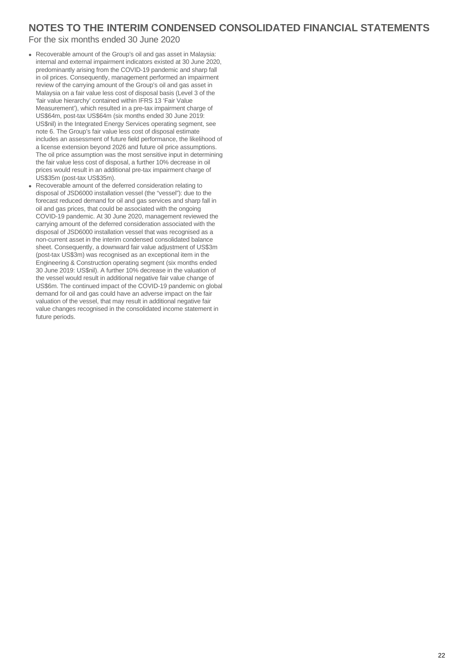#### For the six months ended 30 June 2020

- Recoverable amount of the Group's oil and gas asset in Malaysia: internal and external impairment indicators existed at 30 June 2020, predominantly arising from the COVID-19 pandemic and sharp fall in oil prices. Consequently, management performed an impairment review of the carrying amount of the Group's oil and gas asset in Malaysia on a fair value less cost of disposal basis (Level 3 of the 'fair value hierarchy' contained within IFRS 13 'Fair Value Measurement'), which resulted in a pre-tax impairment charge of US\$64m, post-tax US\$64m (six months ended 30 June 2019: US\$nil) in the Integrated Energy Services operating segment, see note 6. The Group's fair value less cost of disposal estimate includes an assessment of future field performance, the likelihood of a license extension beyond 2026 and future oil price assumptions. The oil price assumption was the most sensitive input in determining the fair value less cost of disposal, a further 10% decrease in oil prices would result in an additional pre-tax impairment charge of US\$35m (post-tax US\$35m).
- Recoverable amount of the deferred consideration relating to disposal of JSD6000 installation vessel (the "vessel"): due to the forecast reduced demand for oil and gas services and sharp fall in oil and gas prices, that could be associated with the ongoing COVID-19 pandemic. At 30 June 2020, management reviewed the carrying amount of the deferred consideration associated with the disposal of JSD6000 installation vessel that was recognised as a non-current asset in the interim condensed consolidated balance sheet. Consequently, a downward fair value adjustment of US\$3m (post-tax US\$3m) was recognised as an exceptional item in the Engineering & Construction operating segment (six months ended 30 June 2019: US\$nil). A further 10% decrease in the valuation of the vessel would result in additional negative fair value change of US\$6m. The continued impact of the COVID-19 pandemic on global demand for oil and gas could have an adverse impact on the fair valuation of the vessel, that may result in additional negative fair value changes recognised in the consolidated income statement in future periods.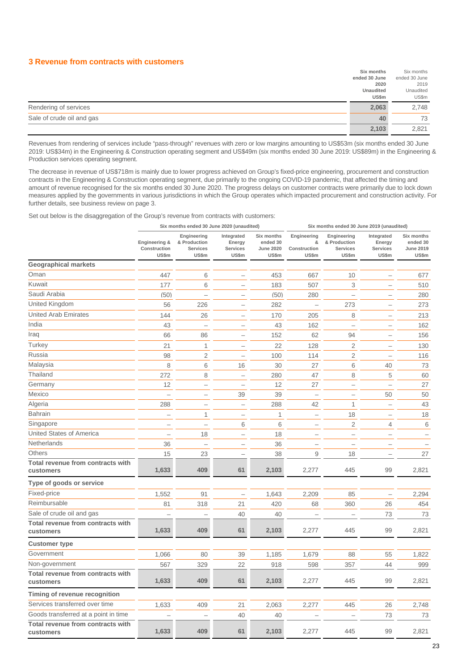#### **3 Revenue from contracts with customers**

|                           | Six months       | Six months    |
|---------------------------|------------------|---------------|
|                           | ended 30 June    | ended 30 June |
|                           | 2020             | 2019          |
|                           | <b>Unaudited</b> | Unaudited     |
|                           | US\$m            | US\$m         |
|                           |                  |               |
| Rendering of services     | 2,063            | 2,748         |
| Sale of crude oil and gas | 40               | 73            |

Revenues from rendering of services include "pass-through" revenues with zero or low margins amounting to US\$53m (six months ended 30 June 2019: US\$34m) in the Engineering & Construction operating segment and US\$49m (six months ended 30 June 2019: US\$89m) in the Engineering & Production services operating segment.

The decrease in revenue of US\$718m is mainly due to lower progress achieved on Group's fixed-price engineering, procurement and construction contracts in the Engineering & Construction operating segment, due primarily to the ongoing COVID-19 pandemic, that affected the timing and amount of revenue recognised for the six months ended 30 June 2020. The progress delays on customer contracts were primarily due to lock down measures applied by the governments in various jurisdictions in which the Group operates which impacted procurement and construction activity. For further details, see business review on page 3.

Set out below is the disaggregation of the Group's revenue from contracts with customers:

|                                                |                                        | Six months ended 30 June 2020 (unaudited)        |                                           |                                                     | Six months ended 30 June 2019 (unaudited) |                                                  |                                           |                                              |
|------------------------------------------------|----------------------------------------|--------------------------------------------------|-------------------------------------------|-----------------------------------------------------|-------------------------------------------|--------------------------------------------------|-------------------------------------------|----------------------------------------------|
|                                                | Engineering &<br>Construction<br>US\$m | Engineering<br>& Production<br>Services<br>US\$m | Integrated<br>Energy<br>Services<br>US\$m | Six months<br>ended 30<br><b>June 2020</b><br>US\$m | Engineering<br>&<br>Construction<br>US\$m | Engineering<br>& Production<br>Services<br>US\$m | Integrated<br>Energy<br>Services<br>US\$m | Six months<br>ended 30<br>June 2019<br>US\$m |
| <b>Geographical markets</b>                    |                                        |                                                  |                                           |                                                     |                                           |                                                  |                                           |                                              |
| Oman                                           | 447                                    | 6                                                |                                           | 453                                                 | 667                                       | 10                                               |                                           | 677                                          |
| Kuwait                                         | 177                                    | 6                                                |                                           | 183                                                 | 507                                       | 3                                                |                                           | 510                                          |
| Saudi Arabia                                   | (50)                                   |                                                  |                                           | (50)                                                | 280                                       | $\overline{\phantom{0}}$                         |                                           | 280                                          |
| United Kingdom                                 | 56                                     | 226                                              |                                           | 282                                                 |                                           | 273                                              |                                           | 273                                          |
| <b>United Arab Emirates</b>                    | 144                                    | 26                                               | $\overline{\phantom{0}}$                  | 170                                                 | 205                                       | 8                                                |                                           | 213                                          |
| India                                          | 43                                     | $\overline{\phantom{0}}$                         | -                                         | 43                                                  | 162                                       | $\overline{\phantom{0}}$                         | -                                         | 162                                          |
| Iraq                                           | 66                                     | 86                                               | $\overline{\phantom{0}}$                  | 152                                                 | 62                                        | 94                                               | -                                         | 156                                          |
| Turkey                                         | 21                                     | 1                                                | $\overline{\phantom{0}}$                  | 22                                                  | 128                                       | 2                                                |                                           | 130                                          |
| Russia                                         | 98                                     | 2                                                |                                           | 100                                                 | 114                                       | $\overline{2}$                                   |                                           | 116                                          |
| Malaysia                                       | 8                                      | 6                                                | 16                                        | 30                                                  | 27                                        | 6                                                | 40                                        | 73                                           |
| Thailand                                       | 272                                    | 8                                                | $\qquad \qquad -$                         | 280                                                 | 47                                        | 8                                                | 5                                         | 60                                           |
| Germany                                        | 12                                     | -                                                |                                           | 12                                                  | 27                                        | -                                                |                                           | 27                                           |
| Mexico                                         |                                        | -                                                | 39                                        | 39                                                  | -                                         | -                                                | 50                                        | 50                                           |
| Algeria                                        | 288                                    | -                                                | $\qquad \qquad -$                         | 288                                                 | 42                                        | $\mathbf{1}$                                     |                                           | 43                                           |
| <b>Bahrain</b>                                 |                                        | 1                                                | -                                         | 1                                                   | -                                         | 18                                               |                                           | 18                                           |
| Singapore                                      |                                        |                                                  | 6                                         | 6                                                   | L.                                        | 2                                                | 4                                         | 6                                            |
| <b>United States of America</b>                | $\overline{\phantom{0}}$               | 18                                               | $\overline{\phantom{0}}$                  | 18                                                  |                                           | $\overline{\phantom{0}}$                         |                                           |                                              |
| Netherlands                                    | 36                                     |                                                  |                                           | 36                                                  |                                           | $\overline{\phantom{a}}$                         |                                           |                                              |
| Others                                         | 15                                     | 23                                               | $\overline{\phantom{0}}$                  | 38                                                  | 9                                         | 18                                               |                                           | 27                                           |
| Total revenue from contracts with<br>customers | 1,633                                  | 409                                              | 61                                        | 2,103                                               | 2,277                                     | 445                                              | 99                                        | 2,821                                        |
| Type of goods or service                       |                                        |                                                  |                                           |                                                     |                                           |                                                  |                                           |                                              |
| Fixed-price                                    | 1,552                                  | 91                                               |                                           | 1,643                                               | 2,209                                     | 85                                               | $\overline{\phantom{0}}$                  | 2,294                                        |
| Reimbursable                                   | 81                                     | 318                                              | 21                                        | 420                                                 | 68                                        | 360                                              | 26                                        | 454                                          |
| Sale of crude oil and gas                      |                                        |                                                  | 40                                        | 40                                                  |                                           |                                                  | 73                                        | 73                                           |
| Total revenue from contracts with<br>customers | 1,633                                  | 409                                              | 61                                        | 2,103                                               | 2,277                                     | 445                                              | 99                                        | 2,821                                        |
| <b>Customer type</b>                           |                                        |                                                  |                                           |                                                     |                                           |                                                  |                                           |                                              |
| Government                                     | 1,066                                  | 80                                               | 39                                        | 1,185                                               | 1,679                                     | 88                                               | 55                                        | 1,822                                        |
| Non-government                                 | 567                                    | 329                                              | 22                                        | 918                                                 | 598                                       | 357                                              | 44                                        | 999                                          |
| Total revenue from contracts with<br>customers | 1,633                                  | 409                                              | 61                                        | 2,103                                               | 2,277                                     | 445                                              | 99                                        | 2,821                                        |
| Timing of revenue recognition                  |                                        |                                                  |                                           |                                                     |                                           |                                                  |                                           |                                              |
| Services transferred over time                 | 1,633                                  | 409                                              | 21                                        | 2,063                                               | 2,277                                     | 445                                              | 26                                        | 2,748                                        |
| Goods transferred at a point in time           |                                        |                                                  | 40                                        | 40                                                  |                                           |                                                  | 73                                        | 73                                           |
| Total revenue from contracts with<br>customers | 1,633                                  | 409                                              | 61                                        | 2,103                                               | 2,277                                     | 445                                              | 99                                        | 2,821                                        |
|                                                |                                        |                                                  |                                           |                                                     |                                           |                                                  |                                           |                                              |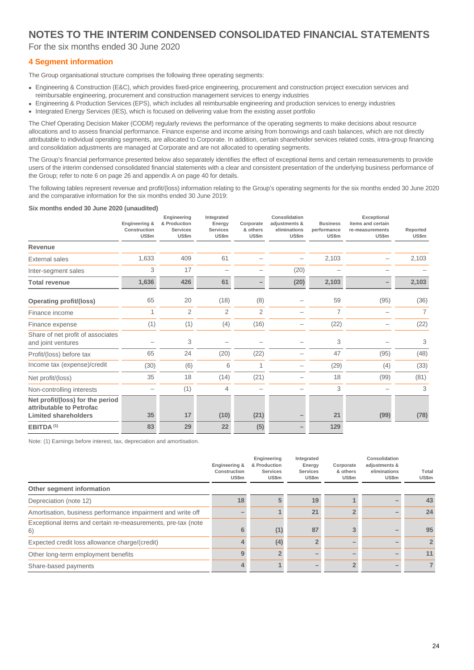For the six months ended 30 June 2020

#### **4 Segment information**

The Group organisational structure comprises the following three operating segments:

- Engineering & Construction (E&C), which provides fixed-price engineering, procurement and construction project execution services and reimbursable engineering, procurement and construction management services to energy industries
- Engineering & Production Services (EPS), which includes all reimbursable engineering and production services to energy industries • Integrated Energy Services (IES), which is focused on delivering value from the existing asset portfolio

The Chief Operating Decision Maker (CODM) regularly reviews the performance of the operating segments to make decisions about resource allocations and to assess financial performance. Finance expense and income arising from borrowings and cash balances, which are not directly attributable to individual operating segments, are allocated to Corporate. In addition, certain shareholder services related costs, intra-group financing and consolidation adjustments are managed at Corporate and are not allocated to operating segments.

The Group's financial performance presented below also separately identifies the effect of exceptional items and certain remeasurements to provide users of the interim condensed consolidated financial statements with a clear and consistent presentation of the underlying business performance of the Group; refer to note 6 on page 26 and appendix A on page 40 for details.

The following tables represent revenue and profit/(loss) information relating to the Group's operating segments for the six months ended 30 June 2020 and the comparative information for the six months ended 30 June 2019:

#### **Six months ended 30 June 2020 (unaudited)**

|                                                                                             | Engineering &<br>Construction<br>US\$m | Engineering<br>& Production<br><b>Services</b><br>US\$m | Integrated<br>Energy<br><b>Services</b><br>US\$m | Corporate<br>& others<br><b>US\$m</b> | Consolidation<br>adjustments &<br>eliminations<br>US\$m | <b>Business</b><br>performance<br>US\$m | Exceptional<br>items and certain<br>re-measurements<br>US\$m | Reported<br>US\$m |
|---------------------------------------------------------------------------------------------|----------------------------------------|---------------------------------------------------------|--------------------------------------------------|---------------------------------------|---------------------------------------------------------|-----------------------------------------|--------------------------------------------------------------|-------------------|
| Revenue                                                                                     |                                        |                                                         |                                                  |                                       |                                                         |                                         |                                                              |                   |
| <b>External sales</b>                                                                       | 1,633                                  | 409                                                     | 61                                               |                                       |                                                         | 2,103                                   |                                                              | 2,103             |
| Inter-segment sales                                                                         | 3                                      | 17                                                      |                                                  |                                       | (20)                                                    |                                         |                                                              |                   |
| <b>Total revenue</b>                                                                        | 1,636                                  | 426                                                     | 61                                               |                                       | (20)                                                    | 2,103                                   |                                                              | 2,103             |
| Operating profit/(loss)                                                                     | 65                                     | 20                                                      | (18)                                             | (8)                                   |                                                         | 59                                      | (95)                                                         | (36)              |
| Finance income                                                                              |                                        | $\overline{2}$                                          | $\overline{2}$                                   | $\overline{2}$                        |                                                         | $\overline{7}$                          |                                                              | $\overline{7}$    |
| Finance expense                                                                             | (1)                                    | (1)                                                     | (4)                                              | (16)                                  |                                                         | (22)                                    |                                                              | (22)              |
| Share of net profit of associates<br>and joint ventures                                     |                                        | 3                                                       |                                                  |                                       |                                                         | 3                                       |                                                              | 3                 |
| Profit/(loss) before tax                                                                    | 65                                     | 24                                                      | (20)                                             | (22)                                  |                                                         | 47                                      | (95)                                                         | (48)              |
| Income tax (expense)/credit                                                                 | (30)                                   | (6)                                                     | 6                                                |                                       |                                                         | (29)                                    | (4)                                                          | (33)              |
| Net profit/(loss)                                                                           | 35                                     | 18                                                      | (14)                                             | (21)                                  |                                                         | 18                                      | (99)                                                         | (81)              |
| Non-controlling interests                                                                   |                                        | (1)                                                     | 4                                                |                                       |                                                         | 3                                       |                                                              | 3                 |
| Net profit/(loss) for the period<br>attributable to Petrofac<br><b>Limited shareholders</b> | 35                                     | 17                                                      | (10)                                             | (21)                                  |                                                         | 21                                      | (99)                                                         | (78)              |
| EBITDA <sup>(1)</sup>                                                                       | 83                                     | 29                                                      | 22                                               | (5)                                   |                                                         | 129                                     |                                                              |                   |

Note: (1) Earnings before interest, tax, depreciation and amortisation.

|                                                                    | Engineering &<br>Construction<br>US\$m | Engineering<br>& Production<br><b>Services</b><br>US\$m | Integrated<br>Energy<br><b>Services</b><br>US\$m | Corporate<br>& others<br>US\$m | Consolidation<br>adjustments &<br>eliminations<br>US\$m | Total<br>US\$m |
|--------------------------------------------------------------------|----------------------------------------|---------------------------------------------------------|--------------------------------------------------|--------------------------------|---------------------------------------------------------|----------------|
| Other segment information                                          |                                        |                                                         |                                                  |                                |                                                         |                |
| Depreciation (note 12)                                             | 18                                     | 5                                                       | 19                                               |                                |                                                         | 43             |
| Amortisation, business performance impairment and write off        |                                        |                                                         | 21                                               |                                |                                                         | 24             |
| Exceptional items and certain re-measurements, pre-tax (note<br>6) |                                        | (1)                                                     | 87                                               |                                |                                                         | 95             |
| Expected credit loss allowance charge/(credit)                     | Д.                                     | (4)                                                     |                                                  |                                |                                                         | $\overline{2}$ |
| Other long-term employment benefits                                | 9                                      |                                                         |                                                  |                                |                                                         | 11             |
| Share-based payments                                               | 4                                      |                                                         |                                                  |                                |                                                         |                |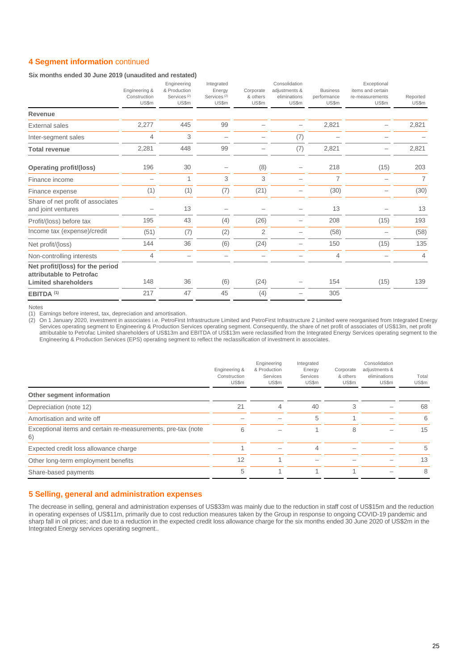#### **4 Segment information** continued

#### **Six months ended 30 June 2019 (unaudited and restated)**

|                                                                                             | Engineering &<br>Construction<br>US\$m | Engineering<br>& Production<br>Services <sup>(2)</sup><br>US\$m | Integrated<br>Energy<br>Services <sup>(2)</sup><br>US\$m | Corporate<br>& others<br>US\$m | Consolidation<br>adjustments &<br>eliminations<br>US\$m | <b>Business</b><br>performance<br>US\$m | Exceptional<br>items and certain<br>re-measurements<br>US\$m | Reported<br>US\$m |
|---------------------------------------------------------------------------------------------|----------------------------------------|-----------------------------------------------------------------|----------------------------------------------------------|--------------------------------|---------------------------------------------------------|-----------------------------------------|--------------------------------------------------------------|-------------------|
| Revenue                                                                                     |                                        |                                                                 |                                                          |                                |                                                         |                                         |                                                              |                   |
| <b>External sales</b>                                                                       | 2,277                                  | 445                                                             | 99                                                       |                                |                                                         | 2,821                                   |                                                              | 2,821             |
| Inter-segment sales                                                                         | 4                                      | 3                                                               |                                                          |                                | (7)                                                     |                                         |                                                              |                   |
| <b>Total revenue</b>                                                                        | 2,281                                  | 448                                                             | 99                                                       |                                | (7)                                                     | 2,821                                   |                                                              | 2,821             |
| <b>Operating profit/(loss)</b>                                                              | 196                                    | 30                                                              |                                                          | (8)                            |                                                         | 218                                     | (15)                                                         | 203               |
| Finance income                                                                              |                                        | 1                                                               | 3                                                        | 3                              |                                                         | $\overline{7}$                          |                                                              | $\overline{7}$    |
| Finance expense                                                                             | (1)                                    | (1)                                                             | (7)                                                      | (21)                           |                                                         | (30)                                    |                                                              | (30)              |
| Share of net profit of associates<br>and joint ventures                                     |                                        | 13                                                              |                                                          |                                |                                                         | 13                                      |                                                              | 13                |
| Profit/(loss) before tax                                                                    | 195                                    | 43                                                              | (4)                                                      | (26)                           |                                                         | 208                                     | (15)                                                         | 193               |
| Income tax (expense)/credit                                                                 | (51)                                   | (7)                                                             | (2)                                                      | 2                              |                                                         | (58)                                    |                                                              | (58)              |
| Net profit/(loss)                                                                           | 144                                    | 36                                                              | (6)                                                      | (24)                           |                                                         | 150                                     | (15)                                                         | 135               |
| Non-controlling interests                                                                   | 4                                      |                                                                 |                                                          |                                |                                                         | 4                                       |                                                              | 4                 |
| Net profit/(loss) for the period<br>attributable to Petrofac<br><b>Limited shareholders</b> | 148                                    | 36                                                              | (6)                                                      | (24)                           |                                                         | 154                                     | (15)                                                         | 139               |
| EBITDA <sup>(1)</sup>                                                                       | 217                                    | 47                                                              | 45                                                       | (4)                            |                                                         | 305                                     |                                                              |                   |

Notes

(1) Earnings before interest, tax, depreciation and amortisation.

(2) On 1 January 2020, investment in associates i.e. PetroFirst Infrastructure Limited and PetroFirst Infrastructure 2 Limited were reorganised from Integrated Energy Services operating segment to Engineering & Production Services operating segment. Consequently, the share of net profit of associates of US\$13m, net profit attributable to Petrofac Limited shareholders of US\$13m and EBITDA of US\$13m were reclassified from the Integrated Energy Services operating segment to the Engineering & Production Services (EPS) operating segment to reflect the reclassification of investment in associates.

|                                                                    | Engineering &<br>Construction<br>US\$m | Engineering<br>& Production<br>Services<br>US\$m | Integrated<br>Energy<br>Services<br>US\$m | Corporate<br>& others<br>US\$m | Consolidation<br>adjustments &<br>eliminations<br>US\$m | Total<br>US\$m |
|--------------------------------------------------------------------|----------------------------------------|--------------------------------------------------|-------------------------------------------|--------------------------------|---------------------------------------------------------|----------------|
| Other segment information                                          |                                        |                                                  |                                           |                                |                                                         |                |
| Depreciation (note 12)                                             | 21                                     | 4                                                | 40                                        | 3                              |                                                         | 68             |
| Amortisation and write off                                         |                                        |                                                  | 5                                         |                                |                                                         | 6              |
| Exceptional items and certain re-measurements, pre-tax (note<br>6) | 6                                      |                                                  |                                           | 8                              |                                                         | 15             |
| Expected credit loss allowance charge                              |                                        |                                                  | 4                                         |                                |                                                         | 5              |
| Other long-term employment benefits                                | 12                                     |                                                  |                                           |                                |                                                         | 13             |
| Share-based payments                                               | 5                                      |                                                  |                                           |                                |                                                         | 8              |

#### **5 Selling, general and administration expenses**

The decrease in selling, general and administration expenses of US\$33m was mainly due to the reduction in staff cost of US\$15m and the reduction in operating expenses of US\$11m, primarily due to cost reduction measures taken by the Group in response to ongoing COVID-19 pandemic and sharp fall in oil prices; and due to a reduction in the expected credit loss allowance charge for the six months ended 30 June 2020 of US\$2m in the Integrated Energy services operating segment..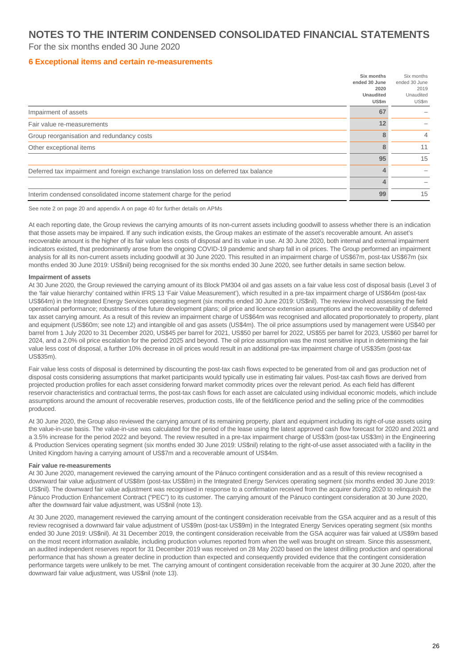#### For the six months ended 30 June 2020

#### **6 Exceptional items and certain re-measurements**

|                                                                                       | Six months<br>ended 30 June<br>2020<br><b>Unaudited</b><br>US\$m | Six months<br>ended 30 June<br>2019<br>Unaudited<br>US\$m |
|---------------------------------------------------------------------------------------|------------------------------------------------------------------|-----------------------------------------------------------|
| Impairment of assets                                                                  | 67                                                               |                                                           |
| Fair value re-measurements                                                            | 12                                                               |                                                           |
| Group reorganisation and redundancy costs                                             | 8                                                                | $\overline{4}$                                            |
| Other exceptional items                                                               | 8                                                                | 11                                                        |
|                                                                                       | 95                                                               | 15                                                        |
| Deferred tax impairment and foreign exchange translation loss on deferred tax balance | ⊿                                                                |                                                           |
|                                                                                       |                                                                  |                                                           |
| Interim condensed consolidated income statement charge for the period                 | 99                                                               | 15                                                        |

See note 2 on page 20 and appendix A on page 40 for further details on APMs

At each reporting date, the Group reviews the carrying amounts of its non-current assets including goodwill to assess whether there is an indication that those assets may be impaired. If any such indication exists, the Group makes an estimate of the asset's recoverable amount. An asset's recoverable amount is the higher of its fair value less costs of disposal and its value in use. At 30 June 2020, both internal and external impairment indicators existed, that predominantly arose from the ongoing COVID-19 pandemic and sharp fall in oil prices. The Group performed an impairment analysis for all its non-current assets including goodwill at 30 June 2020. This resulted in an impairment charge of US\$67m, post-tax US\$67m (six months ended 30 June 2019: US\$nil) being recognised for the six months ended 30 June 2020, see further details in same section below.

#### **Impairment of assets**

At 30 June 2020, the Group reviewed the carrying amount of its Block PM304 oil and gas assets on a fair value less cost of disposal basis (Level 3 of the 'fair value hierarchy' contained within IFRS 13 'Fair Value Measurement'), which resulted in a pre-tax impairment charge of US\$64m (post-tax US\$64m) in the Integrated Energy Services operating segment (six months ended 30 June 2019: US\$nil). The review involved assessing the field operational performance; robustness of the future development plans; oil price and licence extension assumptions and the recoverability of deferred tax asset carrying amount. As a result of this review an impairment charge of US\$64m was recognised and allocated proportionately to property, plant and equipment (US\$60m; see note 12) and intangible oil and gas assets (US\$4m). The oil price assumptions used by management were US\$40 per barrel from 1 July 2020 to 31 December 2020, US\$45 per barrel for 2021, US\$50 per barrel for 2022, US\$55 per barrel for 2023, US\$60 per barrel for 2024, and a 2.0% oil price escalation for the period 2025 and beyond. The oil price assumption was the most sensitive input in determining the fair value less cost of disposal, a further 10% decrease in oil prices would result in an additional pre-tax impairment charge of US\$35m (post-tax US\$35m).

Fair value less costs of disposal is determined by discounting the post-tax cash flows expected to be generated from oil and gas production net of disposal costs considering assumptions that market participants would typically use in estimating fair values. Post-tax cash flows are derived from projected production profiles for each asset considering forward market commodity prices over the relevant period. As each field has different reservoir characteristics and contractual terms, the post-tax cash flows for each asset are calculated using individual economic models, which include assumptions around the amount of recoverable reserves, production costs, life of the field/licence period and the selling price of the commodities produced.

At 30 June 2020, the Group also reviewed the carrying amount of its remaining property, plant and equipment including its right-of-use assets using the value-in-use basis. The value-in-use was calculated for the period of the lease using the latest approved cash flow forecast for 2020 and 2021 and a 3.5% increase for the period 2022 and beyond. The review resulted in a pre-tax impairment charge of US\$3m (post-tax US\$3m) in the Engineering & Production Services operating segment (six months ended 30 June 2019: US\$nil) relating to the right-of-use asset associated with a facility in the United Kingdom having a carrying amount of US\$7m and a recoverable amount of US\$4m.

#### **Fair value re-measurements**

At 30 June 2020, management reviewed the carrying amount of the Pánuco contingent consideration and as a result of this review recognised a downward fair value adjustment of US\$8m (post-tax US\$8m) in the Integrated Energy Services operating segment (six months ended 30 June 2019: US\$nil). The downward fair value adjustment was recognised in response to a confirmation received from the acquirer during 2020 to relinquish the Pánuco Production Enhancement Contract ("PEC") to its customer. The carrying amount of the Pánuco contingent consideration at 30 June 2020, after the downward fair value adjustment, was US\$nil (note 13).

At 30 June 2020, management reviewed the carrying amount of the contingent consideration receivable from the GSA acquirer and as a result of this review recognised a downward fair value adjustment of US\$9m (post-tax US\$9m) in the Integrated Energy Services operating segment (six months ended 30 June 2019: US\$nil). At 31 December 2019, the contingent consideration receivable from the GSA acquirer was fair valued at US\$9m based on the most recent information available, including production volumes reported from when the well was brought on stream. Since this assessment, an audited independent reserves report for 31 December 2019 was received on 28 May 2020 based on the latest drilling production and operational performance that has shown a greater decline in production than expected and consequently provided evidence that the contingent consideration performance targets were unlikely to be met. The carrying amount of contingent consideration receivable from the acquirer at 30 June 2020, after the downward fair value adjustment, was US\$nil (note 13).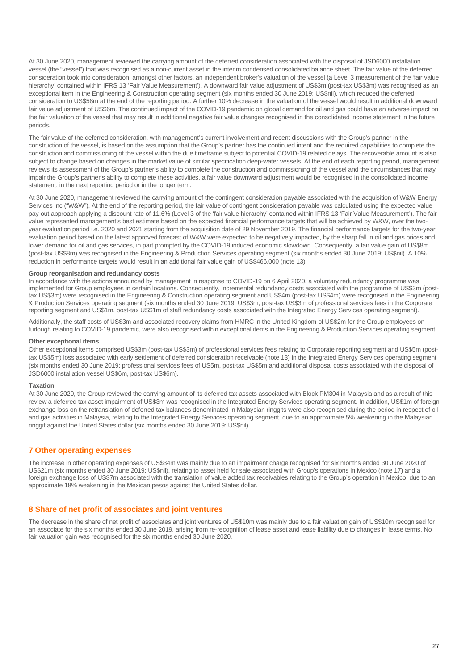At 30 June 2020, management reviewed the carrying amount of the deferred consideration associated with the disposal of JSD6000 installation vessel (the "vessel") that was recognised as a non-current asset in the interim condensed consolidated balance sheet. The fair value of the deferred consideration took into consideration, amongst other factors, an independent broker's valuation of the vessel (a Level 3 measurement of the 'fair value hierarchy' contained within IFRS 13 'Fair Value Measurement'). A downward fair value adjustment of US\$3m (post-tax US\$3m) was recognised as an exceptional item in the Engineering & Construction operating segment (six months ended 30 June 2019: US\$nil), which reduced the deferred consideration to US\$58m at the end of the reporting period. A further 10% decrease in the valuation of the vessel would result in additional downward fair value adjustment of US\$6m. The continued impact of the COVID-19 pandemic on global demand for oil and gas could have an adverse impact on the fair valuation of the vessel that may result in additional negative fair value changes recognised in the consolidated income statement in the future periods.

The fair value of the deferred consideration, with management's current involvement and recent discussions with the Group's partner in the construction of the vessel, is based on the assumption that the Group's partner has the continued intent and the required capabilities to complete the construction and commissioning of the vessel within the due timeframe subject to potential COVID-19 related delays. The recoverable amount is also subject to change based on changes in the market value of similar specification deep-water vessels. At the end of each reporting period, management reviews its assessment of the Group's partner's ability to complete the construction and commissioning of the vessel and the circumstances that may impair the Group's partner's ability to complete these activities, a fair value downward adjustment would be recognised in the consolidated income statement, in the next reporting period or in the longer term.

At 30 June 2020, management reviewed the carrying amount of the contingent consideration payable associated with the acquisition of W&W Energy Services Inc ("W&W"). At the end of the reporting period, the fair value of contingent consideration payable was calculated using the expected value pay-out approach applying a discount rate of 11.6% (Level 3 of the 'fair value hierarchy' contained within IFRS 13 'Fair Value Measurement'). The fair value represented management's best estimate based on the expected financial performance targets that will be achieved by W&W, over the twoyear evaluation period i.e. 2020 and 2021 starting from the acquisition date of 29 November 2019. The financial performance targets for the two-year evaluation period based on the latest approved forecast of W&W were expected to be negatively impacted, by the sharp fall in oil and gas prices and lower demand for oil and gas services, in part prompted by the COVID-19 induced economic slowdown. Consequently, a fair value gain of US\$8m (post-tax US\$8m) was recognised in the Engineering & Production Services operating segment (six months ended 30 June 2019: US\$nil). A 10% reduction in performance targets would result in an additional fair value gain of US\$466,000 (note 13).

#### **Group reorganisation and redundancy costs**

In accordance with the actions announced by management in response to COVID-19 on 6 April 2020, a voluntary redundancy programme was implemented for Group employees in certain locations. Consequently, incremental redundancy costs associated with the programme of US\$3m (posttax US\$3m) were recognised in the Engineering & Construction operating segment and US\$4m (post-tax US\$4m) were recognised in the Engineering & Production Services operating segment (six months ended 30 June 2019: US\$3m, post-tax US\$3m of professional services fees in the Corporate reporting segment and US\$1m, post-tax US\$1m of staff redundancy costs associated with the Integrated Energy Services operating segment).

Additionally, the staff costs of US\$3m and associated recovery claims from HMRC in the United Kingdom of US\$2m for the Group employees on furlough relating to COVID-19 pandemic, were also recognised within exceptional items in the Engineering & Production Services operating segment.

#### **Other exceptional items**

Other exceptional items comprised US\$3m (post-tax US\$3m) of professional services fees relating to Corporate reporting segment and US\$5m (posttax US\$5m) loss associated with early settlement of deferred consideration receivable (note 13) in the Integrated Energy Services operating segment (six months ended 30 June 2019: professional services fees of US5m, post-tax US\$5m and additional disposal costs associated with the disposal of JSD6000 installation vessel US\$6m, post-tax US\$6m).

#### **Taxation**

At 30 June 2020, the Group reviewed the carrying amount of its deferred tax assets associated with Block PM304 in Malaysia and as a result of this review a deferred tax asset impairment of US\$3m was recognised in the Integrated Energy Services operating segment. In addition, US\$1m of foreign exchange loss on the retranslation of deferred tax balances denominated in Malaysian ringgits were also recognised during the period in respect of oil and gas activities in Malaysia, relating to the Integrated Energy Services operating segment, due to an approximate 5% weakening in the Malaysian ringgit against the United States dollar (six months ended 30 June 2019: US\$nil).

#### **7 Other operating expenses**

The increase in other operating expenses of US\$34m was mainly due to an impairment charge recognised for six months ended 30 June 2020 of US\$21m (six months ended 30 June 2019: US\$nil), relating to asset held for sale associated with Group's operations in Mexico (note 17) and a foreign exchange loss of US\$7m associated with the translation of value added tax receivables relating to the Group's operation in Mexico, due to an approximate 18% weakening in the Mexican pesos against the United States dollar.

#### **8 Share of net profit of associates and joint ventures**

The decrease in the share of net profit of associates and joint ventures of US\$10m was mainly due to a fair valuation gain of US\$10m recognised for an associate for the six months ended 30 June 2019, arising from re-recognition of lease asset and lease liability due to changes in lease terms. No fair valuation gain was recognised for the six months ended 30 June 2020.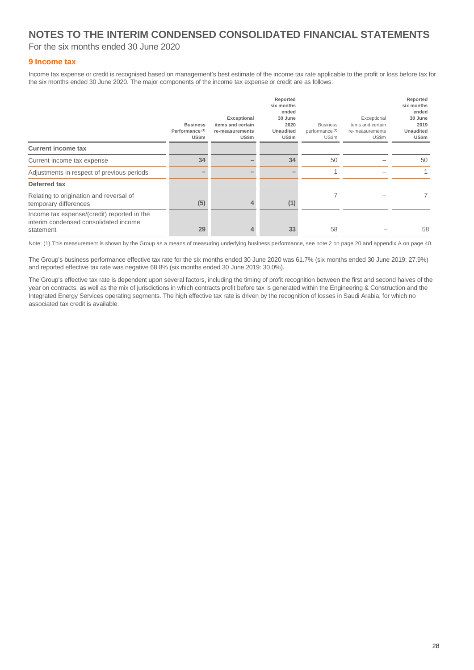For the six months ended 30 June 2020

#### **9 Income tax**

Income tax expense or credit is recognised based on management's best estimate of the income tax rate applicable to the profit or loss before tax for the six months ended 30 June 2020. The major components of the income tax expense or credit are as follows:

|                                                                                                   | <b>Business</b><br>Performance <sup>(1)</sup><br>US\$m | Exceptional<br>items and certain<br>re-measurements<br>US\$m | Reported<br>six months<br>ended<br>30 June<br>2020<br>Unaudited<br>US\$m | <b>Business</b><br>performance <sup>(1)</sup><br>US\$m | Exceptional<br>items and certain<br>re-measurements<br>US\$m | Reported<br>six months<br>ended<br>30 June<br>2019<br><b>Unaudited</b><br>US\$m |
|---------------------------------------------------------------------------------------------------|--------------------------------------------------------|--------------------------------------------------------------|--------------------------------------------------------------------------|--------------------------------------------------------|--------------------------------------------------------------|---------------------------------------------------------------------------------|
| <b>Current income tax</b>                                                                         |                                                        |                                                              |                                                                          |                                                        |                                                              |                                                                                 |
| Current income tax expense                                                                        | 34                                                     |                                                              | 34                                                                       | 50                                                     |                                                              | 50                                                                              |
| Adjustments in respect of previous periods                                                        |                                                        |                                                              |                                                                          |                                                        |                                                              |                                                                                 |
| Deferred tax                                                                                      |                                                        |                                                              |                                                                          |                                                        |                                                              |                                                                                 |
| Relating to origination and reversal of<br>temporary differences                                  | (5)                                                    | 4                                                            | (1)                                                                      |                                                        |                                                              |                                                                                 |
| Income tax expense/(credit) reported in the<br>interim condensed consolidated income<br>statement | 29                                                     | 4                                                            | 33                                                                       | 58                                                     |                                                              | 58                                                                              |

Note: (1) This measurement is shown by the Group as a means of measuring underlying business performance, see note 2 on page 20 and appendix A on page 40.

The Group's business performance effective tax rate for the six months ended 30 June 2020 was 61.7% (six months ended 30 June 2019: 27.9%) and reported effective tax rate was negative 68.8% (six months ended 30 June 2019: 30.0%).

The Group's effective tax rate is dependent upon several factors, including the timing of profit recognition between the first and second halves of the year on contracts, as well as the mix of jurisdictions in which contracts profit before tax is generated within the Engineering & Construction and the Integrated Energy Services operating segments. The high effective tax rate is driven by the recognition of losses in Saudi Arabia, for which no associated tax credit is available.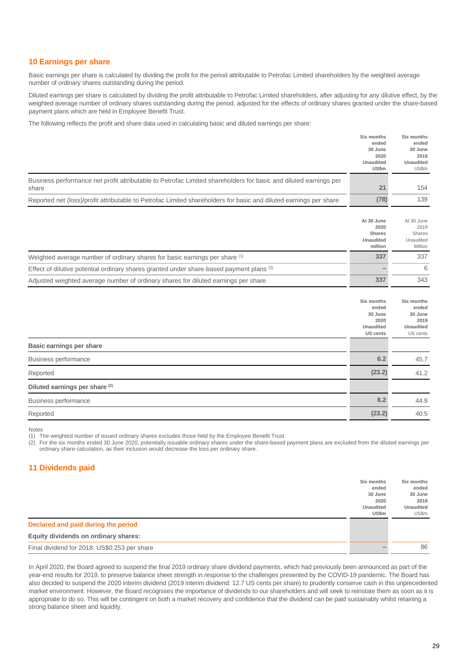#### **10 Earnings per share**

Basic earnings per share is calculated by dividing the profit for the period attributable to Petrofac Limited shareholders by the weighted average number of ordinary shares outstanding during the period.

Diluted earnings per share is calculated by dividing the profit attributable to Petrofac Limited shareholders, after adjusting for any dilutive effect, by the weighted average number of ordinary shares outstanding during the period, adjusted for the effects of ordinary shares granted under the share-based payment plans which are held in Employee Benefit Trust.

**Six months**

**Six months**

The following reflects the profit and share data used in calculating basic and diluted earnings per share:

|                                                                                                                                                                                                                                                                                                                                                                                         | ended<br>30 June<br>2020                                                      | ended<br>30 June<br>2019                                               |
|-----------------------------------------------------------------------------------------------------------------------------------------------------------------------------------------------------------------------------------------------------------------------------------------------------------------------------------------------------------------------------------------|-------------------------------------------------------------------------------|------------------------------------------------------------------------|
|                                                                                                                                                                                                                                                                                                                                                                                         | <b>Unaudited</b><br>US\$m                                                     | <b>Unaudited</b><br><b>US\$m</b>                                       |
| Business performance net profit attributable to Petrofac Limited shareholders for basic and diluted earnings per<br>share                                                                                                                                                                                                                                                               | 21                                                                            | 154                                                                    |
| Reported net (loss)/profit attributable to Petrofac Limited shareholders for basic and diluted earnings per share                                                                                                                                                                                                                                                                       | (78)                                                                          | 139                                                                    |
|                                                                                                                                                                                                                                                                                                                                                                                         | At 30 June<br>2020<br><b>Shares</b><br><b>Unaudited</b><br>million            | At 30 June<br>2019<br>Shares<br>Unaudited<br>Million                   |
| Weighted average number of ordinary shares for basic earnings per share (1)                                                                                                                                                                                                                                                                                                             | 337                                                                           | 337                                                                    |
| Effect of dilutive potential ordinary shares granted under share-based payment plans (2)                                                                                                                                                                                                                                                                                                |                                                                               | 6                                                                      |
| Adjusted weighted average number of ordinary shares for diluted earnings per share                                                                                                                                                                                                                                                                                                      | 337                                                                           | 343                                                                    |
|                                                                                                                                                                                                                                                                                                                                                                                         | Six months<br>ended<br>30 June<br>2020<br><b>Unaudited</b><br><b>US cents</b> | Six months<br>ended<br>30 June<br>2019<br><b>Unaudited</b><br>US cents |
| Basic earnings per share                                                                                                                                                                                                                                                                                                                                                                |                                                                               |                                                                        |
| <b>Business performance</b>                                                                                                                                                                                                                                                                                                                                                             | 6.2                                                                           | 45.7                                                                   |
| Reported                                                                                                                                                                                                                                                                                                                                                                                | (23.2)                                                                        | 41.2                                                                   |
| Diluted earnings per share (2)                                                                                                                                                                                                                                                                                                                                                          |                                                                               |                                                                        |
| <b>Business performance</b>                                                                                                                                                                                                                                                                                                                                                             | 6.2                                                                           | 44.9                                                                   |
| Reported                                                                                                                                                                                                                                                                                                                                                                                | (23.2)                                                                        | 40.5                                                                   |
| <b>Notes</b><br>(1) The weighted number of issued ordinary shares excludes those held by the Employee Benefit Trust.<br>For the six months ended 30 June 2020, potentially issuable ordinary shares under the share-based payment plans are excluded from the diluted earnings per<br>(2)<br>ordinary share calculation, as their inclusion would decrease the loss per ordinary share. |                                                                               |                                                                        |

#### **11 Dividends paid**

| Declared and paid during the period          | Six months<br>ended<br>30 June<br>2020<br><b>Unaudited</b><br>US\$m | Six months<br>ended<br>30 June<br>2019<br><b>Unaudited</b><br>US\$m |
|----------------------------------------------|---------------------------------------------------------------------|---------------------------------------------------------------------|
| Equity dividends on ordinary shares:         |                                                                     |                                                                     |
| Final dividend for 2018: US\$0.253 per share |                                                                     | 86                                                                  |

In April 2020, the Board agreed to suspend the final 2019 ordinary share dividend payments, which had previously been announced as part of the year-end results for 2019, to preserve balance sheet strength in response to the challenges presented by the COVID-19 pandemic. The Board has also decided to suspend the 2020 interim dividend (2019 interim dividend: 12.7 US cents per share) to prudently conserve cash in this unprecedented market environment. However, the Board recognises the importance of dividends to our shareholders and will seek to reinstate them as soon as it is appropriate to do so. This will be contingent on both a market recovery and confidence that the dividend can be paid sustainably whilst retaining a strong balance sheet and liquidity.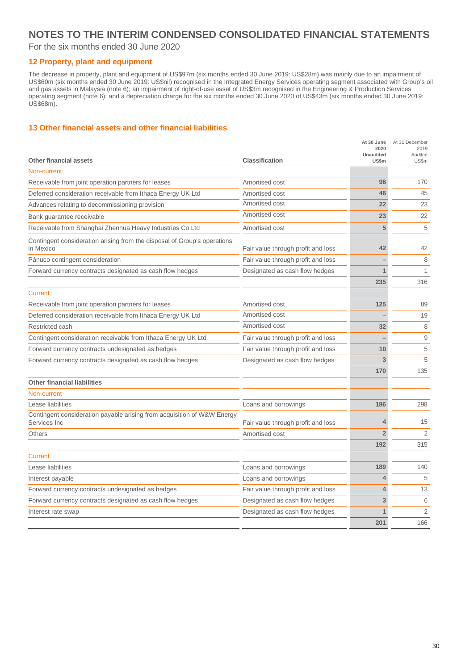#### For the six months ended 30 June 2020

#### **12 Property, plant and equipment**

The decrease in property, plant and equipment of US\$97m (six months ended 30 June 2019: US\$28m) was mainly due to an impairment of US\$60m (six months ended 30 June 2019: US\$nil) recognised in the Integrated Energy Services operating segment associated with Group's oil and gas assets in Malaysia (note 6); an impairment of right-of-use asset of US\$3m recognised in the Engineering & Production Services operating segment (note 6); and a depreciation charge for the six months ended 30 June 2020 of US\$43m (six months ended 30 June 2019: US\$68m).

#### **13 Other financial assets and other financial liabilities**

|                                                                                         |                                    | At 30 June<br>2020<br><b>Unaudited</b> | At 31 December<br>2019<br>Audited |
|-----------------------------------------------------------------------------------------|------------------------------------|----------------------------------------|-----------------------------------|
| <b>Other financial assets</b>                                                           | <b>Classification</b>              | US\$m                                  | US\$m                             |
| Non-current                                                                             |                                    |                                        |                                   |
| Receivable from joint operation partners for leases                                     | Amortised cost                     | 96                                     | 170                               |
| Deferred consideration receivable from Ithaca Energy UK Ltd                             | Amortised cost                     | 46                                     | 45                                |
| Advances relating to decommissioning provision                                          | Amortised cost                     | 22                                     | 23                                |
| Bank guarantee receivable                                                               | Amortised cost                     | 23                                     | 22                                |
| Receivable from Shanghai Zhenhua Heavy Industries Co Ltd                                | Amortised cost                     | 5                                      | 5                                 |
| Contingent consideration arising from the disposal of Group's operations<br>in Mexico   | Fair value through profit and loss | 42                                     | 42                                |
| Pánuco contingent consideration                                                         | Fair value through profit and loss |                                        | 8                                 |
| Forward currency contracts designated as cash flow hedges                               | Designated as cash flow hedges     | 1                                      | 1                                 |
|                                                                                         |                                    | 235                                    | 316                               |
| Current                                                                                 |                                    |                                        |                                   |
| Receivable from joint operation partners for leases                                     | Amortised cost                     | 125                                    | 89                                |
| Deferred consideration receivable from Ithaca Energy UK Ltd                             | Amortised cost                     |                                        | 19                                |
| Restricted cash                                                                         | Amortised cost                     | 32                                     | 8                                 |
| Contingent consideration receivable from Ithaca Energy UK Ltd                           | Fair value through profit and loss |                                        | 9                                 |
| Forward currency contracts undesignated as hedges                                       | Fair value through profit and loss | 10                                     | 5                                 |
| Forward currency contracts designated as cash flow hedges                               | Designated as cash flow hedges     | 3                                      | 5                                 |
|                                                                                         |                                    | 170                                    | 135                               |
| <b>Other financial liabilities</b>                                                      |                                    |                                        |                                   |
| Non-current                                                                             |                                    |                                        |                                   |
| Lease liabilities                                                                       | Loans and borrowings               | 186                                    | 298                               |
| Contingent consideration payable arising from acquisition of W&W Energy<br>Services Inc | Fair value through profit and loss | 4                                      | 15                                |
| <b>Others</b>                                                                           | Amortised cost                     | $\overline{2}$                         | $\overline{2}$                    |
|                                                                                         |                                    | 192                                    | 315                               |
| <b>Current</b>                                                                          |                                    |                                        |                                   |
| Lease liabilities                                                                       | Loans and borrowings               | 189                                    | 140                               |
| Interest payable                                                                        | Loans and borrowings               | 4                                      | 5                                 |
| Forward currency contracts undesignated as hedges                                       | Fair value through profit and loss | 4                                      | 13                                |
| Forward currency contracts designated as cash flow hedges                               | Designated as cash flow hedges     | 3                                      | 6                                 |
| Interest rate swap                                                                      | Designated as cash flow hedges     | 1                                      | 2                                 |
|                                                                                         |                                    | 201                                    | 166                               |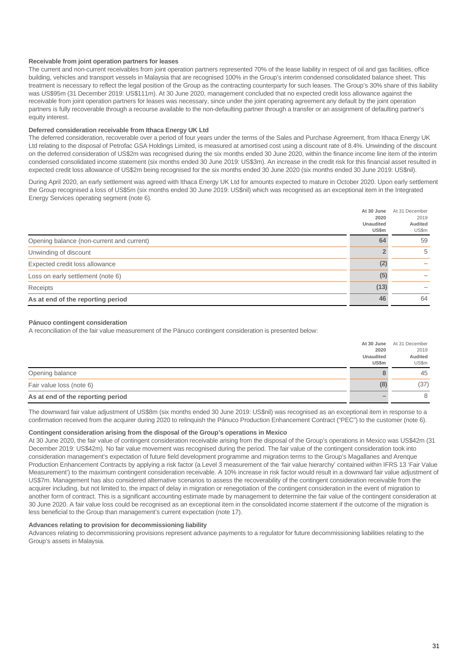#### **Receivable from joint operation partners for leases**

The current and non-current receivables from joint operation partners represented 70% of the lease liability in respect of oil and gas facilities, office building, vehicles and transport vessels in Malaysia that are recognised 100% in the Group's interim condensed consolidated balance sheet. This treatment is necessary to reflect the legal position of the Group as the contracting counterparty for such leases. The Group's 30% share of this liability was US\$95m (31 December 2019: US\$111m). At 30 June 2020, management concluded that no expected credit loss allowance against the receivable from joint operation partners for leases was necessary, since under the joint operating agreement any default by the joint operation partners is fully recoverable through a recourse available to the non-defaulting partner through a transfer or an assignment of defaulting partner's equity interest.

#### **Deferred consideration receivable from Ithaca Energy UK Ltd**

The deferred consideration, recoverable over a period of four years under the terms of the Sales and Purchase Agreement, from Ithaca Energy UK Ltd relating to the disposal of Petrofac GSA Holdings Limited, is measured at amortised cost using a discount rate of 8.4%. Unwinding of the discount on the deferred consideration of US\$2m was recognised during the six months ended 30 June 2020, within the finance income line item of the interim condensed consolidated income statement (six months ended 30 June 2019: US\$3m). An increase in the credit risk for this financial asset resulted in expected credit loss allowance of US\$2m being recognised for the six months ended 30 June 2020 (six months ended 30 June 2019: US\$nil).

During April 2020, an early settlement was agreed with Ithaca Energy UK Ltd for amounts expected to mature in October 2020. Upon early settlement the Group recognised a loss of US\$5m (six months ended 30 June 2019: US\$nil) which was recognised as an exceptional item in the Integrated Energy Services operating segment (note 6).

|                                           | At 30 June<br>2020<br>Unaudited<br>US\$m | At 31 December<br>2019<br>Audited<br>US\$m |
|-------------------------------------------|------------------------------------------|--------------------------------------------|
| Opening balance (non-current and current) | 64                                       | 59                                         |
| Unwinding of discount                     |                                          | 5                                          |
| Expected credit loss allowance            | (2)                                      |                                            |
| Loss on early settlement (note 6)         | (5)                                      |                                            |
| Receipts                                  | (13)                                     |                                            |
| As at end of the reporting period         | 46                                       | 64                                         |

#### **Pánuco contingent consideration**

A reconciliation of the fair value measurement of the Pánuco contingent consideration is presented below:

|                                   | At 30 June       | At 31 December |
|-----------------------------------|------------------|----------------|
|                                   | 2020             | 2019           |
|                                   | <b>Unaudited</b> | Audited        |
|                                   | US\$m            | US\$m          |
| Opening balance                   |                  | 45             |
| Fair value loss (note 6)          | (8)              | (37)           |
| As at end of the reporting period |                  | 8              |

The downward fair value adjustment of US\$8m (six months ended 30 June 2019: US\$nil) was recognised as an exceptional item in response to a confirmation received from the acquirer during 2020 to relinquish the Pánuco Production Enhancement Contract ("PEC") to the customer (note 6).

#### **Contingent consideration arising from the disposal of the Group's operations in Mexico**

At 30 June 2020, the fair value of contingent consideration receivable arising from the disposal of the Group's operations in Mexico was US\$42m (31 December 2019: US\$42m). No fair value movement was recognised during the period. The fair value of the contingent consideration took into consideration management's expectation of future field development programme and migration terms to the Group's Magallanes and Arenque Production Enhancement Contracts by applying a risk factor (a Level 3 measurement of the 'fair value hierarchy' contained within IFRS 13 'Fair Value Measurement') to the maximum contingent consideration receivable. A 10% increase in risk factor would result in a downward fair value adjustment of US\$7m. Management has also considered alternative scenarios to assess the recoverability of the contingent consideration receivable from the acquirer including, but not limited to, the impact of delay in migration or renegotiation of the contingent consideration in the event of migration to another form of contract. This is a significant accounting estimate made by management to determine the fair value of the contingent consideration at 30 June 2020. A fair value loss could be recognised as an exceptional item in the consolidated income statement if the outcome of the migration is less beneficial to the Group than management's current expectation (note 17).

#### **Advances relating to provision for decommissioning liability**

Advances relating to decommissioning provisions represent advance payments to a regulator for future decommissioning liabilities relating to the Group's assets in Malaysia.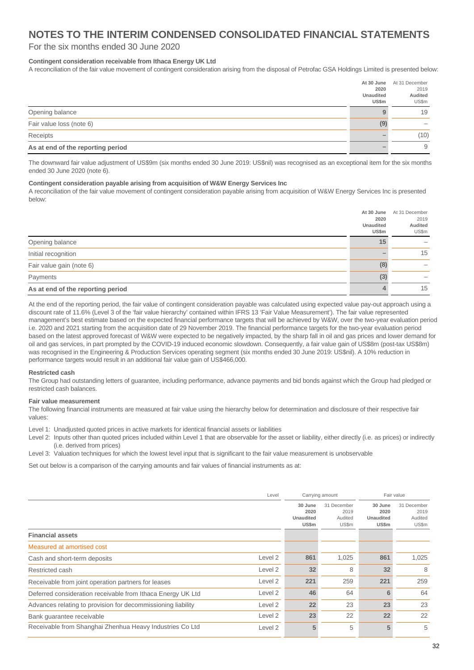#### For the six months ended 30 June 2020

#### **Contingent consideration receivable from Ithaca Energy UK Ltd**

A reconciliation of the fair value movement of contingent consideration arising from the disposal of Petrofac GSA Holdings Limited is presented below:

|                                   | At 30 June                | At 31 December   |
|-----------------------------------|---------------------------|------------------|
|                                   | 2020                      | 2019             |
|                                   | <b>Unaudited</b><br>US\$m | Audited<br>US\$m |
|                                   |                           |                  |
| Opening balance                   |                           | 19               |
| Fair value loss (note 6)          | (9)                       |                  |
| Receipts                          |                           | (10)             |
| As at end of the reporting period |                           | 9                |

The downward fair value adjustment of US\$9m (six months ended 30 June 2019: US\$nil) was recognised as an exceptional item for the six months ended 30 June 2020 (note 6).

#### **Contingent consideration payable arising from acquisition of W&W Energy Services Inc**

A reconciliation of the fair value movement of contingent consideration payable arising from acquisition of W&W Energy Services Inc is presented below:

|                                   | At 30 June<br>2020<br>Unaudited<br>US\$m | At 31 December<br>2019<br>Audited<br>US\$m |
|-----------------------------------|------------------------------------------|--------------------------------------------|
| Opening balance                   | 15                                       |                                            |
| Initial recognition               |                                          | 15                                         |
| Fair value gain (note 6)          | (8)                                      |                                            |
| Payments                          | (3)                                      |                                            |
| As at end of the reporting period |                                          | 15                                         |

At the end of the reporting period, the fair value of contingent consideration payable was calculated using expected value pay-out approach using a discount rate of 11.6% (Level 3 of the 'fair value hierarchy' contained within IFRS 13 'Fair Value Measurement'). The fair value represented management's best estimate based on the expected financial performance targets that will be achieved by W&W, over the two-year evaluation period i.e. 2020 and 2021 starting from the acquisition date of 29 November 2019. The financial performance targets for the two-year evaluation period based on the latest approved forecast of W&W were expected to be negatively impacted, by the sharp fall in oil and gas prices and lower demand for oil and gas services, in part prompted by the COVID-19 induced economic slowdown. Consequently, a fair value gain of US\$8m (post-tax US\$8m) was recognised in the Engineering & Production Services operating segment (six months ended 30 June 2019: US\$nil). A 10% reduction in performance targets would result in an additional fair value gain of US\$466,000.

#### **Restricted cash**

The Group had outstanding letters of guarantee, including performance, advance payments and bid bonds against which the Group had pledged or restricted cash balances.

#### **Fair value measurement**

The following financial instruments are measured at fair value using the hierarchy below for determination and disclosure of their respective fair values:

Level 1: Unadjusted quoted prices in active markets for identical financial assets or liabilities

Level 2: Inputs other than quoted prices included within Level 1 that are observable for the asset or liability, either directly (i.e. as prices) or indirectly (i.e. derived from prices)

Level 3: Valuation techniques for which the lowest level input that is significant to the fair value measurement is unobservable

Set out below is a comparison of the carrying amounts and fair values of financial instruments as at:

|                                                              | Level   | Carrying amount                              |                                         | Fair value                            |                                         |
|--------------------------------------------------------------|---------|----------------------------------------------|-----------------------------------------|---------------------------------------|-----------------------------------------|
|                                                              |         | 30 June<br>2020<br><b>Unaudited</b><br>US\$m | 31 December<br>2019<br>Audited<br>US\$m | 30 June<br>2020<br>Unaudited<br>US\$m | 31 December<br>2019<br>Audited<br>US\$m |
| <b>Financial assets</b>                                      |         |                                              |                                         |                                       |                                         |
| Measured at amortised cost                                   |         |                                              |                                         |                                       |                                         |
| Cash and short-term deposits                                 | Level 2 | 861                                          | 1,025                                   | 861                                   | 1,025                                   |
| Restricted cash                                              | Level 2 | 32                                           | 8                                       | 32                                    | 8                                       |
| Receivable from joint operation partners for leases          | Level 2 | 221                                          | 259                                     | 221                                   | 259                                     |
| Deferred consideration receivable from Ithaca Energy UK Ltd  | Level 2 | 46                                           | 64                                      | 6                                     | 64                                      |
| Advances relating to provision for decommissioning liability | Level 2 | 22                                           | 23                                      | 23                                    | 23                                      |
| Bank quarantee receivable                                    | Level 2 | 23                                           | 22                                      | 22                                    | 22                                      |
| Receivable from Shanghai Zhenhua Heavy Industries Co Ltd     | Level 2 | 5                                            | 5                                       | 5                                     | 5                                       |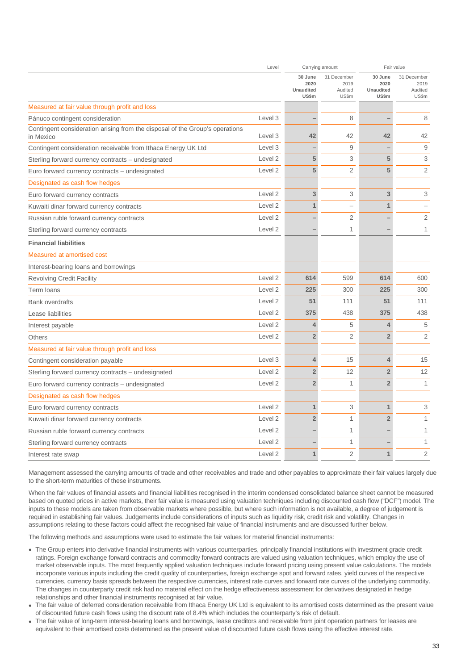|                                                                                           | Level              | Carrying amount                              |                                         | Fair value                                   |                                         |
|-------------------------------------------------------------------------------------------|--------------------|----------------------------------------------|-----------------------------------------|----------------------------------------------|-----------------------------------------|
|                                                                                           |                    | 30 June<br>2020<br><b>Unaudited</b><br>US\$m | 31 December<br>2019<br>Audited<br>US\$m | 30 June<br>2020<br><b>Unaudited</b><br>US\$m | 31 December<br>2019<br>Audited<br>US\$m |
| Measured at fair value through profit and loss                                            |                    |                                              |                                         |                                              |                                         |
| Pánuco contingent consideration                                                           | Level 3            |                                              | 8                                       |                                              | 8                                       |
| Contingent consideration arising from the disposal of the Group's operations<br>in Mexico | Level 3            | 42                                           | 42                                      | 42                                           | 42                                      |
| Contingent consideration receivable from Ithaca Energy UK Ltd                             | Level 3            |                                              | 9                                       |                                              | 9                                       |
| Sterling forward currency contracts – undesignated                                        | Level <sub>2</sub> | 5                                            | 3                                       | 5                                            | 3                                       |
| Euro forward currency contracts – undesignated                                            | Level 2            | 5                                            | 2                                       | 5                                            | $\overline{2}$                          |
| Designated as cash flow hedges                                                            |                    |                                              |                                         |                                              |                                         |
| Euro forward currency contracts                                                           | Level 2            | 3                                            | 3                                       | 3                                            | 3                                       |
| Kuwaiti dinar forward currency contracts                                                  | Level 2            | $\mathbf{1}$                                 | $\overline{\phantom{0}}$                | $\mathbf{1}$                                 | ÷                                       |
| Russian ruble forward currency contracts                                                  | Level 2            |                                              | 2                                       |                                              | $\overline{2}$                          |
| Sterling forward currency contracts                                                       | Level 2            |                                              | $\mathbf{1}$                            |                                              | $\mathbf{1}$                            |
| <b>Financial liabilities</b>                                                              |                    |                                              |                                         |                                              |                                         |
| <b>Measured at amortised cost</b>                                                         |                    |                                              |                                         |                                              |                                         |
| Interest-bearing loans and borrowings                                                     |                    |                                              |                                         |                                              |                                         |
| <b>Revolving Credit Facility</b>                                                          | Level <sub>2</sub> | 614                                          | 599                                     | 614                                          | 600                                     |
| Term loans                                                                                | Level 2            | 225                                          | 300                                     | 225                                          | 300                                     |
| <b>Bank overdrafts</b>                                                                    | Level 2            | 51                                           | 111                                     | 51                                           | 111                                     |
| Lease liabilities                                                                         | Level <sub>2</sub> | 375                                          | 438                                     | 375                                          | 438                                     |
| Interest payable                                                                          | Level 2            | $\overline{4}$                               | 5                                       | 4                                            | 5                                       |
| <b>Others</b>                                                                             | Level 2            | $\overline{2}$                               | 2                                       | $\overline{2}$                               | $\overline{2}$                          |
| Measured at fair value through profit and loss                                            |                    |                                              |                                         |                                              |                                         |
| Contingent consideration payable                                                          | Level 3            | $\overline{4}$                               | 15                                      | 4                                            | 15                                      |
| Sterling forward currency contracts - undesignated                                        | Level <sub>2</sub> | $\overline{2}$                               | 12                                      | $\overline{2}$                               | 12                                      |
| Euro forward currency contracts - undesignated                                            | Level 2            | $\overline{2}$                               | $\mathbf{1}$                            | $\overline{2}$                               | $\mathbf{1}$                            |
| Designated as cash flow hedges                                                            |                    |                                              |                                         |                                              |                                         |
| Euro forward currency contracts                                                           | Level <sub>2</sub> | $\mathbf{1}$                                 | 3                                       | $\mathbf{1}$                                 | 3                                       |
| Kuwaiti dinar forward currency contracts                                                  | Level <sub>2</sub> | $\overline{2}$                               | $\mathbf{1}$                            | $\overline{2}$                               | $\mathbf{1}$                            |
| Russian ruble forward currency contracts                                                  | Level 2            |                                              | $\mathbf{1}$                            |                                              | 1                                       |
| Sterling forward currency contracts                                                       | Level 2            |                                              | 1                                       |                                              | 1                                       |
| Interest rate swap                                                                        | Level 2            | $\mathbf{1}$                                 | $\overline{2}$                          | $\mathbf{1}$                                 | $\overline{2}$                          |

Management assessed the carrying amounts of trade and other receivables and trade and other payables to approximate their fair values largely due to the short-term maturities of these instruments.

When the fair values of financial assets and financial liabilities recognised in the interim condensed consolidated balance sheet cannot be measured based on quoted prices in active markets, their fair value is measured using valuation techniques including discounted cash flow ("DCF") model. The inputs to these models are taken from observable markets where possible, but where such information is not available, a degree of judgement is required in establishing fair values. Judgements include considerations of inputs such as liquidity risk, credit risk and volatility. Changes in assumptions relating to these factors could affect the recognised fair value of financial instruments and are discussed further below.

The following methods and assumptions were used to estimate the fair values for material financial instruments:

- The Group enters into derivative financial instruments with various counterparties, principally financial institutions with investment grade credit ratings. Foreign exchange forward contracts and commodity forward contracts are valued using valuation techniques, which employ the use of market observable inputs. The most frequently applied valuation techniques include forward pricing using present value calculations. The models incorporate various inputs including the credit quality of counterparties, foreign exchange spot and forward rates, yield curves of the respective currencies, currency basis spreads between the respective currencies, interest rate curves and forward rate curves of the underlying commodity. The changes in counterparty credit risk had no material effect on the hedge effectiveness assessment for derivatives designated in hedge relationships and other financial instruments recognised at fair value.
- The fair value of deferred consideration receivable from Ithaca Energy UK Ltd is equivalent to its amortised costs determined as the present value of discounted future cash flows using the discount rate of 8.4% which includes the counterparty's risk of default.
- The fair value of long-term interest-bearing loans and borrowings, lease creditors and receivable from joint operation partners for leases are equivalent to their amortised costs determined as the present value of discounted future cash flows using the effective interest rate.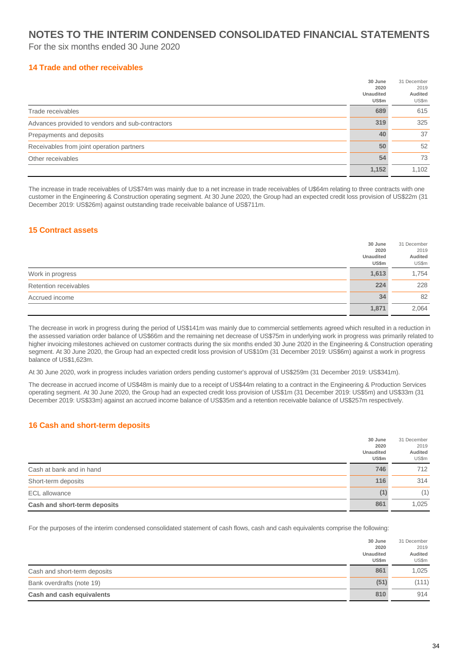For the six months ended 30 June 2020

#### **14 Trade and other receivables**

|                                                  | 30 June          | 31 December |
|--------------------------------------------------|------------------|-------------|
|                                                  | 2020             | 2019        |
|                                                  | <b>Unaudited</b> | Audited     |
|                                                  | US\$m            | US\$m       |
| Trade receivables                                | 689              | 615         |
| Advances provided to vendors and sub-contractors | 319              | 325         |
| Prepayments and deposits                         | 40               | 37          |
| Receivables from joint operation partners        | 50               | 52          |
| Other receivables                                | 54               | 73          |
|                                                  | 1,152            | 1.102       |

The increase in trade receivables of US\$74m was mainly due to a net increase in trade receivables of U\$64m relating to three contracts with one customer in the Engineering & Construction operating segment. At 30 June 2020, the Group had an expected credit loss provision of US\$22m (31 December 2019: US\$26m) against outstanding trade receivable balance of US\$711m.

#### **15 Contract assets**

|                       | 30 June                    | 31 December              |
|-----------------------|----------------------------|--------------------------|
|                       | 2020<br>Unaudited<br>US\$m | 2019<br>Audited<br>US\$m |
| Work in progress      | 1,613                      | 1,754                    |
| Retention receivables | 224                        | 228                      |
| Accrued income        | 34                         | 82                       |
|                       | 1,871                      | 2,064                    |

The decrease in work in progress during the period of US\$141m was mainly due to commercial settlements agreed which resulted in a reduction in the assessed variation order balance of US\$66m and the remaining net decrease of US\$75m in underlying work in progress was primarily related to higher invoicing milestones achieved on customer contracts during the six months ended 30 June 2020 in the Engineering & Construction operating segment. At 30 June 2020, the Group had an expected credit loss provision of US\$10m (31 December 2019: US\$6m) against a work in progress balance of US\$1,623m.

At 30 June 2020, work in progress includes variation orders pending customer's approval of US\$259m (31 December 2019: US\$341m).

The decrease in accrued income of US\$48m is mainly due to a receipt of US\$44m relating to a contract in the Engineering & Production Services operating segment. At 30 June 2020, the Group had an expected credit loss provision of US\$1m (31 December 2019: US\$5m) and US\$33m (31 December 2019: US\$33m) against an accrued income balance of US\$35m and a retention receivable balance of US\$257m respectively.

#### **16 Cash and short-term deposits**

|                              | 30 June<br>2020           | 31 December<br>2019 |
|------------------------------|---------------------------|---------------------|
|                              | Unaudited<br><b>US\$m</b> | Audited<br>US\$m    |
| Cash at bank and in hand     | 746                       | 712                 |
| Short-term deposits          | 116                       | 314                 |
| <b>ECL</b> allowance         | (1)                       | (1)                 |
| Cash and short-term deposits | 861                       | 1,025               |

For the purposes of the interim condensed consolidated statement of cash flows, cash and cash equivalents comprise the following:

|                              | 30 June<br>2020<br><b>Unaudited</b><br>US\$m | 31 December<br>2019<br>Audited<br>US\$m |
|------------------------------|----------------------------------------------|-----------------------------------------|
| Cash and short-term deposits | 861                                          | 1,025                                   |
| Bank overdrafts (note 19)    | (51)                                         | (111)                                   |
| Cash and cash equivalents    | 810                                          | 914                                     |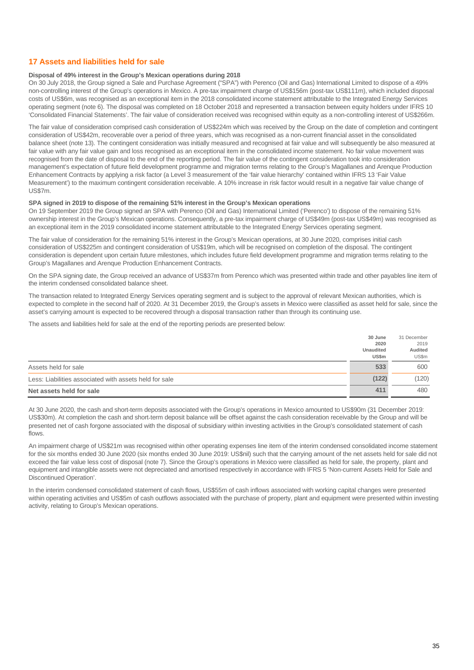#### **17 Assets and liabilities held for sale**

#### **Disposal of 49% interest in the Group's Mexican operations during 2018**

On 30 July 2018, the Group signed a Sale and Purchase Agreement ("SPA") with Perenco (Oil and Gas) International Limited to dispose of a 49% non-controlling interest of the Group's operations in Mexico. A pre-tax impairment charge of US\$156m (post-tax US\$111m), which included disposal costs of US\$6m, was recognised as an exceptional item in the 2018 consolidated income statement attributable to the Integrated Energy Services operating segment (note 6). The disposal was completed on 18 October 2018 and represented a transaction between equity holders under IFRS 10 'Consolidated Financial Statements'. The fair value of consideration received was recognised within equity as a non-controlling interest of US\$266m.

The fair value of consideration comprised cash consideration of US\$224m which was received by the Group on the date of completion and contingent consideration of US\$42m, recoverable over a period of three years, which was recognised as a non-current financial asset in the consolidated balance sheet (note 13). The contingent consideration was initially measured and recognised at fair value and will subsequently be also measured at fair value with any fair value gain and loss recognised as an exceptional item in the consolidated income statement. No fair value movement was recognised from the date of disposal to the end of the reporting period. The fair value of the contingent consideration took into consideration management's expectation of future field development programme and migration terms relating to the Group's Magallanes and Arenque Production Enhancement Contracts by applying a risk factor (a Level 3 measurement of the 'fair value hierarchy' contained within IFRS 13 'Fair Value Measurement') to the maximum contingent consideration receivable. A 10% increase in risk factor would result in a negative fair value change of US\$7m.

#### **SPA signed in 2019 to dispose of the remaining 51% interest in the Group's Mexican operations**

On 19 September 2019 the Group signed an SPA with Perenco (Oil and Gas) International Limited ('Perenco') to dispose of the remaining 51% ownership interest in the Group's Mexican operations. Consequently, a pre-tax impairment charge of US\$49m (post-tax US\$49m) was recognised as an exceptional item in the 2019 consolidated income statement attributable to the Integrated Energy Services operating segment.

The fair value of consideration for the remaining 51% interest in the Group's Mexican operations, at 30 June 2020, comprises initial cash consideration of US\$225m and contingent consideration of US\$19m, which will be recognised on completion of the disposal. The contingent consideration is dependent upon certain future milestones, which includes future field development programme and migration terms relating to the Group's Magallanes and Arenque Production Enhancement Contracts.

On the SPA signing date, the Group received an advance of US\$37m from Perenco which was presented within trade and other payables line item of the interim condensed consolidated balance sheet.

The transaction related to Integrated Energy Services operating segment and is subject to the approval of relevant Mexican authorities, which is expected to complete in the second half of 2020. At 31 December 2019, the Group's assets in Mexico were classified as asset held for sale, since the asset's carrying amount is expected to be recovered through a disposal transaction rather than through its continuing use.

The assets and liabilities held for sale at the end of the reporting periods are presented below:

|                                                        | 30 June          | 31 December |
|--------------------------------------------------------|------------------|-------------|
|                                                        | 2020             | 2019        |
|                                                        | <b>Unaudited</b> | Audited     |
|                                                        | US\$m            | US\$m       |
| Assets held for sale                                   | 533              | 600         |
| Less: Liabilities associated with assets held for sale | (122)            | (120)       |
| Net assets held for sale                               | 411              | 480         |

At 30 June 2020, the cash and short-term deposits associated with the Group's operations in Mexico amounted to US\$90m (31 December 2019: US\$30m). At completion the cash and short-term deposit balance will be offset against the cash consideration receivable by the Group and will be presented net of cash forgone associated with the disposal of subsidiary within investing activities in the Group's consolidated statement of cash flows.

An impairment charge of US\$21m was recognised within other operating expenses line item of the interim condensed consolidated income statement for the six months ended 30 June 2020 (six months ended 30 June 2019: US\$nil) such that the carrying amount of the net assets held for sale did not exceed the fair value less cost of disposal (note 7). Since the Group's operations in Mexico were classified as held for sale, the property, plant and equipment and intangible assets were not depreciated and amortised respectively in accordance with IFRS 5 'Non-current Assets Held for Sale and Discontinued Operation'.

In the interim condensed consolidated statement of cash flows, US\$55m of cash inflows associated with working capital changes were presented within operating activities and US\$5m of cash outflows associated with the purchase of property, plant and equipment were presented within investing activity, relating to Group's Mexican operations.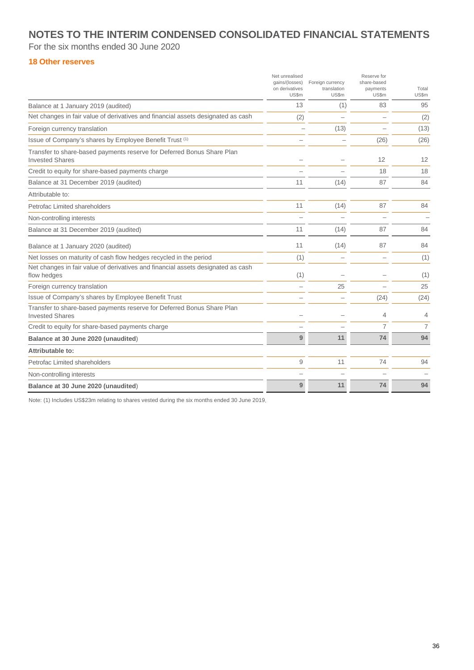For the six months ended 30 June 2020

#### **18 Other reserves**

|                                                                                                  | Net unrealised<br>gains/(losses)<br>on derivatives<br><b>US\$m</b> | Foreign currency<br>translation<br>US\$m | Reserve for<br>share-based<br>payments<br>US\$m | Total<br>US\$m |
|--------------------------------------------------------------------------------------------------|--------------------------------------------------------------------|------------------------------------------|-------------------------------------------------|----------------|
| Balance at 1 January 2019 (audited)                                                              | 13                                                                 | (1)                                      | 83                                              | 95             |
| Net changes in fair value of derivatives and financial assets designated as cash                 | (2)                                                                |                                          |                                                 | (2)            |
| Foreign currency translation                                                                     |                                                                    | (13)                                     |                                                 | (13)           |
| Issue of Company's shares by Employee Benefit Trust (1)                                          |                                                                    |                                          | (26)                                            | (26)           |
| Transfer to share-based payments reserve for Deferred Bonus Share Plan<br><b>Invested Shares</b> |                                                                    |                                          | 12                                              | 12             |
| Credit to equity for share-based payments charge                                                 |                                                                    |                                          | 18                                              | 18             |
| Balance at 31 December 2019 (audited)                                                            | 11                                                                 | (14)                                     | 87                                              | 84             |
| Attributable to:                                                                                 |                                                                    |                                          |                                                 |                |
| Petrofac Limited shareholders                                                                    | 11                                                                 | (14)                                     | 87                                              | 84             |
| Non-controlling interests                                                                        |                                                                    |                                          |                                                 |                |
| Balance at 31 December 2019 (audited)                                                            | 11                                                                 | (14)                                     | 87                                              | 84             |
| Balance at 1 January 2020 (audited)                                                              | 11                                                                 | (14)                                     | 87                                              | 84             |
| Net losses on maturity of cash flow hedges recycled in the period                                | (1)                                                                |                                          |                                                 | (1)            |
| Net changes in fair value of derivatives and financial assets designated as cash<br>flow hedges  | (1)                                                                |                                          |                                                 | (1)            |
| Foreign currency translation                                                                     |                                                                    | 25                                       |                                                 | 25             |
| Issue of Company's shares by Employee Benefit Trust                                              |                                                                    |                                          | (24)                                            | (24)           |
| Transfer to share-based payments reserve for Deferred Bonus Share Plan<br><b>Invested Shares</b> |                                                                    |                                          | 4                                               | 4              |
| Credit to equity for share-based payments charge                                                 |                                                                    |                                          | 7                                               | 7              |
| Balance at 30 June 2020 (unaudited)                                                              | 9                                                                  | 11                                       | 74                                              | 94             |
| Attributable to:                                                                                 |                                                                    |                                          |                                                 |                |
| Petrofac Limited shareholders                                                                    | 9                                                                  | 11                                       | 74                                              | 94             |
| Non-controlling interests                                                                        |                                                                    |                                          |                                                 |                |
| Balance at 30 June 2020 (unaudited)                                                              | 9                                                                  | 11                                       | 74                                              | 94             |

Note: (1) Includes US\$23m relating to shares vested during the six months ended 30 June 2019.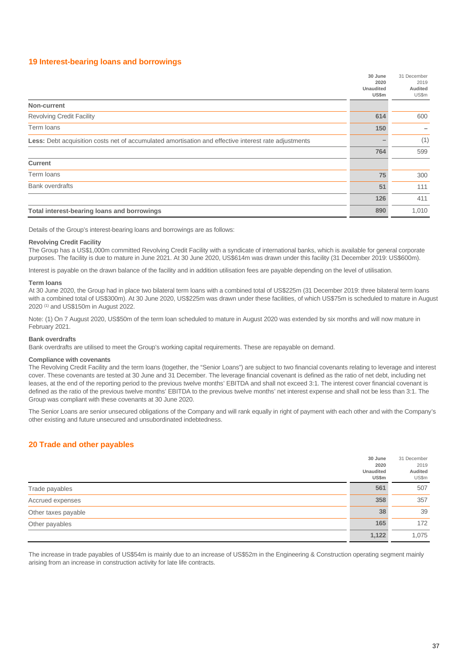#### **19 Interest-bearing loans and borrowings**

|                                                                                                      | 30 June<br>2020           | 31 December<br>2019 |
|------------------------------------------------------------------------------------------------------|---------------------------|---------------------|
|                                                                                                      | <b>Unaudited</b><br>US\$m | Audited<br>US\$m    |
| Non-current                                                                                          |                           |                     |
| <b>Revolving Credit Facility</b>                                                                     | 614                       | 600                 |
| Term loans                                                                                           | 150                       |                     |
| Less: Debt acquisition costs net of accumulated amortisation and effective interest rate adjustments |                           | (1)                 |
|                                                                                                      | 764                       | 599                 |
| <b>Current</b>                                                                                       |                           |                     |
| Term loans                                                                                           | 75                        | 300                 |
| <b>Bank overdrafts</b>                                                                               | 51                        | 111                 |
|                                                                                                      | 126                       | 411                 |
| Total interest-bearing loans and borrowings                                                          | 890                       | 1,010               |

Details of the Group's interest-bearing loans and borrowings are as follows:

#### **Revolving Credit Facility**

The Group has a US\$1,000m committed Revolving Credit Facility with a syndicate of international banks, which is available for general corporate purposes. The facility is due to mature in June 2021. At 30 June 2020, US\$614m was drawn under this facility (31 December 2019: US\$600m).

Interest is payable on the drawn balance of the facility and in addition utilisation fees are payable depending on the level of utilisation.

#### **Term loans**

At 30 June 2020, the Group had in place two bilateral term loans with a combined total of US\$225m (31 December 2019: three bilateral term loans with a combined total of US\$300m). At 30 June 2020, US\$225m was drawn under these facilities, of which US\$75m is scheduled to mature in August 2020 (1) and US\$150m in August 2022.

Note: (1) On 7 August 2020, US\$50m of the term loan scheduled to mature in August 2020 was extended by six months and will now mature in February 2021.

#### **Bank overdrafts**

Bank overdrafts are utilised to meet the Group's working capital requirements. These are repayable on demand.

#### **Compliance with covenants**

The Revolving Credit Facility and the term loans (together, the "Senior Loans") are subject to two financial covenants relating to leverage and interest cover. These covenants are tested at 30 June and 31 December. The leverage financial covenant is defined as the ratio of net debt, including net leases, at the end of the reporting period to the previous twelve months' EBITDA and shall not exceed 3:1. The interest cover financial covenant is defined as the ratio of the previous twelve months' EBITDA to the previous twelve months' net interest expense and shall not be less than 3:1. The Group was compliant with these covenants at 30 June 2020.

The Senior Loans are senior unsecured obligations of the Company and will rank equally in right of payment with each other and with the Company's other existing and future unsecured and unsubordinated indebtedness.

#### **20 Trade and other payables**

|                     | 30 June<br>2020<br><b>Unaudited</b><br>US\$m | 31 December<br>2019<br>Audited<br>US\$m |
|---------------------|----------------------------------------------|-----------------------------------------|
| Trade payables      | 561                                          | 507                                     |
| Accrued expenses    | 358                                          | 357                                     |
| Other taxes payable | 38                                           | 39                                      |
| Other payables      | 165                                          | 172                                     |
|                     | 1,122                                        | 1,075                                   |

The increase in trade payables of US\$54m is mainly due to an increase of US\$52m in the Engineering & Construction operating segment mainly arising from an increase in construction activity for late life contracts.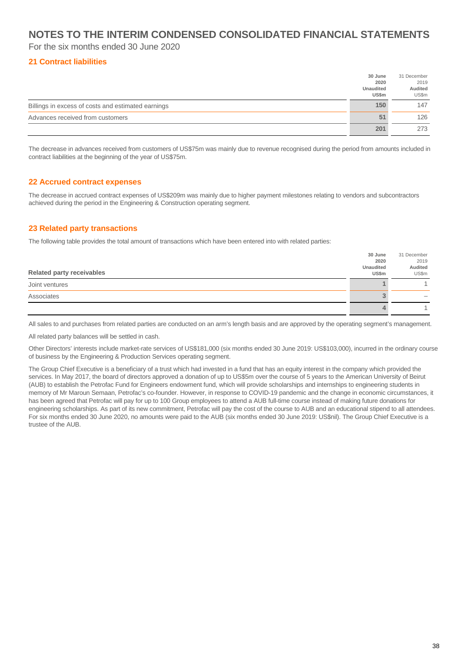For the six months ended 30 June 2020

#### **21 Contract liabilities**

|                                                    | 30 June          | 31 December |
|----------------------------------------------------|------------------|-------------|
|                                                    | 2020             | 2019        |
|                                                    | <b>Unaudited</b> | Audited     |
|                                                    | US\$m            | US\$m       |
| Billings in excess of costs and estimated earnings | 150              | 147         |
| Advances received from customers                   | 51               | 126         |
|                                                    | 201              | 273         |

The decrease in advances received from customers of US\$75m was mainly due to revenue recognised during the period from amounts included in contract liabilities at the beginning of the year of US\$75m.

#### **22 Accrued contract expenses**

The decrease in accrued contract expenses of US\$209m was mainly due to higher payment milestones relating to vendors and subcontractors achieved during the period in the Engineering & Construction operating segment.

#### **23 Related party transactions**

The following table provides the total amount of transactions which have been entered into with related parties:

|                                  | 30 June   | 31 December |
|----------------------------------|-----------|-------------|
|                                  | 2020      | 2019        |
|                                  | Unaudited | Audited     |
| <b>Related party receivables</b> | US\$m     | US\$m       |
| Joint ventures                   |           |             |
| Associates                       |           |             |
|                                  |           |             |

All sales to and purchases from related parties are conducted on an arm's length basis and are approved by the operating segment's management.

All related party balances will be settled in cash.

Other Directors' interests include market-rate services of US\$181,000 (six months ended 30 June 2019: US\$103,000), incurred in the ordinary course of business by the Engineering & Production Services operating segment.

The Group Chief Executive is a beneficiary of a trust which had invested in a fund that has an equity interest in the company which provided the services. In May 2017, the board of directors approved a donation of up to US\$5m over the course of 5 years to the American University of Beirut (AUB) to establish the Petrofac Fund for Engineers endowment fund, which will provide scholarships and internships to engineering students in memory of Mr Maroun Semaan, Petrofac's co-founder. However, in response to COVID-19 pandemic and the change in economic circumstances, it has been agreed that Petrofac will pay for up to 100 Group employees to attend a AUB full-time course instead of making future donations for engineering scholarships. As part of its new commitment, Petrofac will pay the cost of the course to AUB and an educational stipend to all attendees. For six months ended 30 June 2020, no amounts were paid to the AUB (six months ended 30 June 2019: US\$nil). The Group Chief Executive is a trustee of the AUB.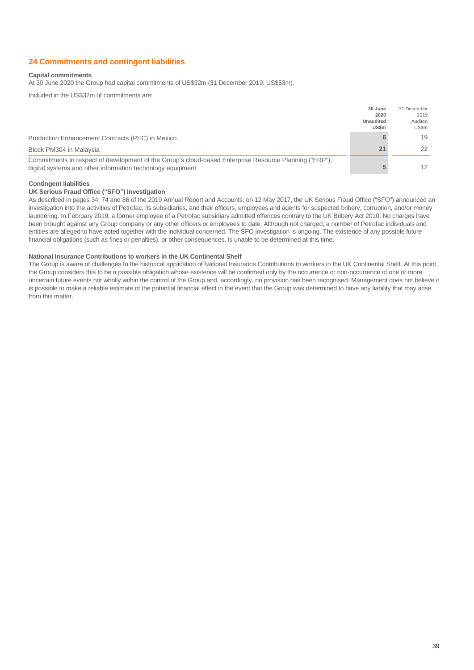#### **24 Commitments and contingent liabilities**

#### **Capital commitments**

At 30 June 2020 the Group had capital commitments of US\$32m (31 December 2019: US\$53m).

Included in the US\$32m of commitments are:

|                                                                                                                                                                      | 30 June<br>2020           | 31 December<br>2019 |
|----------------------------------------------------------------------------------------------------------------------------------------------------------------------|---------------------------|---------------------|
|                                                                                                                                                                      | <b>Unaudited</b><br>US\$m | Audited<br>US\$m    |
| Production Enhancement Contracts (PEC) in Mexico                                                                                                                     |                           | 19                  |
| Block PM304 in Malaysia                                                                                                                                              | 21                        | 22                  |
| Commitments in respect of development of the Group's cloud-based Enterprise Resource Planning ("ERP"),<br>digital systems and other information technology equipment |                           | 12                  |

#### **Contingent liabilities**

#### **UK Serious Fraud Office ("SFO") investigation**

As described in pages 34, 74 and 86 of the 2019 Annual Report and Accounts, on 12 May 2017, the UK Serious Fraud Office ("SFO") announced an investigation into the activities of Petrofac, its subsidiaries, and their officers, employees and agents for suspected bribery, corruption, and/or money laundering. In February 2019, a former employee of a Petrofac subsidiary admitted offences contrary to the UK Bribery Act 2010. No charges have been brought against any Group company or any other officers or employees to date. Although not charged, a number of Petrofac individuals and entities are alleged to have acted together with the individual concerned. The SFO investigation is ongoing. The existence of any possible future financial obligations (such as fines or penalties), or other consequences, is unable to be determined at this time.

#### **National Insurance Contributions to workers in the UK Continental Shelf**

The Group is aware of challenges to the historical application of National Insurance Contributions to workers in the UK Continental Shelf. At this point, the Group considers this to be a possible obligation whose existence will be confirmed only by the occurrence or non-occurrence of one or more uncertain future events not wholly within the control of the Group and, accordingly, no provision has been recognised. Management does not believe it is possible to make a reliable estimate of the potential financial effect in the event that the Group was determined to have any liability that may arise from this matter.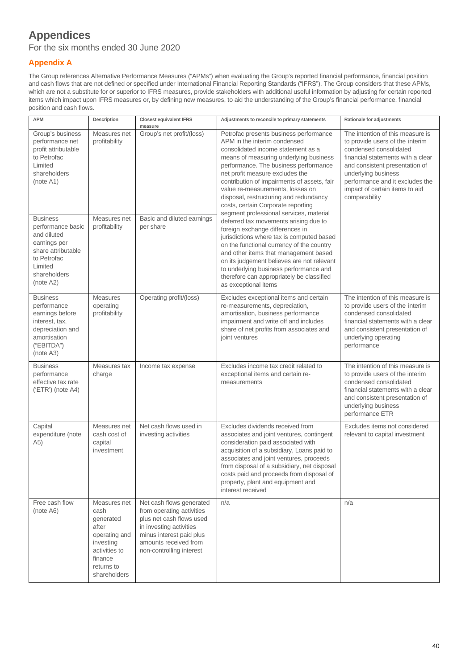## **Appendices**

For the six months ended 30 June 2020

### **Appendix A**

The Group references Alternative Performance Measures ("APMs") when evaluating the Group's reported financial performance, financial position and cash flows that are not defined or specified under International Financial Reporting Standards ("IFRS"). The Group considers that these APMs, which are not a substitute for or superior to IFRS measures, provide stakeholders with additional useful information by adjusting for certain reported items which impact upon IFRS measures or, by defining new measures, to aid the understanding of the Group's financial performance, financial position and cash flows.

| <b>APM</b>                                                                                                                                                | Description                                                                                                                        | <b>Closest equivalent IFRS</b><br>measure                                                                                                                                                     | Adjustments to reconcile to primary statements                                                                                                                                                                                                                                                                                                                                                                                                                                            | Rationale for adjustments                                                                                                                                                                                                                                                         |
|-----------------------------------------------------------------------------------------------------------------------------------------------------------|------------------------------------------------------------------------------------------------------------------------------------|-----------------------------------------------------------------------------------------------------------------------------------------------------------------------------------------------|-------------------------------------------------------------------------------------------------------------------------------------------------------------------------------------------------------------------------------------------------------------------------------------------------------------------------------------------------------------------------------------------------------------------------------------------------------------------------------------------|-----------------------------------------------------------------------------------------------------------------------------------------------------------------------------------------------------------------------------------------------------------------------------------|
| Group's business<br>performance net<br>profit attributable<br>to Petrofac<br>Limited<br>shareholders<br>(note A1)<br><b>Business</b><br>performance basic | Measures net<br>profitability<br>Measures net<br>profitability                                                                     | Group's net profit/(loss)<br>Basic and diluted earnings<br>per share                                                                                                                          | Petrofac presents business performance<br>APM in the interim condensed<br>consolidated income statement as a<br>means of measuring underlying business<br>performance. The business performance<br>net profit measure excludes the<br>contribution of impairments of assets, fair<br>value re-measurements, losses on<br>disposal, restructuring and redundancy<br>costs, certain Corporate reporting<br>segment professional services, material<br>deferred tax movements arising due to | The intention of this measure is<br>to provide users of the interim<br>condensed consolidated<br>financial statements with a clear<br>and consistent presentation of<br>underlying business<br>performance and it excludes the<br>impact of certain items to aid<br>comparability |
| and diluted<br>earnings per<br>share attributable<br>to Petrofac<br>Limited<br>shareholders<br>(note A2)                                                  |                                                                                                                                    |                                                                                                                                                                                               | foreign exchange differences in<br>jurisdictions where tax is computed based<br>on the functional currency of the country<br>and other items that management based<br>on its judgement believes are not relevant<br>to underlying business performance and<br>therefore can appropriately be classified<br>as exceptional items                                                                                                                                                           |                                                                                                                                                                                                                                                                                   |
| <b>Business</b><br>performance<br>earnings before<br>interest, tax,<br>depreciation and<br>amortisation<br>("EBITDA")<br>(note A3)                        | <b>Measures</b><br>operating<br>profitability                                                                                      | Operating profit/(loss)                                                                                                                                                                       | Excludes exceptional items and certain<br>re-measurements, depreciation,<br>amortisation, business performance<br>impairment and write off and includes<br>share of net profits from associates and<br>joint ventures                                                                                                                                                                                                                                                                     | The intention of this measure is<br>to provide users of the interim<br>condensed consolidated<br>financial statements with a clear<br>and consistent presentation of<br>underlying operating<br>performance                                                                       |
| <b>Business</b><br>performance<br>effective tax rate<br>$( 'ETR' )$ (note A4)                                                                             | Measures tax<br>charge                                                                                                             | Income tax expense                                                                                                                                                                            | Excludes income tax credit related to<br>exceptional items and certain re-<br>measurements                                                                                                                                                                                                                                                                                                                                                                                                | The intention of this measure is<br>to provide users of the interim<br>condensed consolidated<br>financial statements with a clear<br>and consistent presentation of<br>underlying business<br>performance ETR                                                                    |
| Capital<br>expenditure (note<br>(A5)                                                                                                                      | Measures net<br>cash cost of<br>capital<br>investment                                                                              | Net cash flows used in<br>investing activities                                                                                                                                                | Excludes dividends received from<br>associates and joint ventures, contingent<br>consideration paid associated with<br>acquisition of a subsidiary, Loans paid to<br>associates and joint ventures, proceeds<br>from disposal of a subsidiary, net disposal<br>costs paid and proceeds from disposal of<br>property, plant and equipment and<br>interest received                                                                                                                         | Excludes items not considered<br>relevant to capital investment                                                                                                                                                                                                                   |
| Free cash flow<br>(note A6)                                                                                                                               | Measures net<br>cash<br>generated<br>after<br>operating and<br>investing<br>activities to<br>finance<br>returns to<br>shareholders | Net cash flows generated<br>from operating activities<br>plus net cash flows used<br>in investing activities<br>minus interest paid plus<br>amounts received from<br>non-controlling interest | n/a                                                                                                                                                                                                                                                                                                                                                                                                                                                                                       | n/a                                                                                                                                                                                                                                                                               |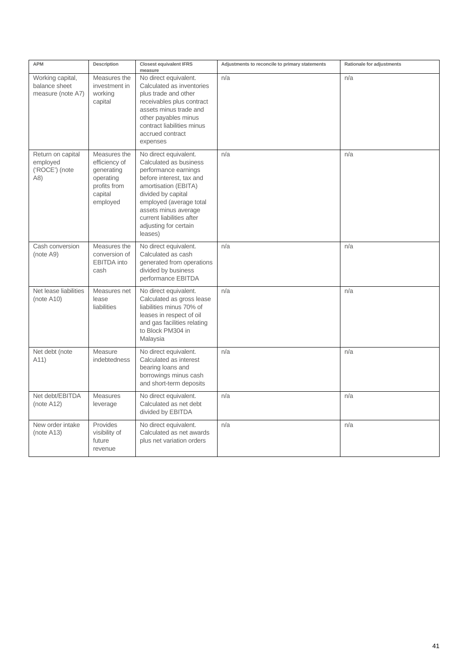| <b>APM</b>                                              | Description                                                                                     | <b>Closest equivalent IFRS</b><br>measure                                                                                                                                                                                                                             | Adjustments to reconcile to primary statements | Rationale for adjustments |
|---------------------------------------------------------|-------------------------------------------------------------------------------------------------|-----------------------------------------------------------------------------------------------------------------------------------------------------------------------------------------------------------------------------------------------------------------------|------------------------------------------------|---------------------------|
| Working capital,<br>balance sheet<br>measure (note A7)  | Measures the<br>investment in<br>working<br>capital                                             | No direct equivalent.<br>Calculated as inventories<br>plus trade and other<br>receivables plus contract<br>assets minus trade and<br>other payables minus<br>contract liabilities minus<br>accrued contract<br>expenses                                               | n/a                                            | n/a                       |
| Return on capital<br>employed<br>('ROCE') (note<br>(A8) | Measures the<br>efficiency of<br>generating<br>operating<br>profits from<br>capital<br>employed | No direct equivalent.<br>Calculated as business<br>performance earnings<br>before interest, tax and<br>amortisation (EBITA)<br>divided by capital<br>employed (average total<br>assets minus average<br>current liabilities after<br>adjusting for certain<br>leases) | n/a                                            | n/a                       |
| Cash conversion<br>(note A9)                            | Measures the<br>conversion of<br><b>EBITDA</b> into<br>cash                                     | No direct equivalent.<br>Calculated as cash<br>generated from operations<br>divided by business<br>performance EBITDA                                                                                                                                                 | n/a                                            | n/a                       |
| Net lease liabilities<br>(note A10)                     | Measures net<br>lease<br>liabilities                                                            | No direct equivalent.<br>Calculated as gross lease<br>liabilities minus 70% of<br>leases in respect of oil<br>and gas facilities relating<br>to Block PM304 in<br>Malaysia                                                                                            | n/a                                            | n/a                       |
| Net debt (note<br>A11)                                  | Measure<br>indebtedness                                                                         | No direct equivalent.<br>Calculated as interest<br>bearing loans and<br>borrowings minus cash<br>and short-term deposits                                                                                                                                              | n/a                                            | n/a                       |
| Net debt/EBITDA<br>(note A12)                           | Measures<br>leverage                                                                            | No direct equivalent.<br>Calculated as net debt<br>divided by EBITDA                                                                                                                                                                                                  | n/a                                            | n/a                       |
| New order intake<br>(note A13)                          | Provides<br>visibility of<br>future<br>revenue                                                  | No direct equivalent.<br>Calculated as net awards<br>plus net variation orders                                                                                                                                                                                        | n/a                                            | n/a                       |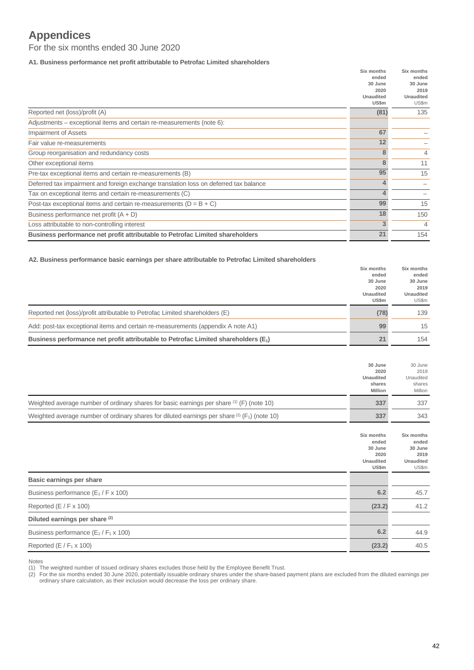## **Appendices**

For the six months ended 30 June 2020

**A1. Business performance net profit attributable to Petrofac Limited shareholders**

|                                                                                       | Six months<br>ended<br>30 June<br>2020<br><b>Unaudited</b><br>US\$m | Six months<br>ended<br>30 June<br>2019<br><b>Unaudited</b><br>US\$m |
|---------------------------------------------------------------------------------------|---------------------------------------------------------------------|---------------------------------------------------------------------|
| Reported net (loss)/profit (A)                                                        | (81)                                                                | 135                                                                 |
| Adjustments – exceptional items and certain re-measurements (note 6):                 |                                                                     |                                                                     |
| <b>Impairment of Assets</b>                                                           | 67                                                                  |                                                                     |
| Fair value re-measurements                                                            | 12                                                                  |                                                                     |
| Group reorganisation and redundancy costs                                             | 8                                                                   | 4                                                                   |
| Other exceptional items                                                               | 8                                                                   | 11                                                                  |
| Pre-tax exceptional items and certain re-measurements (B)                             | 95                                                                  | 15                                                                  |
| Deferred tax impairment and foreign exchange translation loss on deferred tax balance | 4                                                                   |                                                                     |
| Tax on exceptional items and certain re-measurements (C)                              | $\overline{4}$                                                      |                                                                     |
| Post-tax exceptional items and certain re-measurements ( $D = B + C$ )                | 99                                                                  | 15                                                                  |
| Business performance net profit $(A + D)$                                             | 18                                                                  | 150                                                                 |
| Loss attributable to non-controlling interest                                         | 3                                                                   | 4                                                                   |
| Business performance net profit attributable to Petrofac Limited shareholders         | 21                                                                  | 154                                                                 |

**A2. Business performance basic earnings per share attributable to Petrofac Limited shareholders**

|                                                                                       | Six months       | Six months |
|---------------------------------------------------------------------------------------|------------------|------------|
|                                                                                       | ended            | ended      |
|                                                                                       | 30 June          | 30 June    |
|                                                                                       | 2020             | 2019       |
|                                                                                       | <b>Unaudited</b> | Unaudited  |
|                                                                                       | US\$m            | US\$m      |
| Reported net (loss)/profit attributable to Petrofac Limited shareholders (E)          | (78)             | 139        |
| Add: post-tax exceptional items and certain re-measurements (appendix A note A1)      | 99               | 15         |
| Business performance net profit attributable to Petrofac Limited shareholders $(E_1)$ | 21               | 154        |

|                                                                                                 | 30 June<br>2020<br><b>Unaudited</b><br>shares<br><b>Million</b> | 30 June<br>2019<br>Unaudited<br>shares<br>Million |
|-------------------------------------------------------------------------------------------------|-----------------------------------------------------------------|---------------------------------------------------|
| Weighted average number of ordinary shares for basic earnings per share (1) (F) (note 10)       | 337                                                             | 337                                               |
| Weighted average number of ordinary shares for diluted earnings per share (2) $(F_1)$ (note 10) | 337                                                             | 343                                               |

|                                             | Six months       | Six months       |
|---------------------------------------------|------------------|------------------|
|                                             | ended            | ended            |
|                                             | 30 June          | 30 June          |
|                                             | 2020             | 2019             |
|                                             | <b>Unaudited</b> | <b>Unaudited</b> |
|                                             | US\$m            | US\$m            |
| Basic earnings per share                    |                  |                  |
| Business performance $(E_1/F x 100)$        | 6.2              | 45.7             |
| Reported $(E / F \times 100)$               | (23.2)           | 41.2             |
| Diluted earnings per share (2)              |                  |                  |
| Business performance $(E_1/F_1 \times 100)$ | 6.2              | 44.9             |
| Reported (E / $F_1 \times 100$ )            | (23.2)           | 40.5             |

Notes

(1) The weighted number of issued ordinary shares excludes those held by the Employee Benefit Trust.

(2) For the six months ended 30 June 2020, potentially issuable ordinary shares under the share-based payment plans are excluded from the diluted earnings per ordinary share calculation, as their inclusion would decrease the loss per ordinary share.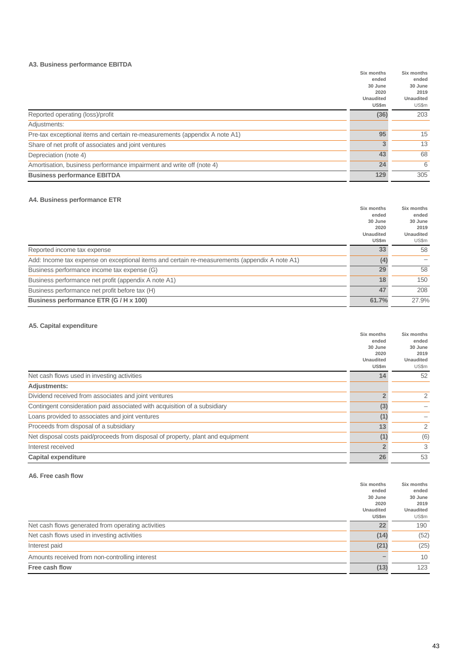#### **A3. Business performance EBITDA**

|                                                                            | Six months       | Six months       |
|----------------------------------------------------------------------------|------------------|------------------|
|                                                                            | ended            | ended            |
|                                                                            | 30 June          | 30 June          |
|                                                                            | 2020             | 2019             |
|                                                                            | <b>Unaudited</b> | <b>Unaudited</b> |
|                                                                            | US\$m            | US\$m            |
| Reported operating (loss)/profit                                           | (36)             | 203              |
| Adjustments:                                                               |                  |                  |
| Pre-tax exceptional items and certain re-measurements (appendix A note A1) | 95               | 15               |
| Share of net profit of associates and joint ventures                       | 3                | 13               |
| Depreciation (note 4)                                                      | 43               | 68               |
| Amortisation, business performance impairment and write off (note 4)       | 24               | 6                |
| <b>Business performance EBITDA</b>                                         | 129              | 305              |
|                                                                            |                  |                  |

#### **A4. Business performance ETR**

| Six months                                                                                           | Six months       |
|------------------------------------------------------------------------------------------------------|------------------|
| ended                                                                                                | ended            |
| 30 June                                                                                              | 30 June          |
| 2020                                                                                                 | 2019             |
| <b>Unaudited</b>                                                                                     | <b>Unaudited</b> |
| US\$m                                                                                                | US\$m            |
| 33<br>Reported income tax expense                                                                    | 58               |
| Add: Income tax expense on exceptional items and certain re-measurements (appendix A note A1)<br>(4) |                  |
| 29<br>Business performance income tax expense (G)                                                    | 58               |
| 18<br>Business performance net profit (appendix A note A1)                                           | 150              |
| 47<br>Business performance net profit before tax (H)                                                 | 208              |
| Business performance ETR (G / H x 100)<br>61.7%                                                      | 27.9%            |

#### **A5. Capital expenditure**

|                                                                                 | Six months       | Six months       |
|---------------------------------------------------------------------------------|------------------|------------------|
|                                                                                 | ended            | ended            |
|                                                                                 | 30 June          | 30 June          |
|                                                                                 | 2020             | 2019             |
|                                                                                 | <b>Unaudited</b> | <b>Unaudited</b> |
|                                                                                 | US\$m            | US\$m            |
| Net cash flows used in investing activities                                     | 14               | 52               |
| <b>Adjustments:</b>                                                             |                  |                  |
| Dividend received from associates and joint ventures                            | 2                | 2                |
| Contingent consideration paid associated with acquisition of a subsidiary       | (3)              |                  |
| Loans provided to associates and joint ventures                                 | (1)              |                  |
| Proceeds from disposal of a subsidiary                                          | 13               | 2                |
| Net disposal costs paid/proceeds from disposal of property, plant and equipment | (1)              | (6)              |
| Interest received                                                               | $\overline{2}$   | 3                |
| <b>Capital expenditure</b>                                                      | 26               | 53               |
|                                                                                 |                  |                  |

#### **A6. Free cash flow**

|                                                    | Six months       | Six months       |
|----------------------------------------------------|------------------|------------------|
|                                                    | ended            | ended            |
|                                                    | 30 June          | 30 June          |
|                                                    | 2020             | 2019             |
|                                                    | <b>Unaudited</b> | <b>Unaudited</b> |
|                                                    | US\$m            | US\$m            |
| Net cash flows generated from operating activities | 22               | 190              |
| Net cash flows used in investing activities        | (14)             | (52)             |
| Interest paid                                      | (21)             | (25)             |
| Amounts received from non-controlling interest     |                  | 10               |
| Free cash flow                                     | (13)             | 123              |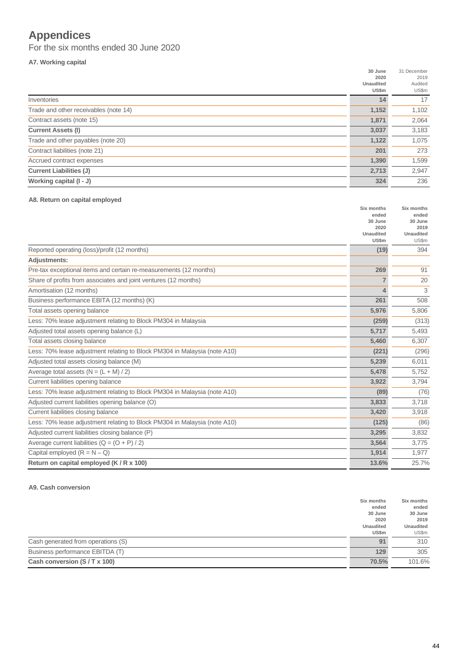## **Appendices**

For the six months ended 30 June 2020

#### **A7. Working capital**

|                                       | 30 June          | 31 December |
|---------------------------------------|------------------|-------------|
|                                       | 2020             | 2019        |
|                                       | <b>Unaudited</b> | Audited     |
|                                       | US\$m            | US\$m       |
| Inventories                           | 14               | 17          |
| Trade and other receivables (note 14) | 1,152            | 1,102       |
| Contract assets (note 15)             | 1,871            | 2,064       |
| <b>Current Assets (I)</b>             | 3,037            | 3,183       |
| Trade and other payables (note 20)    | 1,122            | 1,075       |
| Contract liabilities (note 21)        | 201              | 273         |
| Accrued contract expenses             | 1,390            | 1,599       |
| <b>Current Liabilities (J)</b>        | 2,713            | 2,947       |
| Working capital (I - J)               | 324              | 236         |

#### **A8. Return on capital employed**

|                                                                           | Six months<br>ended       | Six months<br>ended       |
|---------------------------------------------------------------------------|---------------------------|---------------------------|
|                                                                           | 30 June                   | 30 June                   |
|                                                                           | 2020                      | 2019                      |
|                                                                           | <b>Unaudited</b><br>US\$m | <b>Unaudited</b><br>US\$m |
| Reported operating (loss)/profit (12 months)                              | (19)                      | 394                       |
| <b>Adjustments:</b>                                                       |                           |                           |
| Pre-tax exceptional items and certain re-measurements (12 months)         | 269                       | 91                        |
| Share of profits from associates and joint ventures (12 months)           |                           | 20                        |
| Amortisation (12 months)                                                  | Δ.                        | 3                         |
| Business performance EBITA (12 months) (K)                                | 261                       | 508                       |
| Total assets opening balance                                              | 5,976                     | 5,806                     |
| Less: 70% lease adjustment relating to Block PM304 in Malaysia            | (259)                     | (313)                     |
| Adjusted total assets opening balance (L)                                 | 5,717                     | 5,493                     |
| Total assets closing balance                                              | 5,460                     | 6,307                     |
| Less: 70% lease adjustment relating to Block PM304 in Malaysia (note A10) | (221)                     | (296)                     |
| Adjusted total assets closing balance (M)                                 | 5,239                     | 6,011                     |
| Average total assets $(N = (L + M)/2)$                                    | 5,478                     | 5,752                     |
| Current liabilities opening balance                                       | 3,922                     | 3,794                     |
| Less: 70% lease adjustment relating to Block PM304 in Malaysia (note A10) | (89)                      | (76)                      |
| Adjusted current liabilities opening balance (O)                          | 3,833                     | 3,718                     |
| Current liabilities closing balance                                       | 3,420                     | 3,918                     |
| Less: 70% lease adjustment relating to Block PM304 in Malaysia (note A10) | (125)                     | (86)                      |
| Adjusted current liabilities closing balance (P)                          | 3,295                     | 3,832                     |
| Average current liabilities $(Q = (O + P)/2)$                             | 3,564                     | 3,775                     |
| Capital employed $(R = N - Q)$                                            | 1,914                     | 1,977                     |
| Return on capital employed (K / R x 100)                                  | 13.6%                     | 25.7%                     |

#### **A9. Cash conversion**

|                                    | Six months       | Six months       |
|------------------------------------|------------------|------------------|
|                                    | ended            | ended            |
|                                    | 30 June          | 30 June          |
|                                    | 2020             | 2019             |
|                                    | <b>Unaudited</b> | <b>Unaudited</b> |
|                                    | US\$m            | US\$m            |
| Cash generated from operations (S) | 91               | 310              |
| Business performance EBITDA (T)    | 129              | 305              |
| Cash conversion (S/T x 100)        | 70.5%            | 101.6%           |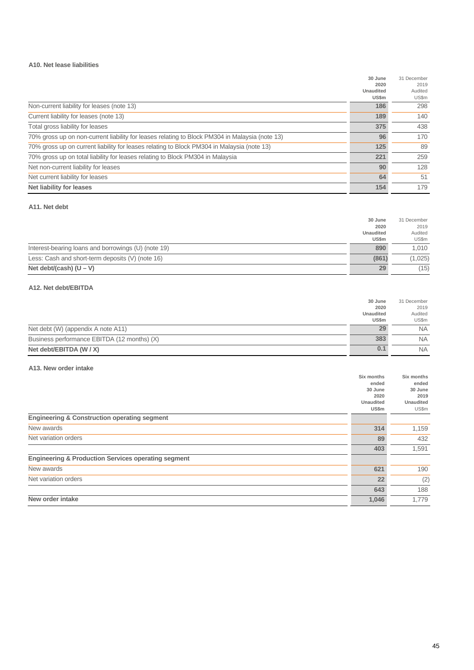#### **A10. Net lease liabilities**

|                                                                                                | 30 June          | 31 December |
|------------------------------------------------------------------------------------------------|------------------|-------------|
|                                                                                                | 2020             | 2019        |
|                                                                                                | <b>Unaudited</b> | Audited     |
|                                                                                                | US\$m            | US\$m       |
| Non-current liability for leases (note 13)                                                     | 186              | 298         |
| Current liability for leases (note 13)                                                         | 189              | 140         |
| Total gross liability for leases                                                               | 375              | 438         |
| 70% gross up on non-current liability for leases relating to Block PM304 in Malaysia (note 13) | 96               | 170         |
| 70% gross up on current liability for leases relating to Block PM304 in Malaysia (note 13)     | 125              | 89          |
| 70% gross up on total liability for leases relating to Block PM304 in Malaysia                 | 221              | 259         |
| Net non-current liability for leases                                                           | 90               | 128         |
| Net current liability for leases                                                               | 64               | 51          |
| <b>Net liability for leases</b>                                                                | 154              | 179         |

#### **A11. Net debt**

|                                                     | 30 June          | 31 December |
|-----------------------------------------------------|------------------|-------------|
|                                                     | 2020             | 2019        |
|                                                     | <b>Unaudited</b> | Audited     |
|                                                     | US\$m            | US\$m       |
| Interest-bearing loans and borrowings (U) (note 19) | 890              | 1.010       |
| Less: Cash and short-term deposits (V) (note 16)    | (861)            | (1,025)     |
| Net debt/(cash) $(U - V)$                           | 29               | (15)        |

#### **A12. Net debt/EBITDA**

|                                             | 30 June          | 31 December |
|---------------------------------------------|------------------|-------------|
|                                             | 2020             | 2019        |
|                                             | <b>Unaudited</b> | Audited     |
|                                             | US\$m            | US\$m       |
| Net debt (W) (appendix A note A11)          | 29               | <b>NA</b>   |
| Business performance EBITDA (12 months) (X) | 383              | <b>NA</b>   |
| Net debt/EBITDA (W / X)                     | 0.1              | <b>NA</b>   |

#### **A13. New order intake**

|                                                                | Six months       | Six months       |
|----------------------------------------------------------------|------------------|------------------|
|                                                                | ended            | ended            |
|                                                                | 30 June          | 30 June          |
|                                                                | 2020             | 2019             |
|                                                                | <b>Unaudited</b> | <b>Unaudited</b> |
|                                                                | US\$m            | US\$m            |
| <b>Engineering &amp; Construction operating segment</b>        |                  |                  |
| New awards                                                     | 314              | 1,159            |
| Net variation orders                                           | 89               | 432              |
|                                                                | 403              | 1,591            |
| <b>Engineering &amp; Production Services operating segment</b> |                  |                  |
| New awards                                                     | 621              | 190              |
| Net variation orders                                           | 22               | (2)              |
|                                                                | 643              | 188              |
| New order intake                                               | 1,046            | 1,779            |
|                                                                |                  |                  |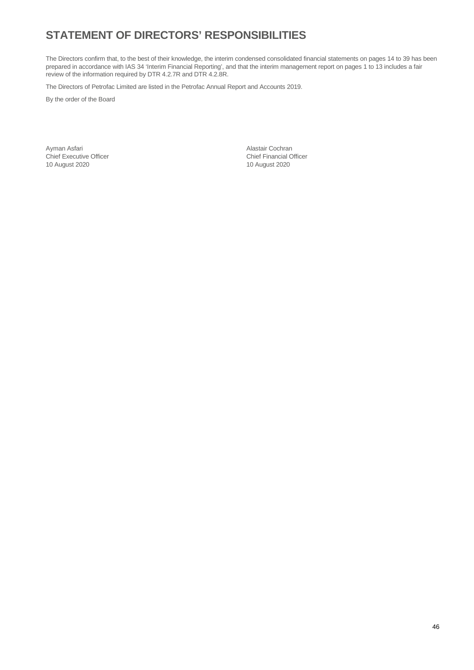## **STATEMENT OF DIRECTORS' RESPONSIBILITIES**

The Directors confirm that, to the best of their knowledge, the interim condensed consolidated financial statements on pages 14 to 39 has been prepared in accordance with IAS 34 'Interim Financial Reporting', and that the interim management report on pages 1 to 13 includes a fair review of the information required by DTR 4.2.7R and DTR 4.2.8R.

The Directors of Petrofac Limited are listed in the Petrofac Annual Report and Accounts 2019.

By the order of the Board

Chief Executive Officer Chief Executive Officer Chief Financial Chief Financial Officer Chief Financial Officer 10 August 2020 10 August 2020

Ayman Asfari Alastair Cochran (Alastair Cochran Asfari)<br>
Chief Executive Officer (Alastair Cochran Chief Financial Officer